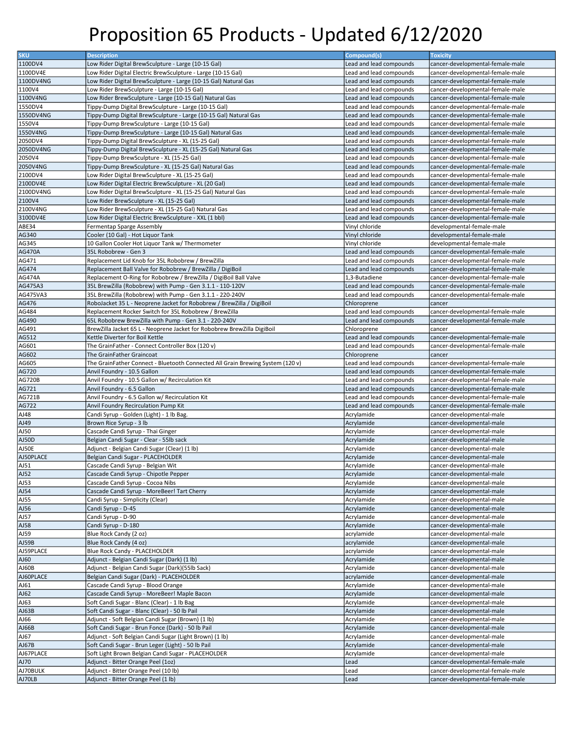| <b>SKU</b>         | <b>Description</b>                                                             | Compound(s)             | <b>Toxicity</b>                                                      |
|--------------------|--------------------------------------------------------------------------------|-------------------------|----------------------------------------------------------------------|
| 1100DV4            | Low Rider Digital BrewSculpture - Large (10-15 Gal)                            | Lead and lead compounds | cancer-developmental-female-male                                     |
| 1100DV4E           | Low Rider Digital Electric BrewSculpture - Large (10-15 Gal)                   | Lead and lead compounds | cancer-developmental-female-male                                     |
| 1100DV4NG          | Low Rider Digital BrewSculpture - Large (10-15 Gal) Natural Gas                | Lead and lead compounds | cancer-developmental-female-male                                     |
| 1100V4             | Low Rider BrewSculpture - Large (10-15 Gal)                                    | Lead and lead compounds | cancer-developmental-female-male                                     |
|                    |                                                                                |                         |                                                                      |
| 1100V4NG           | Low Rider BrewSculpture - Large (10-15 Gal) Natural Gas                        | Lead and lead compounds | cancer-developmental-female-male                                     |
| 1550DV4            | Tippy-Dump Digital BrewSculpture - Large (10-15 Gal)                           | Lead and lead compounds | cancer-developmental-female-male                                     |
| 1550DV4NG          | Tippy-Dump Digital BrewSculpture - Large (10-15 Gal) Natural Gas               | Lead and lead compounds | cancer-developmental-female-male                                     |
| 1550V4             | Tippy-Dump BrewSculpture - Large (10-15 Gal)                                   | Lead and lead compounds | cancer-developmental-female-male                                     |
| 1550V4NG           | Tippy-Dump BrewSculpture - Large (10-15 Gal) Natural Gas                       | Lead and lead compounds | cancer-developmental-female-male                                     |
| 2050DV4            | Tippy-Dump Digital BrewSculpture - XL (15-25 Gal)                              | Lead and lead compounds | cancer-developmental-female-male                                     |
| 2050DV4NG          | Tippy-Dump Digital BrewSculpture - XL (15-25 Gal) Natural Gas                  | Lead and lead compounds | cancer-developmental-female-male                                     |
| 2050V4             | Tippy-Dump BrewSculpture - XL (15-25 Gal)                                      | Lead and lead compounds | cancer-developmental-female-male                                     |
| 2050V4NG           | Tippy-Dump BrewSculpture - XL (15-25 Gal) Natural Gas                          | Lead and lead compounds | cancer-developmental-female-male                                     |
| 2100DV4            | Low Rider Digital BrewSculpture - XL (15-25 Gal)                               | Lead and lead compounds | cancer-developmental-female-male                                     |
| 2100DV4E           | Low Rider Digital Electric BrewSculpture - XL (20 Gal)                         | Lead and lead compounds | cancer-developmental-female-male                                     |
| 2100DV4NG          | Low Rider Digital BrewSculpture - XL (15-25 Gal) Natural Gas                   | Lead and lead compounds | cancer-developmental-female-male                                     |
|                    |                                                                                | Lead and lead compounds |                                                                      |
| 2100V4             | Low Rider BrewSculpture - XL (15-25 Gal)                                       |                         | cancer-developmental-female-male                                     |
| 2100V4NG           | Low Rider BrewSculpture - XL (15-25 Gal) Natural Gas                           | Lead and lead compounds | cancer-developmental-female-male                                     |
| 3100DV4E           | Low Rider Digital Electric BrewSculpture - XXL (1 bbl)                         | Lead and lead compounds | cancer-developmental-female-male                                     |
| ABE34              | Fermentap Sparge Assembly                                                      | Vinyl chloride          | developmental-female-male                                            |
| AG340              | Cooler (10 Gal) - Hot Liquor Tank                                              | Vinyl chloride          | developmental-female-male                                            |
| AG345              | 10 Gallon Cooler Hot Liguor Tank w/ Thermometer                                | Vinyl chloride          | developmental-female-male                                            |
| <b>AG470A</b>      | 35L Robobrew - Gen 3                                                           | Lead and lead compounds | cancer-developmental-female-male                                     |
| AG471              | Replacement Lid Knob for 35L Robobrew / BrewZilla                              | Lead and lead compounds | cancer-developmental-female-male                                     |
| AG474              | Replacement Ball Valve for Robobrew / BrewZilla / DigiBoil                     | Lead and lead compounds | cancer-developmental-female-male                                     |
| <b>AG474A</b>      | Replacement O-Ring for Robobrew / BrewZilla / DigiBoil Ball Valve              | 1,3-Butadiene           | cancer-developmental-female-male                                     |
| AG475A3            | 35L BrewZilla (Robobrew) with Pump - Gen 3.1.1 - 110-120V                      | Lead and lead compounds | cancer-developmental-female-male                                     |
| AG475VA3           | 35L BrewZilla (Robobrew) with Pump - Gen 3.1.1 - 220-240V                      | Lead and lead compounds | cancer-developmental-female-male                                     |
| AG476              | RoboJacket 35 L - Neoprene Jacket for Robobrew / BrewZilla / DigiBoil          | Chloroprene             | cancer                                                               |
|                    |                                                                                |                         |                                                                      |
| AG484              | Replacement Rocker Switch for 35L Robobrew / BrewZilla                         | Lead and lead compounds | cancer-developmental-female-male                                     |
| AG490              | 65L Robobrew BrewZilla with Pump - Gen 3.1 - 220-240V                          | Lead and lead compounds | cancer-developmental-female-male                                     |
| AG491              | BrewZilla Jacket 65 L - Neoprene Jacket for Robobrew BrewZilla DigiBoil        | Chloroprene             | cancer                                                               |
| AG512              | Kettle Diverter for Boil Kettle                                                | Lead and lead compounds | cancer-developmental-female-male                                     |
| AG601              | The GrainFather - Connect Controller Box (120 v)                               | Lead and lead compounds | cancer-developmental-female-male                                     |
| AG602              | The GrainFather Graincoat                                                      | Chloroprene             | cancer                                                               |
| AG605              | The GrainFather Connect - Bluetooth Connected All Grain Brewing System (120 v) | Lead and lead compounds | cancer-developmental-female-male                                     |
| AG720              | Anvil Foundry - 10.5 Gallon                                                    | Lead and lead compounds | cancer-developmental-female-male                                     |
| <b>AG720B</b>      | Anvil Foundry - 10.5 Gallon w/ Recirculation Kit                               | Lead and lead compounds | cancer-developmental-female-male                                     |
| AG721              | Anvil Foundry - 6.5 Gallon                                                     | Lead and lead compounds | cancer-developmental-female-male                                     |
| AG721B             | Anvil Foundry - 6.5 Gallon w/ Recirculation Kit                                | Lead and lead compounds | cancer-developmental-female-male                                     |
| AG722              | Anvil Foundry Recirculation Pump Kit                                           | Lead and lead compounds | cancer-developmental-female-male                                     |
| AJ48               | Candi Syrup - Golden (Light) - 1 lb Bag.                                       | Acrylamide              | cancer-developmental-male                                            |
|                    |                                                                                |                         |                                                                      |
| AJ49               | Brown Rice Syrup - 3 lb                                                        | Acrylamide              | cancer-developmental-male                                            |
| AJ50               | Cascade Candi Syrup - Thai Ginger                                              | Acrylamide              | cancer-developmental-male                                            |
| AJ50D              | Belgian Candi Sugar - Clear - 55lb sack                                        | Acrylamide              | cancer-developmental-male                                            |
| AJ50E              | Adjunct - Belgian Candi Sugar (Clear) (1 lb)                                   | Acrylamide              | cancer-developmental-male                                            |
| AJ50PLACE          | Belgian Candi Sugar - PLACEHOLDER                                              | Acrylamide              | cancer-developmental-male                                            |
| AJ51               | Cascade Candi Syrup - Belgian Wit                                              | Acrylamide              | cancer-developmental-male                                            |
| AJ52               | Cascade Candi Syrup - Chipotle Pepper                                          | Acrylamide              | cancer-developmental-male                                            |
| AJ53               | Cascade Candi Syrup - Cocoa Nibs                                               | Acrylamide              | cancer-developmental-male                                            |
| AJ54               | Cascade Candi Syrup - MoreBeer! Tart Cherry                                    | Acrylamide              | cancer-developmental-male                                            |
| AJ55               | Candi Syrup - Simplicity (Clear)                                               | Acrylamide              | cancer-developmental-male                                            |
| AJ56               | Candi Syrup - D-45                                                             | Acrylamide              | cancer-developmental-male                                            |
| AJ57               | Candi Syrup - D-90                                                             | Acrylamide              | cancer-developmental-male                                            |
| AJ58               | Candi Syrup - D-180                                                            | Acrylamide              | cancer-developmental-male                                            |
| AJ59               | Blue Rock Candy (2 oz)                                                         | acrylamide              | cancer-developmental-male                                            |
| AJ59B              | Blue Rock Candy (4 oz)                                                         | acrylamide              | cancer-developmental-male                                            |
| AJ59PLACE          |                                                                                |                         |                                                                      |
|                    | Blue Rock Candy - PLACEHOLDER                                                  | acrylamide              | cancer-developmental-male                                            |
| AJ60               | Adjunct - Belgian Candi Sugar (Dark) (1 lb)                                    | Acrylamide              | cancer-developmental-male                                            |
| AJ60B              | Adjunct - Belgian Candi Sugar (Dark)(55lb Sack)                                | Acrylamide              | cancer-developmental-male                                            |
| AJ60PLACE          | Belgian Candi Sugar (Dark) - PLACEHOLDER                                       | acrylamide              | cancer-developmental-male                                            |
| AJ61               | Cascade Candi Syrup - Blood Orange                                             | Acrylamide              | cancer-developmental-male                                            |
| AI62               | Cascade Candi Syrup - MoreBeer! Maple Bacon                                    | Acrylamide              | cancer-developmental-male                                            |
| AJ63               | Soft Candi Sugar - Blanc (Clear) - 1 lb Bag                                    | Acrylamide              | cancer-developmental-male                                            |
| AJ63B              | Soft Candi Sugar - Blanc (Clear) - 50 lb Pail                                  | Acrylamide              | cancer-developmental-male                                            |
| AJ66               | Adjunct - Soft Belgian Candi Sugar (Brown) (1 lb)                              | Acrylamide              | cancer-developmental-male                                            |
| AJ66B              | Soft Candi Sugar - Brun Fonce (Dark) - 50 lb Pail                              | Acrylamide              | cancer-developmental-male                                            |
| AJ67               | Adjunct - Soft Belgian Candi Sugar (Light Brown) (1 lb)                        | Acrylamide              | cancer-developmental-male                                            |
| AJ67B              | Soft Candi Sugar - Brun Leger (Light) - 50 lb Pail                             | Acrylamide              | cancer-developmental-male                                            |
| AJ67PLACE          | Soft Light Brown Belgian Candi Sugar - PLACEHOLDER                             | Acrylamide              | cancer-developmental-male                                            |
| AJ70               |                                                                                |                         |                                                                      |
|                    |                                                                                |                         |                                                                      |
|                    | Adjunct - Bitter Orange Peel (1oz)                                             | Lead                    | cancer-developmental-female-male                                     |
| AJ70BULK<br>AJ70LB | Adjunct - Bitter Orange Peel (10 lb)<br>Adjunct - Bitter Orange Peel (1 lb)    | Lead<br>Lead            | cancer-developmental-female-male<br>cancer-developmental-female-male |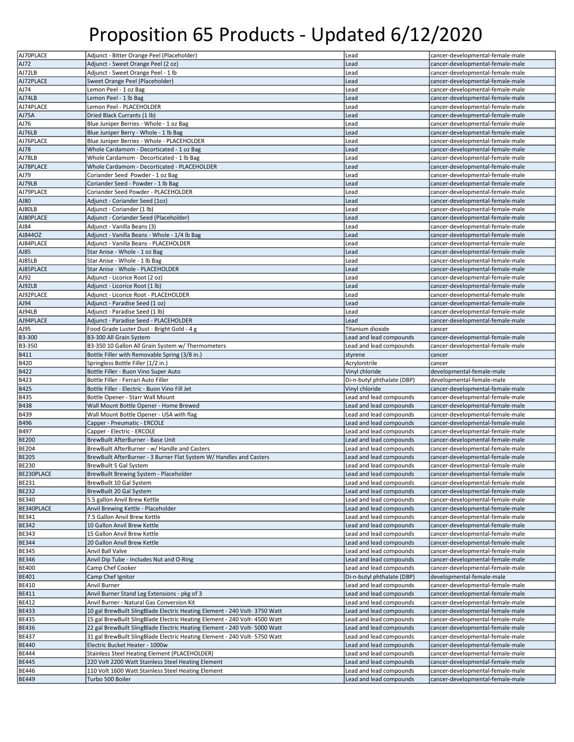|                   | Adjunct - Bitter Orange Peel (Placeholder)                                 | Lead                       | cancer-developmental-female-male |
|-------------------|----------------------------------------------------------------------------|----------------------------|----------------------------------|
| AJ70PLACE<br>AJ72 |                                                                            | Lead                       |                                  |
|                   | Adjunct - Sweet Orange Peel (2 oz)                                         |                            | cancer-developmental-female-male |
| AJ72LB            | Adjunct - Sweet Orange Peel - 1 lb                                         | Lead                       | cancer-developmental-female-male |
| AJ72PLACE         | Sweet Orange Peel (Placeholder)                                            | Lead                       | cancer-developmental-female-male |
| AJ74              | Lemon Peel - 1 oz Bag                                                      | Lead                       | cancer-developmental-female-male |
| AJ74LB            | Lemon Peel - 1 lb Bag                                                      | Lead                       | cancer-developmental-female-male |
| AJ74PLACE         | Lemon Peel - PLACEHOLDER                                                   | Lead                       | cancer-developmental-female-male |
| AJ75A             | Dried Black Currants (1 lb)                                                | Lead                       | cancer-developmental-female-male |
|                   |                                                                            |                            |                                  |
| AJ76              | Blue Juniper Berries - Whole - 1 oz Bag                                    | Lead                       | cancer-developmental-female-male |
| AJ76LB            | Blue Juniper Berry - Whole - 1 lb Bag                                      | Lead                       | cancer-developmental-female-male |
| AJ76PLACE         | Blue Juniper Berries - Whole - PLACEHOLDER                                 | Lead                       | cancer-developmental-female-male |
| <b>AJ78</b>       | Whole Cardamom - Decorticated - 1 oz Bag                                   | Lead                       | cancer-developmental-female-male |
| AJ78LB            | Whole Cardamom - Decorticated - 1 lb Bag                                   | Lead                       | cancer-developmental-female-male |
| AJ78PLACE         | Whole Cardamom - Decorticated - PLACEHOLDER                                | Lead                       | cancer-developmental-female-male |
| AJ79              | Coriander Seed Powder - 1 oz Bag                                           | Lead                       | cancer-developmental-female-male |
|                   |                                                                            |                            |                                  |
| AJ79LB            | Coriander Seed - Powder - 1 lb Bag                                         | Lead                       | cancer-developmental-female-male |
| AJ79PLACE         | Coriander Seed Powder - PLACEHOLDER                                        | Lead                       | cancer-developmental-female-male |
| AJ80              | Adjunct - Coriander Seed (1oz)                                             | Lead                       | cancer-developmental-female-male |
| AJ80LB            | Adjunct - Coriander (1 lb)                                                 | Lead                       | cancer-developmental-female-male |
| AJ80PLACE         | Adjunct - Coriander Seed (Placeholder)                                     | Lead                       | cancer-developmental-female-male |
| AJ84              | Adjunct - Vanilla Beans (3)                                                | Lead                       | cancer-developmental-female-male |
| AJ844OZ           | Adjunct - Vanilla Beans - Whole - 1/4 lb Bag                               | Lead                       | cancer-developmental-female-male |
| AJ84PLACE         | Adjunct - Vanilla Beans - PLACEHOLDER                                      | Lead                       | cancer-developmental-female-male |
|                   |                                                                            |                            |                                  |
| AJ85              | Star Anise - Whole - 1 oz Bag                                              | Lead                       | cancer-developmental-female-male |
| AJ85LB            | Star Anise - Whole - 1 lb Bag                                              | Lead                       | cancer-developmental-female-male |
| AJ85PLACE         | Star Anise - Whole - PLACEHOLDER                                           | Lead                       | cancer-developmental-female-male |
| AJ92              | Adjunct - Licorice Root (2 oz)                                             | Lead                       | cancer-developmental-female-male |
| AJ92LB            | Adjunct - Licorice Root (1 lb)                                             | Lead                       | cancer-developmental-female-male |
| AJ92PLACE         | Adjunct - Licorice Root - PLACEHOLDER                                      | Lead                       | cancer-developmental-female-male |
| AJ94              | Adjunct - Paradise Seed (1 oz)                                             | Lead                       | cancer-developmental-female-male |
|                   |                                                                            |                            |                                  |
| AJ94LB            | Adjunct - Paradise Seed (1 lb)                                             | Lead                       | cancer-developmental-female-male |
| AJ94PLACE         | Adjunct - Paradise Seed - PLACEHOLDER                                      | Lead                       | cancer-developmental-female-male |
| AJ95              | Food Grade Luster Dust - Bright Gold - 4 g                                 | Titanium dioxide           | cancer                           |
| B3-300            | B3-300 All Grain System                                                    | Lead and lead compounds    | cancer-developmental-female-male |
| B3-350            | B3-350 10 Gallon All Grain System w/ Thermometers                          | Lead and lead compounds    | cancer-developmental-female-male |
| <b>B411</b>       | Bottle Filler with Removable Spring (3/8 in.)                              | styrene                    | cancer                           |
| <b>B420</b>       | Springless Bottle Filler (1/2 in.)                                         | Acrylonitrile              | cancer                           |
| <b>B422</b>       | Bottle Filler - Buon Vino Super Auto                                       | Vinyl chloride             | developmental-female-male        |
|                   |                                                                            |                            |                                  |
|                   |                                                                            |                            |                                  |
| <b>B423</b>       | Bottle Filler - Ferrari Auto Filler                                        | Di-n-butyl phthalate (DBP) | developmental-female-male        |
| <b>B425</b>       | Bottle Filler - Electric - Buon Vino Fill Jet                              | Vinyl chloride             | cancer-developmental-female-male |
| <b>B435</b>       | Bottle Opener - Starr Wall Mount                                           | Lead and lead compounds    | cancer-developmental-female-male |
| <b>B438</b>       | Wall Mount Bottle Opener - Home Brewed                                     | Lead and lead compounds    | cancer-developmental-female-male |
|                   |                                                                            |                            |                                  |
| <b>B439</b>       | Wall Mount Bottle Opener - USA with flag                                   | Lead and lead compounds    | cancer-developmental-female-male |
| <b>B496</b>       | Capper - Pneumatic - ERCOLE                                                | Lead and lead compounds    | cancer-developmental-female-male |
| B497              | Capper - Electric - ERCOLE                                                 | Lead and lead compounds    | cancer-developmental-female-male |
| <b>BE200</b>      | BrewBuilt AfterBurner - Base Unit                                          | Lead and lead compounds    | cancer-developmental-female-male |
| <b>BE204</b>      | BrewBuilt AfterBurner - w/ Handle and Casters                              | Lead and lead compounds    | cancer-developmental-female-male |
| <b>BE205</b>      | BrewBuilt AfterBurner - 3 Burner Flat System W/ Handles and Casters        | Lead and lead compounds    | cancer-developmental-female-male |
| <b>BE230</b>      | <b>BrewBuilt 5 Gal System</b>                                              | Lead and lead compounds    | cancer-developmental-female-male |
| BE230PLACE        | BrewBuilt Brewing System - Placeholder                                     | Lead and lead compounds    | cancer-developmental-female-male |
|                   |                                                                            |                            |                                  |
| <b>BE231</b>      | BrewBuilt 10 Gal System                                                    | Lead and lead compounds    | cancer-developmental-female-male |
| <b>BE232</b>      | BrewBuilt 20 Gal System                                                    | Lead and lead compounds    | cancer-developmental-female-male |
| <b>BE340</b>      | 5.5 gallon Anvil Brew Kettle                                               | Lead and lead compounds    | cancer-developmental-female-male |
| BE340PLACE        | Anvil Brewing Kettle - Placeholder                                         | Lead and lead compounds    | cancer-developmental-female-male |
| <b>BE341</b>      | 7.5 Gallon Anvil Brew Kettle                                               | Lead and lead compounds    | cancer-developmental-female-male |
| <b>BE342</b>      | 10 Gallon Anvil Brew Kettle                                                | Lead and lead compounds    | cancer-developmental-female-male |
| <b>BE343</b>      | 15 Gallon Anvil Brew Kettle                                                | Lead and lead compounds    | cancer-developmental-female-male |
| <b>BE344</b>      | 20 Gallon Anvil Brew Kettle                                                | Lead and lead compounds    | cancer-developmental-female-male |
| <b>BE345</b>      | Anvil Ball Valve                                                           | Lead and lead compounds    |                                  |
|                   |                                                                            |                            | cancer-developmental-female-male |
| <b>BE346</b>      | Anvil Dip Tube - Includes Nut and O-Ring                                   | Lead and lead compounds    | cancer-developmental-female-male |
| <b>BE400</b>      | Camp Chef Cooker                                                           | Lead and lead compounds    | cancer-developmental-female-male |
| <b>BE401</b>      | Camp Chef Ignitor                                                          | Di-n-butyl phthalate (DBP) | developmental-female-male        |
| <b>BE410</b>      | Anvil Burner                                                               | Lead and lead compounds    | cancer-developmental-female-male |
| <b>BE411</b>      | Anvil Burner Stand Leg Extensions - pkg of 3                               | Lead and lead compounds    | cancer-developmental-female-male |
| <b>BE412</b>      | Anvil Burner - Natural Gas Conversion Kit                                  | Lead and lead compounds    | cancer-developmental-female-male |
| <b>BE433</b>      | 10 gal BrewBuilt SlingBlade Electric Heating Element - 240 Volt- 3750 Watt | Lead and lead compounds    | cancer-developmental-female-male |
|                   |                                                                            |                            |                                  |
| <b>BE435</b>      | 15 gal BrewBuilt SlingBlade Electric Heating Element - 240 Volt- 4500 Watt | Lead and lead compounds    | cancer-developmental-female-male |
| <b>BE436</b>      | 22 gal BrewBuilt SlingBlade Electric Heating Element - 240 Volt- 5000 Watt | Lead and lead compounds    | cancer-developmental-female-male |
| <b>BE437</b>      | 31 gal BrewBuilt SlingBlade Electric Heating Element - 240 Volt- 5750 Watt | Lead and lead compounds    | cancer-developmental-female-male |
| <b>BE440</b>      | Electric Bucket Heater - 1000w                                             | Lead and lead compounds    | cancer-developmental-female-male |
| <b>BE444</b>      | Stainless Steel Heating Element (PLACEHOLDER)                              | Lead and lead compounds    | cancer-developmental-female-male |
| <b>BE445</b>      | 220 Volt 2200 Watt Stainless Steel Heating Element                         | Lead and lead compounds    | cancer-developmental-female-male |
| <b>BE446</b>      | 110 Volt 1600 Watt Stainless Steel Heating Element                         | Lead and lead compounds    | cancer-developmental-female-male |
| <b>BE449</b>      | Turbo 500 Boiler                                                           | Lead and lead compounds    | cancer-developmental-female-male |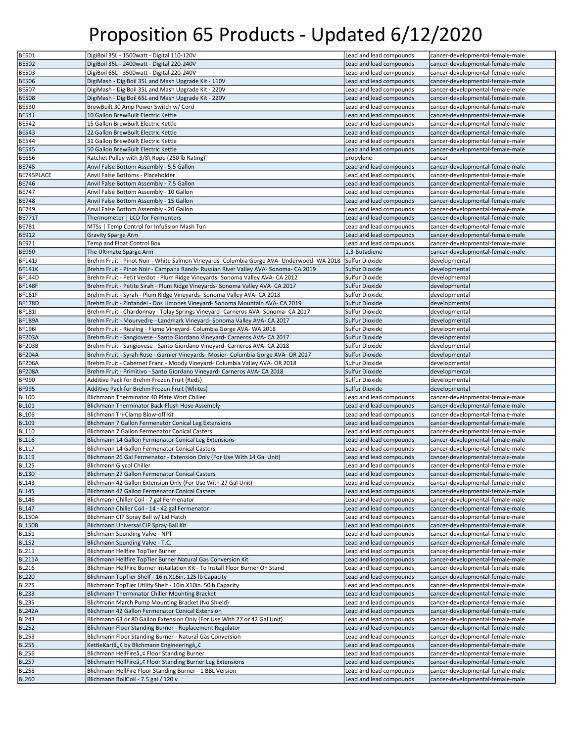| <b>BE501</b>                                                                                                                                                     | DigiBoil 35L - 1500watt - Digital 110-120V                                                | Lead and lead compounds | cancer-developmental-female-male |
|------------------------------------------------------------------------------------------------------------------------------------------------------------------|-------------------------------------------------------------------------------------------|-------------------------|----------------------------------|
| <b>BE502</b>                                                                                                                                                     | DigiBoil 35L - 2400watt - Digital 220-240V                                                | Lead and lead compounds | cancer-developmental-female-male |
|                                                                                                                                                                  | DigiBoil 65L - 3500watt - Digital 220-240V                                                |                         | cancer-developmental-female-male |
| <b>BE503</b>                                                                                                                                                     |                                                                                           | Lead and lead compounds |                                  |
| <b>BE506</b>                                                                                                                                                     | DigiMash - DigiBoil 35L and Mash Upgrade Kit - 110V                                       | Lead and lead compounds | cancer-developmental-female-male |
| <b>BE507</b>                                                                                                                                                     | DigiMash - DigiBoil 35L and Mash Upgrade Kit - 220V                                       | Lead and lead compounds | cancer-developmental-female-male |
| <b>BE508</b>                                                                                                                                                     | DigiMash - DigiBoil 65L and Mash Upgrade Kit - 220V                                       | Lead and lead compounds | cancer-developmental-female-male |
| <b>BE530</b>                                                                                                                                                     | BrewBuilt 30 Amp Power Switch w/ Cord                                                     | Lead and lead compounds | cancer-developmental-female-male |
| <b>BE541</b>                                                                                                                                                     | 10 Gallon BrewBuilt Electric Kettle                                                       | Lead and lead compounds | cancer-developmental-female-male |
| <b>BE542</b>                                                                                                                                                     | 15 Gallon BrewBuilt Electric Kettle                                                       | Lead and lead compounds | cancer-developmental-female-male |
| <b>BE543</b>                                                                                                                                                     | 22 Gallon BrewBuilt Electric Kettle                                                       | Lead and lead compounds | cancer-developmental-female-male |
| <b>BE544</b>                                                                                                                                                     | 31 Gallon BrewBuilt Electric Kettle                                                       | Lead and lead compounds | cancer-developmental-female-male |
| <b>BE545</b>                                                                                                                                                     | 50 Gallon BrewBuilt Electric Kettle                                                       | Lead and lead compounds | cancer-developmental-female-male |
| <b>BE656</b>                                                                                                                                                     | Ratchet Pulley with 3/8\ Rope (250 lb Rating)"                                            | propylene               | cancer                           |
|                                                                                                                                                                  |                                                                                           |                         |                                  |
| <b>BE745</b>                                                                                                                                                     | Anvil False Bottom Assembly - 5.5 Gallon                                                  | Lead and lead compounds | cancer-developmental-female-male |
| BE745PLACE                                                                                                                                                       | Anvil False Bottoms - Placeholder                                                         | Lead and lead compounds | cancer-developmental-female-male |
| <b>BE746</b>                                                                                                                                                     | Anvil False Bottom Assembly - 7.5 Gallon                                                  | Lead and lead compounds | cancer-developmental-female-male |
| <b>BE747</b>                                                                                                                                                     | Anvil False Bottom Assembly - 10 Gallon                                                   | Lead and lead compounds | cancer-developmental-female-male |
| <b>BE748</b>                                                                                                                                                     | Anvil False Bottom Assembly - 15 Gallon                                                   | Lead and lead compounds | cancer-developmental-female-male |
| <b>BE749</b>                                                                                                                                                     | Anvil False Bottom Assembly - 20 Gallon                                                   | Lead and lead compounds | cancer-developmental-female-male |
| <b>BE771T</b>                                                                                                                                                    | Thermometer   LCD for Fermenters                                                          | Lead and lead compounds | cancer-developmental-female-male |
| <b>BE781</b>                                                                                                                                                     | MTSs   Temp Control for InfuSsion Mash Tun                                                | Lead and lead compounds | cancer-developmental-female-male |
| <b>BE912</b>                                                                                                                                                     | <b>Gravity Sparge Arm</b>                                                                 | Lead and lead compounds | cancer-developmental-female-male |
| <b>BE921</b>                                                                                                                                                     | Temp and Float Control Box                                                                | Lead and lead compounds | cancer-developmental-female-male |
|                                                                                                                                                                  | The Ultimate Sparge Arm                                                                   |                         | cancer-developmental-female-male |
| <b>BE950</b>                                                                                                                                                     |                                                                                           | 1,3-Butadiene           |                                  |
| BF141J                                                                                                                                                           | Brehm Fruit - Pinot Noir - White Salmon Vineyards- Columbia Gorge AVA- Underwood- WA 2018 | Sulfur Dioxide          | developmental                    |
| <b>BF141K</b>                                                                                                                                                    | Brehm Fruit - Pinot Noir - Campana Ranch- Russian River Valley AVA- Sonoma- CA 2019       | Sulfur Dioxide          | developmental                    |
| <b>BF144D</b>                                                                                                                                                    | Brehm Fruit - Petit Verdot - Plum Ridge Vineyards- Sonoma Valley AVA- CA 2012             | Sulfur Dioxide          | developmental                    |
| <b>BF148F</b>                                                                                                                                                    | Brehm Fruit - Petite Sirah - Plum Ridge Vineyards- Sonoma Valley AVA- CA 2017             | Sulfur Dioxide          | developmental                    |
| BF161F                                                                                                                                                           | Brehm Fruit - Syrah - Plum Ridge Vineyards- Sonoma Valley AVA- CA 2018                    | Sulfur Dioxide          | developmental                    |
| <b>BF178D</b>                                                                                                                                                    | Brehm Fruit - Zinfandel - Dos Limones Vineyard- Sonoma Mountain AVA- CA 2019              | Sulfur Dioxide          | developmental                    |
| BF181I                                                                                                                                                           | Brehm Fruit - Chardonnay - Tolay Springs Vineyard- Carneros AVA- Sonoma- CA 2017          | Sulfur Dioxide          | developmental                    |
| <b>BF189A</b>                                                                                                                                                    | Brehm Fruit - Mourvedre - Landmark Vineyard- Sonoma Valley AVA- CA 2017                   | Sulfur Dioxide          | developmental                    |
| <b>BF196I</b>                                                                                                                                                    | Brehm Fruit - Riesling - Flume Vineyard- Columbia Gorge AVA- WA 2018                      | Sulfur Dioxide          | developmental                    |
|                                                                                                                                                                  |                                                                                           |                         |                                  |
| <b>BF203A</b>                                                                                                                                                    | Brehm Fruit - Sangiovese - Santo Giordano Vineyard- Carneros AVA- CA 2017                 | Sulfur Dioxide          | developmental                    |
| <b>BF203B</b>                                                                                                                                                    | Brehm Fruit - Sangiovese - Santo Giordano Vineyard- Carneros AVA- CA 2018                 | Sulfur Dioxide          | developmental                    |
| <b>BF204A</b>                                                                                                                                                    | Brehm Fruit - Syrah Rose - Garnier Vineyards- Mosier- Columbia Gorge AVA- OR 2017         | Sulfur Dioxide          | developmental                    |
| <b>BF206A</b>                                                                                                                                                    | Brehm Fruit - Cabernet Franc - Moody Vineyard- Columbia Valley AVA- OR 2018               | Sulfur Dioxide          | developmental                    |
|                                                                                                                                                                  |                                                                                           |                         |                                  |
| <b>BF208A</b>                                                                                                                                                    | Brehm Fruit - Primitivo - Santo Giordano Vineyard- Carneros AVA- CA 2018                  | Sulfur Dioxide          | developmental                    |
| <b>BF990</b>                                                                                                                                                     | Additive Pack for Brehm Frozen Fruit (Reds)                                               | Sulfur Dioxide          | developmental                    |
| <b>BF995</b>                                                                                                                                                     | Additive Pack for Brehm Frozen Fruit (Whites)                                             | <b>Sulfur Dioxide</b>   | developmental                    |
| BL100                                                                                                                                                            | Blichmann Therminator 40 Plate Wort Chiller                                               |                         | cancer-developmental-female-male |
|                                                                                                                                                                  |                                                                                           | Lead and lead compounds |                                  |
| <b>BL101</b>                                                                                                                                                     | Blichmann Therminator Back-Flush Hose Assembly                                            | Lead and lead compounds | cancer-developmental-female-male |
| <b>BL106</b>                                                                                                                                                     | Blichmann Tri-Clamp Blow-off kit                                                          | Lead and lead compounds | cancer-developmental-female-male |
| <b>BL109</b>                                                                                                                                                     | Blichmann 7 Gallon Fermenator Conical Leg Extensions                                      | Lead and lead compounds | cancer-developmental-female-male |
| BL110                                                                                                                                                            | Blichmann 7 Gallon Fermenator Conical Casters                                             | Lead and lead compounds | cancer-developmental-female-male |
| <b>BL116</b>                                                                                                                                                     | Blichmann 14 Gallon Fermenator Conical Leg Extensions                                     | Lead and lead compounds | cancer-developmental-female-male |
| <b>BL117</b>                                                                                                                                                     | Blichmann 14 Gallon Fermenator Conical Casters                                            | Lead and lead compounds | cancer-developmental-female-male |
| <b>BL119</b>                                                                                                                                                     | Blichmann 26 Gal Fermenator - Extension Only (For Use With 14 Gal Unit)                   | Lead and lead compounds | cancer-developmental-female-male |
|                                                                                                                                                                  | <b>Blichmann Glvcol Chiller</b>                                                           | Lead and lead compounds | cancer-developmental-female-male |
|                                                                                                                                                                  | Blichmann 27 Gallon Fermenator Conical Casters                                            | Lead and lead compounds | cancer-developmental-female-male |
|                                                                                                                                                                  | Blichmann 42 Gallon Extension Only (For Use With 27 Gal Unit)                             | Lead and lead compounds | cancer-developmental-female-male |
|                                                                                                                                                                  | Blichmann 42 Gallon Fermenator Conical Casters                                            | Lead and lead compounds | cancer-developmental-female-male |
| <b>BL146</b>                                                                                                                                                     | Blichmann Chiller Coil - 7 gal Fermenator                                                 | Lead and lead compounds | cancer-developmental-female-male |
|                                                                                                                                                                  |                                                                                           | Lead and lead compounds | cancer-developmental-female-male |
|                                                                                                                                                                  | Blichmann Chiller Coil - 14 - 42 gal Fermenator                                           |                         |                                  |
| <b>BL125</b><br><b>BL130</b><br>BL143<br><b>BL145</b><br><b>BL147</b><br><b>BL150A</b>                                                                           | Blichmann CIP Spray Ball w/ Lid Hatch                                                     | Lead and lead compounds | cancer-developmental-female-male |
|                                                                                                                                                                  | Blichmann Universal CIP Spray Ball Kit                                                    | Lead and lead compounds | cancer-developmental-female-male |
|                                                                                                                                                                  | Blichmann Spunding Valve - NPT                                                            | Lead and lead compounds | cancer-developmental-female-male |
|                                                                                                                                                                  | Blichmann Spunding Valve - T.C.                                                           | Lead and lead compounds | cancer-developmental-female-male |
|                                                                                                                                                                  | Blichmann Hellfire TopTier Burner                                                         | Lead and lead compounds | cancer-developmental-female-male |
|                                                                                                                                                                  | Blichmann Hellfire TopTier Burner Natural Gas Conversion Kit                              | Lead and lead compounds | cancer-developmental-female-male |
|                                                                                                                                                                  | Blichmann HellFire Burner Installation Kit - To Install Floor Burner On Stand             | Lead and lead compounds | cancer-developmental-female-male |
|                                                                                                                                                                  | Blichmann TopTier Shelf - 16in.X16in. 125 lb Capacity                                     | Lead and lead compounds | cancer-developmental-female-male |
|                                                                                                                                                                  | Blichmann TopTier Utility Shelf - 10in.X10in. 50lb Capacity                               | Lead and lead compounds | cancer-developmental-female-male |
|                                                                                                                                                                  | Blichmann Therminator Chiller Mounting Bracket                                            | Lead and lead compounds | cancer-developmental-female-male |
| <b>BL235</b>                                                                                                                                                     | Blichmann March Pump Mounting Bracket (No Shield)                                         | Lead and lead compounds | cancer-developmental-female-male |
|                                                                                                                                                                  |                                                                                           |                         |                                  |
| <b>BL242A</b>                                                                                                                                                    | Blichmann 42 Gallon Fermenator Conical Extension                                          | Lead and lead compounds | cancer-developmental-female-male |
|                                                                                                                                                                  | Blichmann 63 or 80 Gallon Extension Only (For Use With 27 or 42 Gal Unit)                 | Lead and lead compounds | cancer-developmental-female-male |
| <b>BL252</b>                                                                                                                                                     | Blichmann Floor Standing Burner - Replacement Regulator                                   | Lead and lead compounds | cancer-developmental-female-male |
| <b>BL253</b>                                                                                                                                                     | Blichmann Floor Standing Burner - Natural Gas Conversion                                  | Lead and lead compounds | cancer-developmental-female-male |
| <b>BL150B</b><br>BL151<br><b>BL152</b><br>BL211<br><b>BL211A</b><br><b>BL216</b><br><b>BL220</b><br><b>BL225</b><br><b>BL233</b><br><b>BL243</b><br><b>BL255</b> | KettleKartâ"¢ by Blichmann Engineeringâ"¢                                                 | Lead and lead compounds | cancer-developmental-female-male |
| <b>BL256</b>                                                                                                                                                     | Blichmann HellFireâ"¢ Floor Standing Burner                                               | Lead and lead compounds | cancer-developmental-female-male |
| <b>BL257</b>                                                                                                                                                     | Blichmann HellFireâ"¢ Floor Standing Burner Leg Extensions                                | Lead and lead compounds | cancer-developmental-female-male |
| <b>BL258</b>                                                                                                                                                     | Blichmann HellFire Floor Standing Burner - 1 BBL Version                                  | Lead and lead compounds | cancer-developmental-female-male |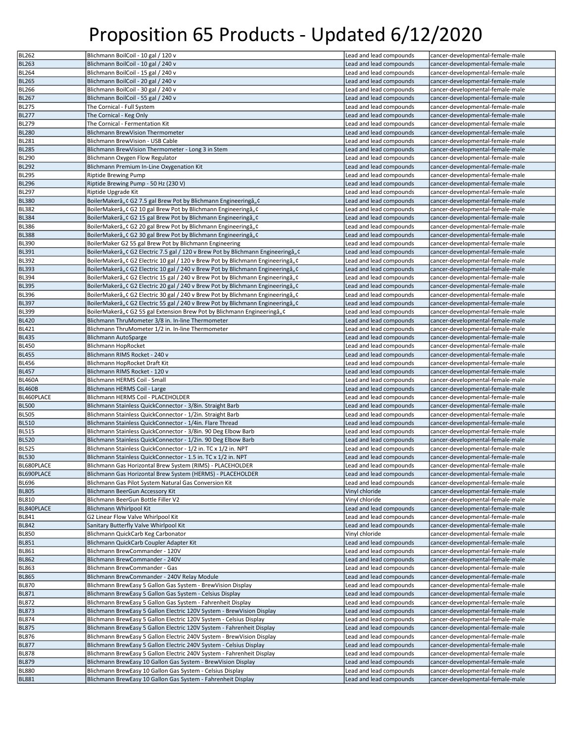| <b>BL262</b>  | Blichmann BoilCoil - 10 gal / 120 v                                                | Lead and lead compounds | cancer-developmental-female-male |
|---------------|------------------------------------------------------------------------------------|-------------------------|----------------------------------|
| <b>BL263</b>  | Blichmann BoilCoil - 10 gal / 240 v                                                | Lead and lead compounds | cancer-developmental-female-male |
| <b>BL264</b>  | Blichmann BoilCoil - 15 gal / 240 v                                                |                         |                                  |
|               |                                                                                    | Lead and lead compounds | cancer-developmental-female-male |
| <b>BL265</b>  | Blichmann BoilCoil - 20 gal / 240 v                                                | Lead and lead compounds | cancer-developmental-female-male |
| <b>BL266</b>  | Blichmann BoilCoil - 30 gal / 240 v                                                | Lead and lead compounds | cancer-developmental-female-male |
| <b>BL267</b>  | Blichmann BoilCoil - 55 gal / 240 v                                                | Lead and lead compounds | cancer-developmental-female-male |
| <b>BL275</b>  | The Cornical - Full System                                                         | Lead and lead compounds | cancer-developmental-female-male |
| <b>BL277</b>  | The Cornical - Keg Only                                                            | Lead and lead compounds | cancer-developmental-female-male |
| <b>BL279</b>  | The Cornical - Fermentation Kit                                                    | Lead and lead compounds | cancer-developmental-female-male |
| <b>BL280</b>  | Blichmann BrewVision Thermometer                                                   | Lead and lead compounds | cancer-developmental-female-male |
| <b>BL281</b>  | Blichmann BrewVision - USB Cable                                                   | Lead and lead compounds | cancer-developmental-female-male |
|               | Blichmann BrewVision Thermometer - Long 3 in Stem                                  |                         | cancer-developmental-female-male |
| <b>BL285</b>  |                                                                                    | Lead and lead compounds |                                  |
| BL290         | Blichmann Oxygen Flow Regulator                                                    | Lead and lead compounds | cancer-developmental-female-male |
| <b>BL292</b>  | Blichmann Premium In-Line Oxygenation Kit                                          | Lead and lead compounds | cancer-developmental-female-male |
| <b>BL295</b>  | Riptide Brewing Pump                                                               | Lead and lead compounds | cancer-developmental-female-male |
| <b>BL296</b>  | Riptide Brewing Pump - 50 Hz (230 V)                                               | Lead and lead compounds | cancer-developmental-female-male |
| <b>BL297</b>  | Riptide Upgrade Kit                                                                | Lead and lead compounds | cancer-developmental-female-male |
| <b>BL380</b>  | BoilerMakerâ" ¢ G2 7.5 gal Brew Pot by Blichmann Engineeringâ" ¢                   | Lead and lead compounds | cancer-developmental-female-male |
| <b>BL382</b>  | BoilerMakerâ" ¢ G2 10 gal Brew Pot by Blichmann Engineeringâ" ¢                    | Lead and lead compounds | cancer-developmental-female-male |
| <b>BL384</b>  | BoilerMakerâ" ¢ G2 15 gal Brew Pot by Blichmann Engineeringâ" ¢                    | Lead and lead compounds | cancer-developmental-female-male |
| <b>BL386</b>  | BoilerMakerâ" ¢ G2 20 gal Brew Pot by Blichmann Engineeringâ" ¢                    | Lead and lead compounds | cancer-developmental-female-male |
|               |                                                                                    |                         |                                  |
| <b>BL388</b>  | BoilerMakerâ" ¢ G2 30 gal Brew Pot by Blichmann Engineeringâ" ¢                    | Lead and lead compounds | cancer-developmental-female-male |
| <b>BL390</b>  | BoilerMaker G2 55 gal Brew Pot by Blichmann Engineering                            | Lead and lead compounds | cancer-developmental-female-male |
| <b>BL391</b>  | BoilerMakerâ" ¢ G2 Electric 7.5 gal / 120 v Brew Pot by Blichmann Engineeringâ" ¢  | Lead and lead compounds | cancer-developmental-female-male |
| BL392         | BoilerMakerâ,, ¢ G2 Electric 10 gal / 120 v Brew Pot by Blichmann Engineeringâ,, ¢ | Lead and lead compounds | cancer-developmental-female-male |
| <b>BL393</b>  | BoilerMakerâ"¢ G2 Electric 10 gal / 240 v Brew Pot by Blichmann Engineeringâ"¢     | Lead and lead compounds | cancer-developmental-female-male |
| <b>BL394</b>  | BoilerMakerâ,, ¢ G2 Electric 15 gal / 240 v Brew Pot by Blichmann Engineeringâ,, ¢ | Lead and lead compounds | cancer-developmental-female-male |
| <b>BL395</b>  | BoilerMakerâ"¢ G2 Electric 20 gal / 240 v Brew Pot by Blichmann Engineeringâ"¢     | Lead and lead compounds | cancer-developmental-female-male |
| <b>BL396</b>  | BoilerMakerâ"¢ G2 Electric 30 gal / 240 v Brew Pot by Blichmann Engineeringâ"¢     | Lead and lead compounds | cancer-developmental-female-male |
| <b>BL397</b>  | BoilerMakerâ"¢ G2 Electric 55 gal / 240 v Brew Pot by Blichmann Engineeringâ"¢     | Lead and lead compounds | cancer-developmental-female-male |
|               |                                                                                    | Lead and lead compounds | cancer-developmental-female-male |
| <b>BL399</b>  | BoilerMakerâ" ¢ G2 55 gal Extension Brew Pot by Blichmann Engineeringâ" ¢          |                         |                                  |
| <b>BL420</b>  | Blichmann ThruMometer 3/8 in. In-line Thermometer                                  | Lead and lead compounds | cancer-developmental-female-male |
| <b>BL421</b>  | Blichmann ThruMometer 1/2 in. In-line Thermometer                                  | Lead and lead compounds | cancer-developmental-female-male |
| <b>BL435</b>  | <b>Blichmann AutoSparge</b>                                                        | Lead and lead compounds | cancer-developmental-female-male |
| <b>BL450</b>  | <b>Blichmann HopRocket</b>                                                         | Lead and lead compounds | cancer-developmental-female-male |
| <b>BL455</b>  | Blichmann RIMS Rocket - 240 v                                                      | Lead and lead compounds | cancer-developmental-female-male |
| <b>BL456</b>  | Blichmann HopRocket Draft Kit                                                      | Lead and lead compounds | cancer-developmental-female-male |
| <b>BL457</b>  | Blichmann RIMS Rocket - 120 v                                                      | Lead and lead compounds | cancer-developmental-female-male |
|               |                                                                                    |                         |                                  |
|               |                                                                                    |                         |                                  |
| <b>BL460A</b> | Blichmann HERMS Coil - Small                                                       | Lead and lead compounds | cancer-developmental-female-male |
| <b>BL460B</b> | Blichmann HERMS Coil - Large                                                       | Lead and lead compounds | cancer-developmental-female-male |
| BL460PLACE    | Blichmann HERMS Coil - PLACEHOLDER                                                 | Lead and lead compounds | cancer-developmental-female-male |
| <b>BL500</b>  | Blichmann Stainless QuickConnector - 3/8in. Straight Barb                          | Lead and lead compounds | cancer-developmental-female-male |
| <b>BL505</b>  | Blichmann Stainless QuickConnector - 1/2in. Straight Barb                          | Lead and lead compounds | cancer-developmental-female-male |
| <b>BL510</b>  | Blichmann Stainless QuickConnector - 1/4in. Flare Thread                           | Lead and lead compounds | cancer-developmental-female-male |
| <b>BL515</b>  | Blichmann Stainless QuickConnector - 3/8in. 90 Deg Elbow Barb                      | Lead and lead compounds | cancer-developmental-female-male |
|               |                                                                                    | Lead and lead compounds |                                  |
| <b>BL520</b>  | Blichmann Stainless QuickConnector - 1/2in. 90 Deg Elbow Barb                      |                         | cancer-developmental-female-male |
| <b>BL525</b>  | Blichmann Stainless QuickConnector - 1/2 in. TC x 1/2 in. NPT                      | Lead and lead compounds | cancer-developmental-female-male |
| <b>BL530</b>  | Blichmann Stainless QuickConnector - 1.5 in. TC x 1/2 in. NPT                      | Lead and lead compounds | cancer-developmental-female-male |
| BL680PLACE    | Blichmann Gas Horizontal Brew System (RIMS) - PLACEHOLDER                          | Lead and lead compounds | cancer-developmental-female-male |
| BL690PLACE    | Blichmann Gas Horizontal Brew System (HERMS) - PLACEHOLDER                         | Lead and lead compounds | cancer-developmental-female-male |
| <b>BL696</b>  | Blichmann Gas Pilot System Natural Gas Conversion Kit                              | Lead and lead compounds | cancer-developmental-female-male |
| <b>BL805</b>  | Blichmann BeerGun Accessory Kit                                                    | Vinyl chloride          | cancer-developmental-female-male |
| <b>BL810</b>  | Blichmann BeerGun Bottle Filler V2                                                 | Vinyl chloride          | cancer-developmental-female-male |
| BL840PLACE    | Blichmann Whirlpool Kit                                                            | Lead and lead compounds | cancer-developmental-female-male |
| <b>BL841</b>  | G2 Linear Flow Valve Whirlpool Kit                                                 | Lead and lead compounds | cancer-developmental-female-male |
| <b>BL842</b>  | Sanitary Butterfly Valve Whirlpool Kit                                             | Lead and lead compounds | cancer-developmental-female-male |
|               |                                                                                    |                         |                                  |
| <b>BL850</b>  | Blichmann QuickCarb Keg Carbonator                                                 | Vinyl chloride          | cancer-developmental-female-male |
| <b>BL851</b>  | Blichmann QuickCarb Coupler Adapter Kit                                            | Lead and lead compounds | cancer-developmental-female-male |
| <b>BL861</b>  | Blichmann BrewCommander - 120V                                                     | Lead and lead compounds | cancer-developmental-female-male |
| <b>BL862</b>  | Blichmann BrewCommander - 240V                                                     | Lead and lead compounds | cancer-developmental-female-male |
| <b>BL863</b>  | Blichmann BrewCommander - Gas                                                      | Lead and lead compounds | cancer-developmental-female-male |
| <b>BL865</b>  | Blichmann BrewCommander - 240V Relay Module                                        | Lead and lead compounds | cancer-developmental-female-male |
| <b>BL870</b>  | Blichmann BrewEasy 5 Gallon Gas System - BrewVision Display                        | Lead and lead compounds | cancer-developmental-female-male |
| <b>BL871</b>  | Blichmann BrewEasy 5 Gallon Gas System - Celsius Display                           | Lead and lead compounds | cancer-developmental-female-male |
| <b>BL872</b>  | Blichmann BrewEasy 5 Gallon Gas System - Fahrenheit Display                        | Lead and lead compounds | cancer-developmental-female-male |
| <b>BL873</b>  |                                                                                    | Lead and lead compounds |                                  |
|               | Blichmann BrewEasy 5 Gallon Electric 120V System - BrewVision Display              |                         | cancer-developmental-female-male |
| <b>BL874</b>  | Blichmann BrewEasy 5 Gallon Electric 120V System - Celsius Display                 | Lead and lead compounds | cancer-developmental-female-male |
| <b>BL875</b>  | Blichmann BrewEasy 5 Gallon Electric 120V System - Fahrenheit Display              | Lead and lead compounds | cancer-developmental-female-male |
| <b>BL876</b>  | Blichmann BrewEasy 5 Gallon Electric 240V System - BrewVision Display              | Lead and lead compounds | cancer-developmental-female-male |
| <b>BL877</b>  | Blichmann BrewEasy 5 Gallon Electric 240V System - Celsius Display                 | Lead and lead compounds | cancer-developmental-female-male |
| <b>BL878</b>  | Blichmann BrewEasy 5 Gallon Electric 240V System - Fahrenheit Display              | Lead and lead compounds | cancer-developmental-female-male |
| <b>BL879</b>  | Blichmann BrewEasy 10 Gallon Gas System - BrewVision Display                       | Lead and lead compounds | cancer-developmental-female-male |
| <b>BL880</b>  | Blichmann BrewEasy 10 Gallon Gas System - Celsius Display                          | Lead and lead compounds | cancer-developmental-female-male |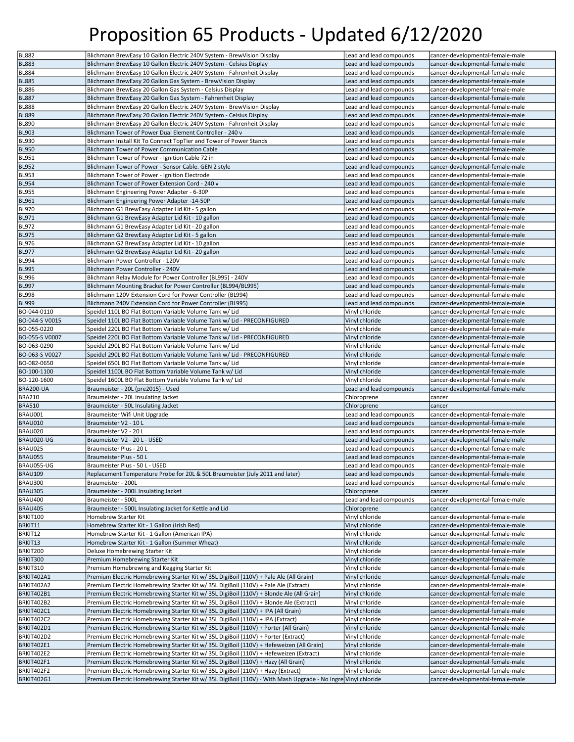| <b>BL882</b>             | Blichmann BrewEasy 10 Gallon Electric 240V System - BrewVision Display                                                                                                                            | Lead and lead compounds | cancer-developmental-female-male                                     |
|--------------------------|---------------------------------------------------------------------------------------------------------------------------------------------------------------------------------------------------|-------------------------|----------------------------------------------------------------------|
| <b>BL883</b>             | Blichmann BrewEasy 10 Gallon Electric 240V System - Celsius Display                                                                                                                               | Lead and lead compounds | cancer-developmental-female-male                                     |
|                          |                                                                                                                                                                                                   |                         |                                                                      |
| <b>BL884</b>             | Blichmann BrewEasy 10 Gallon Electric 240V System - Fahrenheit Display                                                                                                                            | Lead and lead compounds | cancer-developmental-female-male                                     |
| <b>BL885</b>             | Blichmann BrewEasy 20 Gallon Gas System - BrewVision Display                                                                                                                                      | Lead and lead compounds | cancer-developmental-female-male                                     |
| BL886                    | Blichmann BrewEasy 20 Gallon Gas System - Celsius Display                                                                                                                                         | Lead and lead compounds | cancer-developmental-female-male                                     |
| <b>BL887</b>             | Blichmann BrewEasy 20 Gallon Gas System - Fahrenheit Display                                                                                                                                      | Lead and lead compounds | cancer-developmental-female-male                                     |
| BL888                    | Blichmann BrewEasy 20 Gallon Electric 240V System - BrewVision Display                                                                                                                            | Lead and lead compounds | cancer-developmental-female-male                                     |
| <b>BL889</b>             | Blichmann BrewEasy 20 Gallon Electric 240V System - Celsius Display                                                                                                                               | Lead and lead compounds | cancer-developmental-female-male                                     |
| <b>BL890</b>             | Blichmann BrewEasy 20 Gallon Electric 240V System - Fahrenheit Display                                                                                                                            | Lead and lead compounds | cancer-developmental-female-male                                     |
| <b>BL903</b>             | Blichmann Tower of Power Dual Element Controller - 240 v                                                                                                                                          | Lead and lead compounds | cancer-developmental-female-male                                     |
| BL930                    | Blichmann Install Kit To Connect TopTier and Tower of Power Stands                                                                                                                                | Lead and lead compounds | cancer-developmental-female-male                                     |
| <b>BL950</b>             | Blichmann Tower of Power Communication Cable                                                                                                                                                      | Lead and lead compounds | cancer-developmental-female-male                                     |
| <b>BL951</b>             | Blichmann Tower of Power - Ignition Cable 72 in                                                                                                                                                   | Lead and lead compounds | cancer-developmental-female-male                                     |
|                          |                                                                                                                                                                                                   |                         |                                                                      |
| <b>BL952</b>             | Blichmann Tower of Power - Sensor Cable. GEN 2 style                                                                                                                                              | Lead and lead compounds | cancer-developmental-female-male                                     |
| <b>BL953</b>             | Blichmann Tower of Power - Ignition Electrode                                                                                                                                                     | Lead and lead compounds | cancer-developmental-female-male                                     |
| <b>BL954</b>             | Blichmann Tower of Power Extension Cord - 240 v                                                                                                                                                   | Lead and lead compounds | cancer-developmental-female-male                                     |
| <b>BL955</b>             | Blichmann Engineering Power Adapter - 6-30P                                                                                                                                                       | Lead and lead compounds | cancer-developmental-female-male                                     |
| <b>BL961</b>             | Blichmann Engineering Power Adapter -14-50P                                                                                                                                                       | Lead and lead compounds | cancer-developmental-female-male                                     |
| <b>BL970</b>             | Blichmann G1 BrewEasy Adapter Lid Kit - 5 gallon                                                                                                                                                  | Lead and lead compounds | cancer-developmental-female-male                                     |
| <b>BL971</b>             | Blichmann G1 BrewEasy Adapter Lid Kit - 10 gallon                                                                                                                                                 | Lead and lead compounds | cancer-developmental-female-male                                     |
| <b>BL972</b>             | Blichmann G1 BrewEasy Adapter Lid Kit - 20 gallon                                                                                                                                                 | Lead and lead compounds | cancer-developmental-female-male                                     |
| <b>BL975</b>             | Blichmann G2 BrewEasy Adapter Lid Kit - 5 gallon                                                                                                                                                  | Lead and lead compounds | cancer-developmental-female-male                                     |
| <b>BL976</b>             | Blichmann G2 BrewEasy Adapter Lid Kit - 10 gallon                                                                                                                                                 | Lead and lead compounds | cancer-developmental-female-male                                     |
|                          |                                                                                                                                                                                                   |                         |                                                                      |
| <b>BL977</b>             | Blichmann G2 BrewEasy Adapter Lid Kit - 20 gallon                                                                                                                                                 | Lead and lead compounds | cancer-developmental-female-male                                     |
| BL994                    | Blichmann Power Controller - 120V                                                                                                                                                                 | Lead and lead compounds | cancer-developmental-female-male                                     |
| <b>BL995</b>             | Blichmann Power Controller - 240V                                                                                                                                                                 | Lead and lead compounds | cancer-developmental-female-male                                     |
| <b>BL996</b>             | Blichmann Relay Module for Power Controller (BL995) - 240V                                                                                                                                        | Lead and lead compounds | cancer-developmental-female-male                                     |
| <b>BL997</b>             | Blichmann Mounting Bracket for Power Controller (BL994/BL995)                                                                                                                                     | Lead and lead compounds | cancer-developmental-female-male                                     |
| BL998                    | Blichmann 120V Extension Cord for Power Controller (BL994)                                                                                                                                        | Lead and lead compounds | cancer-developmental-female-male                                     |
| <b>BL999</b>             | Blichmann 240V Extension Cord for Power Controller (BL995)                                                                                                                                        | Lead and lead compounds | cancer-developmental-female-male                                     |
| BO-044-0110              | Speidel 110L BO Flat Bottom Variable Volume Tank w/ Lid                                                                                                                                           | Vinyl chloride          | cancer-developmental-female-male                                     |
| BO-044-S V0015           | Speidel 110L BO Flat Bottom Variable Volume Tank w/ Lid - PRECONFIGURED                                                                                                                           | Vinyl chloride          | cancer-developmental-female-male                                     |
| BO-055-0220              |                                                                                                                                                                                                   |                         |                                                                      |
|                          | Speidel 220L BO Flat Bottom Variable Volume Tank w/ Lid                                                                                                                                           | Vinyl chloride          | cancer-developmental-female-male                                     |
| BO-055-S V0007           | Speidel 220L BO Flat Bottom Variable Volume Tank w/ Lid - PRECONFIGURED                                                                                                                           | Vinyl chloride          | cancer-developmental-female-male                                     |
| BO-063-0290              | Speidel 290L BO Flat Bottom Variable Volume Tank w/ Lid                                                                                                                                           | Vinyl chloride          | cancer-developmental-female-male                                     |
| BO-063-S V0027           | Speidel 290L BO Flat Bottom Variable Volume Tank w/ Lid - PRECONFIGURED                                                                                                                           | Vinyl chloride          | cancer-developmental-female-male                                     |
| BO-082-0650              | Speidel 650L BO Flat Bottom Variable Volume Tank w/ Lid                                                                                                                                           | Vinyl chloride          | cancer-developmental-female-male                                     |
| BO-100-1100              |                                                                                                                                                                                                   | Vinyl chloride          |                                                                      |
|                          | Speidel 1100L BO Flat Bottom Variable Volume Tank w/ Lid                                                                                                                                          |                         | cancer-developmental-female-male                                     |
| BO-120-1600              | Speidel 1600L BO Flat Bottom Variable Volume Tank w/ Lid                                                                                                                                          | Vinyl chloride          | cancer-developmental-female-male                                     |
|                          |                                                                                                                                                                                                   |                         |                                                                      |
| <b>BRA200-UA</b>         | Braumeister - 20L (pre2015) - Used                                                                                                                                                                | Lead and lead compounds | cancer-developmental-female-male                                     |
| <b>BRA210</b>            | Braumeister - 20L Insulating Jacket                                                                                                                                                               | Chloroprene             | cancer                                                               |
| <b>BRA510</b>            | Braumeister - 50L Insulating Jacket                                                                                                                                                               | Chloroprene             | cancer                                                               |
| BRAU001                  | Braumeister Wifi Unit Upgrade                                                                                                                                                                     | Lead and lead compounds | cancer-developmental-female-male                                     |
| BRAU010                  | Braumeister V2 - 10 L                                                                                                                                                                             | Lead and lead compounds | cancer-developmental-female-male                                     |
| BRAU020                  | Braumeister V2 - 20 L                                                                                                                                                                             | Lead and lead compounds | cancer-developmental-female-male                                     |
| BRAU020-UG               | Braumeister V2 - 20 L - USED                                                                                                                                                                      | Lead and lead compounds | cancer-developmental-female-male                                     |
| BRAU025                  | Braumeister Plus - 20 L                                                                                                                                                                           | Lead and lead compounds | cancer-developmental-female-male                                     |
| BRAU055                  | Braumeister Plus - 50 L                                                                                                                                                                           | Lead and lead compounds | cancer-developmental-female-male                                     |
| BRAU055-UG               | Braumeister Plus - 50 L - USED                                                                                                                                                                    | Lead and lead compounds | cancer-developmental-female-male                                     |
|                          |                                                                                                                                                                                                   |                         |                                                                      |
| BRAU109                  | Replacement Temperature Probe for 20L & 50L Braumeister (July 2011 and later)                                                                                                                     | Lead and lead compounds | cancer-developmental-female-male                                     |
| BRAU300                  | Braumeister - 200L                                                                                                                                                                                | Lead and lead compounds | cancer-developmental-female-male                                     |
| <b>BRAU305</b>           | Braumeister - 200L Insulating Jacket                                                                                                                                                              | Chloroprene             | cancer                                                               |
| BRAU400                  | Braumeister - 500L                                                                                                                                                                                | Lead and lead compounds | cancer-developmental-female-male                                     |
| BRAU405                  | Braumeister - 500L Insulating Jacket for Kettle and Lid                                                                                                                                           | Chloroprene             | cancer                                                               |
| BRKIT100                 | Homebrew Starter Kit                                                                                                                                                                              | Vinyl chloride          | cancer-developmental-female-male                                     |
| BRKIT11                  | Homebrew Starter Kit - 1 Gallon (Irish Red)                                                                                                                                                       | Vinyl chloride          | cancer-developmental-female-male                                     |
| BRKIT12                  | Homebrew Starter Kit - 1 Gallon (American IPA)                                                                                                                                                    | Vinyl chloride          | cancer-developmental-female-male                                     |
| BRKIT13                  | Homebrew Starter Kit - 1 Gallon (Summer Wheat)                                                                                                                                                    | Vinyl chloride          | cancer-developmental-female-male                                     |
| BRKIT200                 | Deluxe Homebrewing Starter Kit                                                                                                                                                                    | Vinyl chloride          | cancer-developmental-female-male                                     |
| BRKIT300                 | Premium Homebrewing Starter Kit                                                                                                                                                                   | Vinyl chloride          | cancer-developmental-female-male                                     |
| BRKIT310                 | Premium Homebrewing and Kegging Starter Kit                                                                                                                                                       | Vinyl chloride          | cancer-developmental-female-male                                     |
| BRKIT402A1               | Premium Electric Homebrewing Starter Kit w/ 35L DigiBoil (110V) + Pale Ale (All Grain)                                                                                                            | Vinyl chloride          | cancer-developmental-female-male                                     |
| BRKIT402A2               |                                                                                                                                                                                                   |                         | cancer-developmental-female-male                                     |
|                          | Premium Electric Homebrewing Starter Kit w/ 35L DigiBoil (110V) + Pale Ale (Extract)                                                                                                              | Vinyl chloride          |                                                                      |
| BRKIT402B1               | Premium Electric Homebrewing Starter Kit w/ 35L DigiBoil (110V) + Blonde Ale (All Grain)                                                                                                          | Vinyl chloride          | cancer-developmental-female-male                                     |
| BRKIT402B2               | Premium Electric Homebrewing Starter Kit w/ 35L DigiBoil (110V) + Blonde Ale (Extract)                                                                                                            | Vinyl chloride          | cancer-developmental-female-male                                     |
| BRKIT402C1               | Premium Electric Homebrewing Starter Kit w/ 35L DigiBoil (110V) + IPA (All Grain)                                                                                                                 | Vinyl chloride          | cancer-developmental-female-male                                     |
| BRKIT402C2               | Premium Electric Homebrewing Starter Kit w/ 35L DigiBoil (110V) + IPA (Extract)                                                                                                                   | Vinyl chloride          | cancer-developmental-female-male                                     |
| BRKIT402D1               | Premium Electric Homebrewing Starter Kit w/ 35L DigiBoil (110V) + Porter (All Grain)                                                                                                              | Vinyl chloride          | cancer-developmental-female-male                                     |
| BRKIT402D2               | Premium Electric Homebrewing Starter Kit w/ 35L DigiBoil (110V) + Porter (Extract)                                                                                                                | Vinyl chloride          | cancer-developmental-female-male                                     |
| BRKIT402E1               | Premium Electric Homebrewing Starter Kit w/ 35L DigiBoil (110V) + Hefeweizen (All Grain)                                                                                                          | Vinyl chloride          | cancer-developmental-female-male                                     |
| BRKIT402E2               | Premium Electric Homebrewing Starter Kit w/ 35L DigiBoil (110V) + Hefeweizen (Extract)                                                                                                            | Vinyl chloride          | cancer-developmental-female-male                                     |
| BRKIT402F1               |                                                                                                                                                                                                   | Vinyl chloride          | cancer-developmental-female-male                                     |
|                          | Premium Electric Homebrewing Starter Kit w/ 35L DigiBoil (110V) + Hazy (All Grain)                                                                                                                |                         |                                                                      |
| BRKIT402F2<br>BRKIT402G1 | Premium Electric Homebrewing Starter Kit w/ 35L DigiBoil (110V) + Hazy (Extract)<br>Premium Electric Homebrewing Starter Kit w/ 35L DigiBoil (110V) - With Mash Upgrade - No Ingre Vinyl chloride | Vinyl chloride          | cancer-developmental-female-male<br>cancer-developmental-female-male |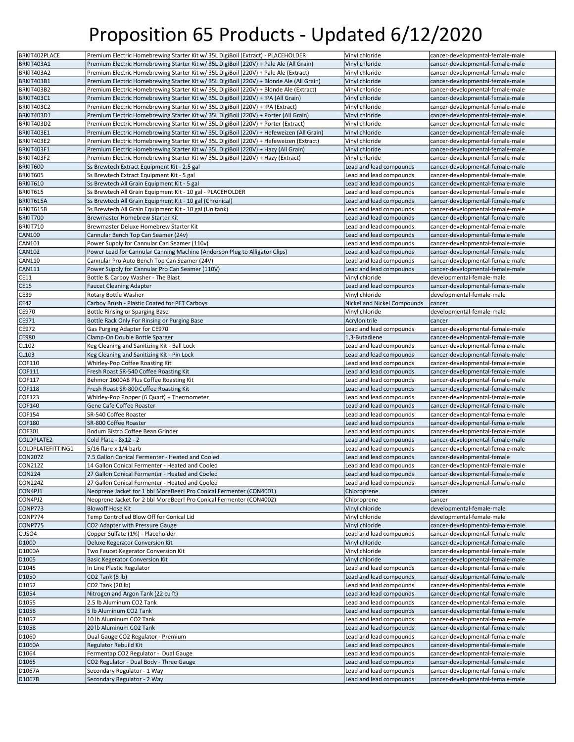| BRKIT402PLACE     | Premium Electric Homebrewing Starter Kit w/ 35L DigiBoil (Extract) - PLACEHOLDER         | Vinyl chloride              | cancer-developmental-female-male |
|-------------------|------------------------------------------------------------------------------------------|-----------------------------|----------------------------------|
| BRKIT403A1        | Premium Electric Homebrewing Starter Kit w/ 35L DigiBoil (220V) + Pale Ale (All Grain)   | Vinyl chloride              | cancer-developmental-female-male |
| BRKIT403A2        | Premium Electric Homebrewing Starter Kit w/ 35L DigiBoil (220V) + Pale Ale (Extract)     | Vinyl chloride              | cancer-developmental-female-male |
|                   |                                                                                          |                             |                                  |
| BRKIT403B1        | Premium Electric Homebrewing Starter Kit w/ 35L DigiBoil (220V) + Blonde Ale (All Grain) | Vinyl chloride              | cancer-developmental-female-male |
| BRKIT403B2        | Premium Electric Homebrewing Starter Kit w/ 35L DigiBoil (220V) + Blonde Ale (Extract)   | Vinyl chloride              | cancer-developmental-female-male |
| BRKIT403C1        | Premium Electric Homebrewing Starter Kit w/ 35L DigiBoil (220V) + IPA (All Grain)        | Vinyl chloride              | cancer-developmental-female-male |
| BRKIT403C2        | Premium Electric Homebrewing Starter Kit w/ 35L DigiBoil (220V) + IPA (Extract)          | Vinyl chloride              | cancer-developmental-female-male |
| BRKIT403D1        | Premium Electric Homebrewing Starter Kit w/ 35L DigiBoil (220V) + Porter (All Grain)     | Vinyl chloride              | cancer-developmental-female-male |
| BRKIT403D2        | Premium Electric Homebrewing Starter Kit w/ 35L DigiBoil (220V) + Porter (Extract)       | Vinyl chloride              | cancer-developmental-female-male |
| BRKIT403E1        | Premium Electric Homebrewing Starter Kit w/ 35L DigiBoil (220V) + Hefeweizen (All Grain) | Vinyl chloride              | cancer-developmental-female-male |
| BRKIT403E2        | Premium Electric Homebrewing Starter Kit w/ 35L DigiBoil (220V) + Hefeweizen (Extract)   | Vinyl chloride              | cancer-developmental-female-male |
| BRKIT403F1        | Premium Electric Homebrewing Starter Kit w/ 35L DigiBoil (220V) + Hazy (All Grain)       | Vinyl chloride              | cancer-developmental-female-male |
| BRKIT403F2        | Premium Electric Homebrewing Starter Kit w/ 35L DigiBoil (220V) + Hazy (Extract)         | Vinyl chloride              | cancer-developmental-female-male |
| BRKIT600          | Ss Brewtech Extract Equipment Kit - 2.5 gal                                              | Lead and lead compounds     | cancer-developmental-female-male |
|                   |                                                                                          |                             |                                  |
| BRKIT605          | Ss Brewtech Extract Equipment Kit - 5 gal                                                | Lead and lead compounds     | cancer-developmental-female-male |
| BRKIT610          | Ss Brewtech All Grain Equipment Kit - 5 gal                                              | Lead and lead compounds     | cancer-developmental-female-male |
| BRKIT615          | Ss Brewtech All Grain Equipment Kit - 10 gal - PLACEHOLDER                               | Lead and lead compounds     | cancer-developmental-female-male |
| BRKIT615A         | Ss Brewtech All Grain Equipment Kit - 10 gal (Chronical)                                 | Lead and lead compounds     | cancer-developmental-female-male |
| BRKIT615B         | Ss Brewtech All Grain Equipment Kit - 10 gal (Unitank)                                   | Lead and lead compounds     | cancer-developmental-female-male |
| BRKIT700          | Brewmaster Homebrew Starter Kit                                                          | Lead and lead compounds     | cancer-developmental-female-male |
| BRKIT710          | Brewmaster Deluxe Homebrew Starter Kit                                                   | Lead and lead compounds     | cancer-developmental-female-male |
| <b>CAN100</b>     | Cannular Bench Top Can Seamer (24v)                                                      | Lead and lead compounds     | cancer-developmental-female-male |
| <b>CAN101</b>     | Power Supply for Cannular Can Seamer (110v)                                              | Lead and lead compounds     | cancer-developmental-female-male |
| <b>CAN102</b>     | Power Lead for Cannular Canning Machine (Anderson Plug to Alligator Clips)               | Lead and lead compounds     | cancer-developmental-female-male |
| <b>CAN110</b>     | Cannular Pro Auto Bench Top Can Seamer (24V)                                             | Lead and lead compounds     | cancer-developmental-female-male |
|                   |                                                                                          |                             |                                  |
| <b>CAN111</b>     | Power Supply for Cannular Pro Can Seamer (110V)                                          | Lead and lead compounds     | cancer-developmental-female-male |
| CE11              | Bottle & Carboy Washer - The Blast                                                       | Vinyl chloride              | developmental-female-male        |
| <b>CE15</b>       | <b>Faucet Cleaning Adapter</b>                                                           | Lead and lead compounds     | cancer-developmental-female-male |
| <b>CE39</b>       | Rotary Bottle Washer                                                                     | Vinyl chloride              | developmental-female-male        |
| <b>CE42</b>       | Carboy Brush - Plastic Coated for PET Carboys                                            | Nickel and Nickel Compounds | cancer                           |
| CE970             | Bottle Rinsing or Sparging Base                                                          | Vinyl chloride              | developmental-female-male        |
| CE971             | Bottle Rack Only For Rinsing or Purging Base                                             | Acrylonitrile               | cancer                           |
| CE972             | Gas Purging Adapter for CE970                                                            | Lead and lead compounds     | cancer-developmental-female-male |
| <b>CE980</b>      | Clamp-On Double Bottle Sparger                                                           | 1,3-Butadiene               | cancer-developmental-female-male |
| CL102             | Keg Cleaning and Sanitizing Kit - Ball Lock                                              | Lead and lead compounds     | cancer-developmental-female-male |
|                   |                                                                                          |                             |                                  |
| CL103             | Keg Cleaning and Sanitizing Kit - Pin Lock                                               | Lead and lead compounds     | cancer-developmental-female-male |
| COF110            | Whirley-Pop Coffee Roasting Kit                                                          | Lead and lead compounds     | cancer-developmental-female-male |
| COF111            | Fresh Roast SR-540 Coffee Roasting Kit                                                   | Lead and lead compounds     | cancer-developmental-female-male |
| COF117            | Behmor 1600AB Plus Coffee Roasting Kit                                                   | Lead and lead compounds     | cancer-developmental-female-male |
| <b>COF118</b>     | Fresh Roast SR-800 Coffee Roasting Kit                                                   | Lead and lead compounds     | cancer-developmental-female-male |
| COF123            |                                                                                          |                             |                                  |
|                   | Whirley-Pop Popper (6 Quart) + Thermometer                                               | Lead and lead compounds     | cancer-developmental-female-male |
| COF140            | Gene Cafe Coffee Roaster                                                                 | Lead and lead compounds     | cancer-developmental-female-male |
|                   |                                                                                          |                             |                                  |
| COF154            | SR-540 Coffee Roaster                                                                    | Lead and lead compounds     | cancer-developmental-female-male |
| <b>COF180</b>     | SR-800 Coffee Roaster                                                                    | Lead and lead compounds     | cancer-developmental-female-male |
| COF301            | Bodum Bistro Coffee Bean Grinder                                                         | Lead and lead compounds     | cancer-developmental-female-male |
| COLDPLATE2        | Cold Plate - 8x12 - 2                                                                    | Lead and lead compounds     | cancer-developmental-female-male |
| COLDPLATEFITTING1 | $5/16$ flare x $1/4$ barb                                                                | Lead and lead compounds     | cancer-developmental-female-male |
| <b>CON207Z</b>    | 7.5 Gallon Conical Fermenter - Heated and Cooled                                         | Lead and lead compounds     | cancer-developmental-female      |
| <b>CON212Z</b>    | 14 Gallon Conical Fermenter - Heated and Cooled                                          | Lead and lead compounds     | cancer-developmental-female-male |
| CON224            | 27 Gallon Conical Fermenter - Heated and Cooled                                          | Lead and lead compounds     | cancer-developmental-female-male |
| <b>CON224Z</b>    | 27 Gallon Conical Fermenter - Heated and Cooled                                          | Lead and lead compounds     | cancer-developmental-female-male |
| CON4PJ1           | Neoprene Jacket for 1 bbl MoreBeer! Pro Conical Fermenter (CON4001)                      | Chloroprene                 | cancer                           |
| CON4PJ2           | Neoprene Jacket for 2 bbl MoreBeer! Pro Conical Fermenter (CON4002)                      | Chloroprene                 | cancer                           |
| CONP773           | <b>Blowoff Hose Kit</b>                                                                  | Vinyl chloride              | developmental-female-male        |
|                   | Temp Controlled Blow Off for Conical Lid                                                 | Vinyl chloride              | developmental-female-male        |
| CONP774           |                                                                                          |                             |                                  |
| CONP775           | CO2 Adapter with Pressure Gauge                                                          | Vinyl chloride              | cancer-developmental-female-male |
| CUSO4             | Copper Sulfate (1%) - Placeholder                                                        | Lead and lead compounds     | cancer-developmental-female-male |
| D1000             | Deluxe Kegerator Conversion Kit                                                          | Vinyl chloride              | cancer-developmental-female-male |
| D1000A            | Two Faucet Kegerator Conversion Kit                                                      | Vinyl chloride              | cancer-developmental-female-male |
| D1005             | <b>Basic Kegerator Conversion Kit</b>                                                    | Vinyl chloride              | cancer-developmental-female-male |
| D1045             | In Line Plastic Regulator                                                                | Lead and lead compounds     | cancer-developmental-female-male |
| D1050             | CO2 Tank (5 lb)                                                                          | Lead and lead compounds     | cancer-developmental-female-male |
| D1052             | CO2 Tank (20 lb)                                                                         | Lead and lead compounds     | cancer-developmental-female-male |
| D <sub>1054</sub> | Nitrogen and Argon Tank (22 cu ft)                                                       | Lead and lead compounds     | cancer-developmental-female-male |
| D1055             | 2.5 lb Aluminum CO2 Tank                                                                 | Lead and lead compounds     | cancer-developmental-female-male |
|                   |                                                                                          |                             |                                  |
| D <sub>1056</sub> | 5 lb Aluminum CO2 Tank                                                                   | Lead and lead compounds     | cancer-developmental-female-male |
| D <sub>1057</sub> | 10 lb Aluminum CO2 Tank                                                                  | Lead and lead compounds     | cancer-developmental-female-male |
| D1058             | 20 lb Aluminum CO2 Tank                                                                  | Lead and lead compounds     | cancer-developmental-female-male |
| D1060             | Dual Gauge CO2 Regulator - Premium                                                       | Lead and lead compounds     | cancer-developmental-female-male |
| D1060A            | Regulator Rebuild Kit                                                                    | Lead and lead compounds     | cancer-developmental-female-male |
| D1064             | Fermentap CO2 Regulator - Dual Gauge                                                     | Lead and lead compounds     | cancer-developmental-female-male |
| D1065             | CO2 Regulator - Dual Body - Three Gauge                                                  | Lead and lead compounds     | cancer-developmental-female-male |
| D1067A            | Secondary Regulator - 1 Way                                                              | Lead and lead compounds     | cancer-developmental-female-male |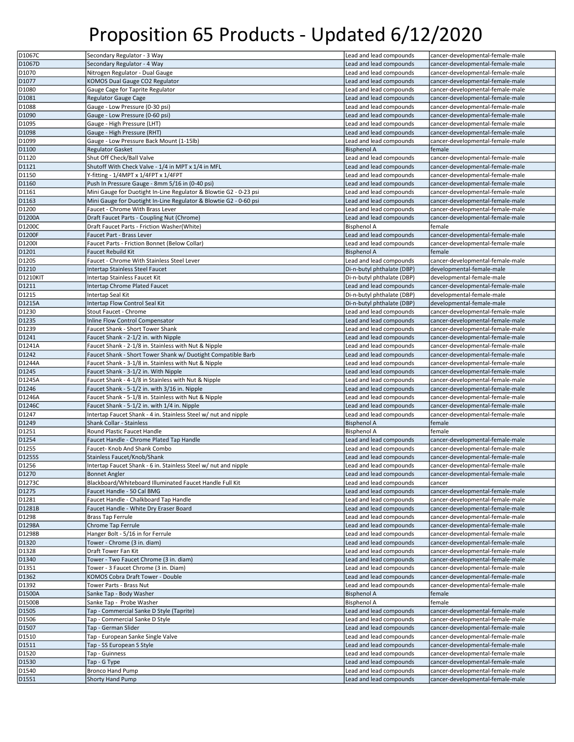| D1067C                              | Secondary Regulator - 3 Way                                       | Lead and lead compounds                            | cancer-developmental-female-male                                     |
|-------------------------------------|-------------------------------------------------------------------|----------------------------------------------------|----------------------------------------------------------------------|
| D <sub>1067D</sub>                  | Secondary Regulator - 4 Way                                       | Lead and lead compounds                            | cancer-developmental-female-male                                     |
| D1070                               | Nitrogen Regulator - Dual Gauge                                   | Lead and lead compounds                            | cancer-developmental-female-male                                     |
| D1077                               | KOMOS Dual Gauge CO2 Regulator                                    | Lead and lead compounds                            | cancer-developmental-female-male                                     |
|                                     |                                                                   |                                                    |                                                                      |
| D1080                               | Gauge Cage for Taprite Regulator                                  | Lead and lead compounds                            | cancer-developmental-female-male                                     |
| D1081                               | <b>Regulator Gauge Cage</b>                                       | Lead and lead compounds                            | cancer-developmental-female-male                                     |
| D1088                               | Gauge - Low Pressure (0-30 psi)                                   | Lead and lead compounds                            | cancer-developmental-female-male                                     |
| D1090                               | Gauge - Low Pressure (0-60 psi)                                   | Lead and lead compounds                            | cancer-developmental-female-male                                     |
| D1095                               | Gauge - High Pressure (LHT)                                       | Lead and lead compounds                            | cancer-developmental-female-male                                     |
| D1098                               | Gauge - High Pressure (RHT)                                       | Lead and lead compounds                            | cancer-developmental-female-male                                     |
| D1099                               | Gauge - Low Pressure Back Mount (1-15lb)                          | Lead and lead compounds                            | cancer-developmental-female-male                                     |
| D1100                               | <b>Regulator Gasket</b>                                           | <b>Bisphenol A</b>                                 | female                                                               |
| D1120                               | Shut Off Check/Ball Valve                                         | Lead and lead compounds                            | cancer-developmental-female-male                                     |
| D1121                               | Shutoff With Check Valve - 1/4 in MPT x 1/4 in MFL                | Lead and lead compounds                            | cancer-developmental-female-male                                     |
| D1150                               | Y-fitting - 1/4MPT x 1/4FPT x 1/4FPT                              | Lead and lead compounds                            | cancer-developmental-female-male                                     |
| D1160                               | Push In Pressure Gauge - 8mm 5/16 in (0-40 psi)                   | Lead and lead compounds                            | cancer-developmental-female-male                                     |
| D1161                               | Mini Gauge for Duotight In-Line Regulator & Blowtie G2 - 0-23 psi | Lead and lead compounds                            | cancer-developmental-female-male                                     |
| D1163                               | Mini Gauge for Duotight In-Line Regulator & Blowtie G2 - 0-60 psi | Lead and lead compounds                            | cancer-developmental-female-male                                     |
| D1200                               | Faucet - Chrome With Brass Lever                                  | Lead and lead compounds                            | cancer-developmental-female-male                                     |
| D1200A                              | Draft Faucet Parts - Coupling Nut (Chrome)                        | Lead and lead compounds                            | cancer-developmental-female-male                                     |
|                                     |                                                                   |                                                    |                                                                      |
| D1200C                              | Draft Faucet Parts - Friction Washer(White)                       | <b>Bisphenol A</b>                                 | female                                                               |
| D1200F                              | Faucet Part - Brass Lever                                         | Lead and lead compounds                            | cancer-developmental-female-male                                     |
| D1200I                              | Faucet Parts - Friction Bonnet (Below Collar)                     | Lead and lead compounds                            | cancer-developmental-female-male                                     |
| D1201                               | <b>Faucet Rebuild Kit</b>                                         | <b>Bisphenol A</b>                                 | female                                                               |
| D1205                               | Faucet - Chrome With Stainless Steel Lever                        | Lead and lead compounds                            | cancer-developmental-female-male                                     |
| D1210                               | Intertap Stainless Steel Faucet                                   | Di-n-butyl phthalate (DBP)                         | developmental-female-male                                            |
| <b>D1210KIT</b>                     | Intertap Stainless Faucet Kit                                     | Di-n-butyl phthalate (DBP)                         | developmental-female-male                                            |
| D1211                               | Intertap Chrome Plated Faucet                                     | Lead and lead compounds                            | cancer-developmental-female-male                                     |
| D1215                               | Intertap Seal Kit                                                 | Di-n-butyl phthalate (DBP)                         | developmental-female-male                                            |
| D1215A                              | Intertap Flow Control Seal Kit                                    | Di-n-butyl phthalate (DBP)                         | developmental-female-male                                            |
| D1230                               | Stout Faucet - Chrome                                             | Lead and lead compounds                            | cancer-developmental-female-male                                     |
| D1235                               | Inline Flow Control Compensator                                   | Lead and lead compounds                            | cancer-developmental-female-male                                     |
| D1239                               | Faucet Shank - Short Tower Shank                                  | Lead and lead compounds                            | cancer-developmental-female-male                                     |
| D1241                               | Faucet Shank - 2-1/2 in. with Nipple                              | Lead and lead compounds                            | cancer-developmental-female-male                                     |
| D1241A                              | Faucet Shank - 2-1/8 in. Stainless with Nut & Nipple              | Lead and lead compounds                            | cancer-developmental-female-male                                     |
| D1242                               | Faucet Shank - Short Tower Shank w/ Duotight Compatible Barb      | Lead and lead compounds                            | cancer-developmental-female-male                                     |
| D1244A                              | Faucet Shank - 3-1/8 in. Stainless with Nut & Nipple              | Lead and lead compounds                            | cancer-developmental-female-male                                     |
| D1245                               | Faucet Shank - 3-1/2 in. With Nipple                              | Lead and lead compounds                            | cancer-developmental-female-male                                     |
| D1245A                              | Faucet Shank - 4-1/8 in Stainless with Nut & Nipple               | Lead and lead compounds                            | cancer-developmental-female-male                                     |
| D1246                               | Faucet Shank - 5-1/2 in. with 3/16 in. Nipple                     | Lead and lead compounds                            | cancer-developmental-female-male                                     |
| D1246A                              | Faucet Shank - 5-1/8 in. Stainless with Nut & Nipple              | Lead and lead compounds                            | cancer-developmental-female-male                                     |
| D1246C                              | Faucet Shank - 5-1/2 in. with 1/4 in. Nipple                      | Lead and lead compounds                            | cancer-developmental-female-male                                     |
| D1247                               | Intertap Faucet Shank - 4 in. Stainless Steel w/ nut and nipple   | Lead and lead compounds                            | cancer-developmental-female-male                                     |
| D1249                               | <b>Shank Collar - Stainless</b>                                   | <b>Bisphenol A</b>                                 | female                                                               |
| D1251                               | Round Plastic Faucet Handle                                       | <b>Bisphenol A</b>                                 | female                                                               |
| D1254                               | Faucet Handle - Chrome Plated Tap Handle                          | Lead and lead compounds                            | cancer-developmental-female-male                                     |
| D1255                               | Faucet- Knob And Shank Combo                                      | Lead and lead compounds                            | cancer-developmental-female-male                                     |
| D1255S                              | Stainless Faucet/Knob/Shank                                       | Lead and lead compounds                            | cancer-developmental-female-male                                     |
| D1256                               | Intertap Faucet Shank - 6 in. Stainless Steel w/ nut and nipple   | Lead and lead compounds                            | cancer-developmental-female-male                                     |
| D <sub>1270</sub>                   | <b>Bonnet Angler</b>                                              | Lead and lead compounds                            | cancer-developmental-female-male                                     |
| D1273C                              | Blackboard/Whiteboard Illuminated Faucet Handle Full Kit          | Lead and lead compounds                            | cancer                                                               |
| D1275                               | Faucet Handle - 50 Cal BMG                                        | Lead and lead compounds                            | cancer-developmental-female-male                                     |
| D1281                               | Faucet Handle - Chalkboard Tap Handle                             | Lead and lead compounds                            | cancer-developmental-female-male                                     |
| D1281B                              | Faucet Handle - White Dry Eraser Board                            | Lead and lead compounds                            | cancer-developmental-female-male                                     |
| D1298                               | <b>Brass Tap Ferrule</b>                                          | Lead and lead compounds                            | cancer-developmental-female-male                                     |
| D1298A                              | Chrome Tap Ferrule                                                | Lead and lead compounds                            | cancer-developmental-female-male                                     |
| D1298B                              | Hanger Bolt - 5/16 in for Ferrule                                 | Lead and lead compounds                            | cancer-developmental-female-male                                     |
| D1320                               | Tower - Chrome (3 in. diam)                                       | Lead and lead compounds                            | cancer-developmental-female-male                                     |
| D1328                               | Draft Tower Fan Kit                                               | Lead and lead compounds                            | cancer-developmental-female-male                                     |
| D1340                               | Tower - Two Faucet Chrome (3 in. diam)                            | Lead and lead compounds                            | cancer-developmental-female-male                                     |
| D1351                               | Tower - 3 Faucet Chrome (3 in. Diam)                              | Lead and lead compounds                            | cancer-developmental-female-male                                     |
| D1362                               | KOMOS Cobra Draft Tower - Double                                  | Lead and lead compounds                            | cancer-developmental-female-male                                     |
| D1392                               | Tower Parts - Brass Nut                                           | Lead and lead compounds                            | cancer-developmental-female-male                                     |
| D1500A                              | Sanke Tap - Body Washer                                           | <b>Bisphenol A</b>                                 | female                                                               |
| D1500B                              | Sanke Tap - Probe Washer                                          | <b>Bisphenol A</b>                                 | female                                                               |
| D1505                               | Tap - Commercial Sanke D Style (Taprite)                          | Lead and lead compounds                            | cancer-developmental-female-male                                     |
| D1506                               | Tap - Commercial Sanke D Style                                    | Lead and lead compounds                            | cancer-developmental-female-male                                     |
| D1507                               |                                                                   | Lead and lead compounds                            | cancer-developmental-female-male                                     |
|                                     | Tap - German Slider                                               | Lead and lead compounds                            | cancer-developmental-female-male                                     |
| D1510<br>D1511                      | Tap - European Sanke Single Valve                                 |                                                    |                                                                      |
|                                     | Tap - SS European S Style                                         | Lead and lead compounds<br>Lead and lead compounds | cancer-developmental-female-male<br>cancer-developmental-female-male |
| D1520                               |                                                                   |                                                    |                                                                      |
|                                     | Tap - Guinness                                                    |                                                    |                                                                      |
|                                     | Tap - G Type                                                      | Lead and lead compounds                            | cancer-developmental-female-male                                     |
| D1530<br>D1540<br>D <sub>1551</sub> | <b>Bronco Hand Pump</b><br><b>Shorty Hand Pump</b>                | Lead and lead compounds<br>Lead and lead compounds | cancer-developmental-female-male<br>cancer-developmental-female-male |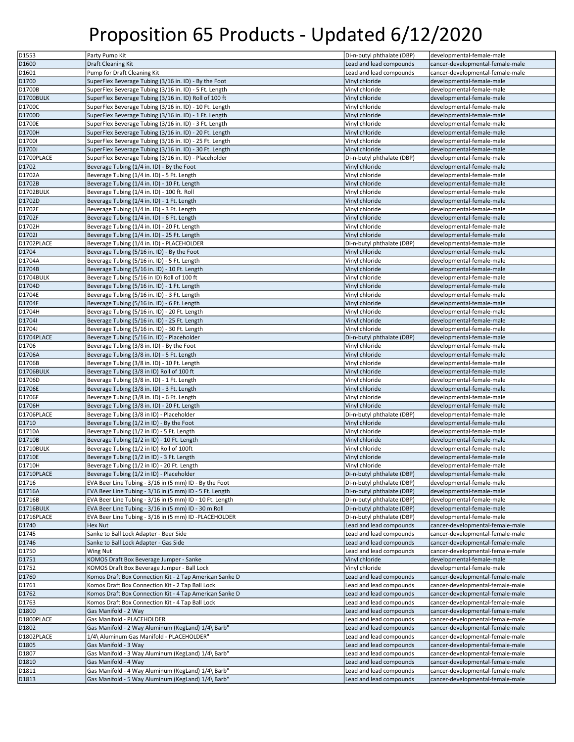| D1553                   | Party Pump Kit                                                                                                | Di-n-butyl phthalate (DBP)                               | developmental-female-male                                            |
|-------------------------|---------------------------------------------------------------------------------------------------------------|----------------------------------------------------------|----------------------------------------------------------------------|
| D1600                   | <b>Draft Cleaning Kit</b>                                                                                     | Lead and lead compounds                                  | cancer-developmental-female-male                                     |
| D1601                   | Pump for Draft Cleaning Kit                                                                                   | Lead and lead compounds                                  | cancer-developmental-female-male                                     |
| D1700                   | SuperFlex Beverage Tubing (3/16 in. ID) - By the Foot                                                         | Vinyl chloride                                           | developmental-female-male                                            |
| D1700B                  | SuperFlex Beverage Tubing (3/16 in. ID) - 5 Ft. Length                                                        | Vinyl chloride                                           | developmental-female-male                                            |
| D1700BULK               | SuperFlex Beverage Tubing (3/16 in. ID) Roll of 100 ft                                                        | Vinyl chloride                                           | developmental-female-male                                            |
| D1700C                  | SuperFlex Beverage Tubing (3/16 in. ID) - 10 Ft. Length                                                       | Vinyl chloride                                           | developmental-female-male                                            |
| D1700D                  | SuperFlex Beverage Tubing (3/16 in. ID) - 1 Ft. Length                                                        | Vinyl chloride                                           | developmental-female-male                                            |
| D1700E                  | SuperFlex Beverage Tubing (3/16 in. ID) - 3 Ft. Length                                                        | Vinyl chloride                                           | developmental-female-male                                            |
| D1700H                  | SuperFlex Beverage Tubing (3/16 in. ID) - 20 Ft. Length                                                       | Vinyl chloride                                           | developmental-female-male                                            |
| D1700I                  | SuperFlex Beverage Tubing (3/16 in. ID) - 25 Ft. Length                                                       | Vinyl chloride                                           | developmental-female-male                                            |
| D1700J                  | SuperFlex Beverage Tubing (3/16 in. ID) - 30 Ft. Length                                                       | Vinyl chloride                                           | developmental-female-male                                            |
| D1700PLACE              | SuperFlex Beverage Tubing (3/16 in. ID) - Placeholder                                                         | Di-n-butyl phthalate (DBP)                               | developmental-female-male                                            |
| D1702                   | Beverage Tubing (1/4 in. ID) - By the Foot                                                                    | Vinyl chloride                                           | developmental-female-male                                            |
| D1702A                  | Beverage Tubing (1/4 in. ID) - 5 Ft. Length                                                                   | Vinyl chloride                                           | developmental-female-male                                            |
| D1702B                  | Beverage Tubing (1/4 in. ID) - 10 Ft. Length                                                                  | Vinyl chloride                                           | developmental-female-male                                            |
| D1702BULK               | Beverage Tubing (1/4 in. ID) - 100 ft. Roll                                                                   | Vinyl chloride                                           | developmental-female-male                                            |
| D1702D                  | Beverage Tubing (1/4 in. ID) - 1 Ft. Length                                                                   | Vinyl chloride                                           | developmental-female-male                                            |
| D1702E                  | Beverage Tubing (1/4 in. ID) - 3 Ft. Length                                                                   | Vinyl chloride                                           | developmental-female-male                                            |
| D1702F                  | Beverage Tubing (1/4 in. ID) - 6 Ft. Length                                                                   | Vinyl chloride                                           | developmental-female-male                                            |
| D1702H                  | Beverage Tubing (1/4 in. ID) - 20 Ft. Length                                                                  | Vinyl chloride                                           | developmental-female-male                                            |
| D1702I                  | Beverage Tubing (1/4 in. ID) - 25 Ft. Length                                                                  | Vinyl chloride                                           | developmental-female-male                                            |
| D1702PLACE              | Beverage Tubing (1/4 in. ID) - PLACEHOLDER                                                                    | Di-n-butyl phthalate (DBP)                               | developmental-female-male                                            |
| D1704                   | Beverage Tubing (5/16 in. ID) - By the Foot                                                                   | Vinyl chloride                                           | developmental-female-male                                            |
| D1704A                  | Beverage Tubing (5/16 in. ID) - 5 Ft. Length                                                                  | Vinyl chloride                                           | developmental-female-male                                            |
| D1704B                  | Beverage Tubing (5/16 in. ID) - 10 Ft. Length                                                                 | Vinyl chloride                                           | developmental-female-male                                            |
| D1704BULK               | Beverage Tubing (5/16 in ID) Roll of 100 ft                                                                   | Vinyl chloride                                           | developmental-female-male                                            |
| D1704D                  | Beverage Tubing (5/16 in. ID) - 1 Ft. Length                                                                  | Vinyl chloride                                           | developmental-female-male                                            |
| D1704E                  | Beverage Tubing (5/16 in. ID) - 3 Ft. Length                                                                  | Vinyl chloride                                           | developmental-female-male                                            |
| D1704F                  | Beverage Tubing (5/16 in. ID) - 6 Ft. Length                                                                  | Vinyl chloride                                           | developmental-female-male                                            |
| D1704H                  | Beverage Tubing (5/16 in. ID) - 20 Ft. Length                                                                 | Vinyl chloride                                           | developmental-female-male                                            |
| D1704I                  | Beverage Tubing (5/16 in. ID) - 25 Ft. Length                                                                 | Vinyl chloride                                           | developmental-female-male                                            |
| D1704J                  | Beverage Tubing (5/16 in. ID) - 30 Ft. Length                                                                 | Vinyl chloride                                           | developmental-female-male                                            |
| D1704PLACE              | Beverage Tubing (5/16 in. ID) - Placeholder                                                                   | Di-n-butyl phthalate (DBP)                               | developmental-female-male                                            |
| D1706                   | Beverage Tubing (3/8 in. ID) - By the Foot                                                                    | Vinyl chloride                                           | developmental-female-male                                            |
| D1706A                  | Beverage Tubing (3/8 in. ID) - 5 Ft. Length                                                                   | Vinyl chloride                                           | developmental-female-male                                            |
| D1706B                  | Beverage Tubing (3/8 in. ID) - 10 Ft. Length                                                                  | Vinyl chloride                                           | developmental-female-male                                            |
| D1706BULK               | Beverage Tubing (3/8 in ID) Roll of 100 ft                                                                    | Vinyl chloride                                           | developmental-female-male                                            |
| D1706D                  | Beverage Tubing (3/8 in. ID) - 1 Ft. Length                                                                   | Vinyl chloride                                           | developmental-female-male                                            |
| D1706E                  | Beverage Tubing (3/8 in. ID) - 3 Ft. Length                                                                   | Vinyl chloride                                           | developmental-female-male                                            |
| D1706F                  | Beverage Tubing (3/8 in. ID) - 6 Ft. Length                                                                   | Vinyl chloride                                           | developmental-female-male                                            |
| D1706H                  | Beverage Tubing (3/8 in. ID) - 20 Ft. Length                                                                  | Vinyl chloride                                           | developmental-female-male                                            |
| D1706PLACE              | Beverage Tubing (3/8 in ID) - Placeholder                                                                     | Di-n-butyl phthalate (DBP)                               | developmental-female-male                                            |
| D1710                   | Beverage Tubing (1/2 in ID) - By the Foot                                                                     | Vinyl chloride                                           | developmental-female-male                                            |
| D1710A                  | Beverage Tubing (1/2 in ID) - 5 Ft. Length                                                                    | Vinyl chloride                                           | developmental-female-male                                            |
| D1710B                  | Beverage Tubing (1/2 in ID) - 10 Ft. Length                                                                   | Vinyl chloride                                           | developmental-female-male                                            |
| D1710BULK               | Beverage Tubing (1/2 in ID) Roll of 100ft                                                                     | Vinyl chloride                                           | developmental-female-male                                            |
| D1710E                  | Beverage Tubing (1/2 in ID) - 3 Ft. Length                                                                    | Vinyl chloride                                           | developmental-female-male                                            |
| D1710H                  | Beverage Tubing (1/2 in ID) - 20 Ft. Length                                                                   | Vinyl chloride                                           | developmental-female-male                                            |
| D1710PLACE              | Beverage Tubing (1/2 in ID) - Placeholder                                                                     | Di-n-butyl phthalate (DBP)                               | developmental-female-male                                            |
| D1716                   | EVA Beer Line Tubing - 3/16 in (5 mm) ID - By the Foot                                                        | Di-n-butyl phthalate (DBP)                               | developmental-female-male                                            |
| D1716A                  | EVA Beer Line Tubing - 3/16 in (5 mm) ID - 5 Ft. Length                                                       | Di-n-butyl phthalate (DBP)                               | developmental-female-male<br>developmental-female-male               |
| D1716B                  | EVA Beer Line Tubing - 3/16 in (5 mm) ID - 10 Ft. Length                                                      | Di-n-butyl phthalate (DBP)                               |                                                                      |
| D1716BULK<br>D1716PLACE | EVA Beer Line Tubing - 3/16 in (5 mm) ID - 30 m Roll<br>EVA Beer Line Tubing - 3/16 in (5 mm) ID -PLACEHOLDER | Di-n-butyl phthalate (DBP)<br>Di-n-butyl phthalate (DBP) | developmental-female-male<br>developmental-female-male               |
|                         |                                                                                                               | Lead and lead compounds                                  |                                                                      |
| D1740<br>D1745          | Hex Nut<br>Sanke to Ball Lock Adapter - Beer Side                                                             | Lead and lead compounds                                  | cancer-developmental-female-male<br>cancer-developmental-female-male |
| D1746                   | Sanke to Ball Lock Adapter - Gas Side                                                                         | Lead and lead compounds                                  | cancer-developmental-female-male                                     |
|                         |                                                                                                               | Lead and lead compounds                                  | cancer-developmental-female-male                                     |
| D1750<br>D1751          | Wing Nut<br>KOMOS Draft Box Beverage Jumper - Sanke                                                           | Vinyl chloride                                           | developmental-female-male                                            |
| D1752                   | KOMOS Draft Box Beverage Jumper - Ball Lock                                                                   | Vinyl chloride                                           | developmental-female-male                                            |
| D1760                   | Komos Draft Box Connection Kit - 2 Tap American Sanke D                                                       | Lead and lead compounds                                  | cancer-developmental-female-male                                     |
| D1761                   | Komos Draft Box Connection Kit - 2 Tap Ball Lock                                                              | Lead and lead compounds                                  | cancer-developmental-female-male                                     |
| D1762                   | Komos Draft Box Connection Kit - 4 Tap American Sanke D                                                       | Lead and lead compounds                                  | cancer-developmental-female-male                                     |
| D1763                   | Komos Draft Box Connection Kit - 4 Tap Ball Lock                                                              | Lead and lead compounds                                  | cancer-developmental-female-male                                     |
| D1800                   | Gas Manifold - 2 Way                                                                                          | Lead and lead compounds                                  | cancer-developmental-female-male                                     |
| D1800PLACE              | Gas Manifold - PLACEHOLDER                                                                                    | Lead and lead compounds                                  | cancer-developmental-female-male                                     |
| D1802                   | Gas Manifold - 2 Way Aluminum (KegLand) 1/4\ Barb"                                                            | Lead and lead compounds                                  | cancer-developmental-female-male                                     |
| D1802PLACE              | 1/4\ Aluminum Gas Manifold - PLACEHOLDER"                                                                     | Lead and lead compounds                                  | cancer-developmental-female-male                                     |
| D1805                   | Gas Manifold - 3 Way                                                                                          | Lead and lead compounds                                  | cancer-developmental-female-male                                     |
| D1807                   | Gas Manifold - 3 Way Aluminum (KegLand) 1/4\ Barb"                                                            | Lead and lead compounds                                  | cancer-developmental-female-male                                     |
| D1810                   | Gas Manifold - 4 Way                                                                                          | Lead and lead compounds                                  | cancer-developmental-female-male                                     |
| D1811                   | Gas Manifold - 4 Way Aluminum (KegLand) 1/4\ Barb"                                                            | Lead and lead compounds                                  | cancer-developmental-female-male                                     |
| D1813                   | Gas Manifold - 5 Way Aluminum (KegLand) 1/4\ Barb"                                                            | Lead and lead compounds                                  | cancer-developmental-female-male                                     |
|                         |                                                                                                               |                                                          |                                                                      |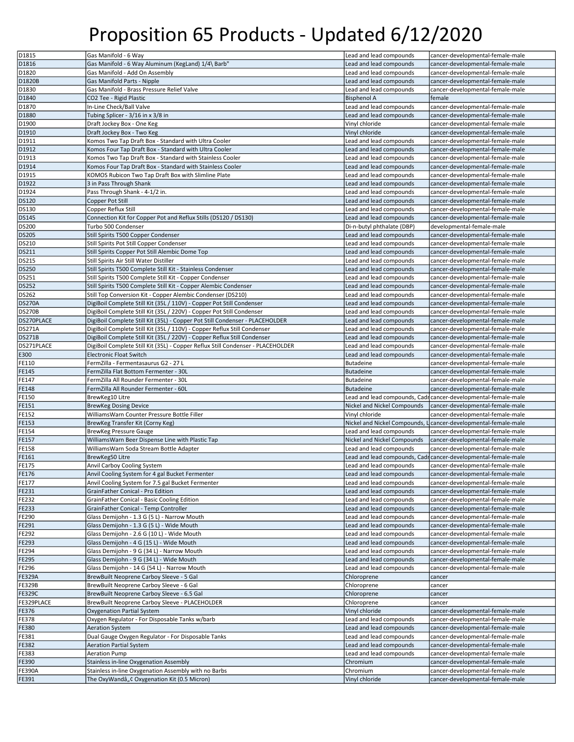| D <sub>1815</sub>       | Gas Manifold - 6 Way                                                            | Lead and lead compounds      | cancer-developmental-female-male                              |
|-------------------------|---------------------------------------------------------------------------------|------------------------------|---------------------------------------------------------------|
| D1816                   | Gas Manifold - 6 Way Aluminum (KegLand) 1/4\ Barb"                              | Lead and lead compounds      | cancer-developmental-female-male                              |
| D1820                   | Gas Manifold - Add On Assembly                                                  | Lead and lead compounds      | cancer-developmental-female-male                              |
|                         |                                                                                 |                              |                                                               |
| D1820B                  | Gas Manifold Parts - Nipple                                                     | Lead and lead compounds      | cancer-developmental-female-male                              |
| D1830                   | Gas Manifold - Brass Pressure Relief Valve                                      | Lead and lead compounds      | cancer-developmental-female-male                              |
| D <sub>1840</sub>       | CO2 Tee - Rigid Plastic                                                         | <b>Bisphenol A</b>           | female                                                        |
| D1870                   | In-Line Check/Ball Valve                                                        | Lead and lead compounds      | cancer-developmental-female-male                              |
| D1880                   | Tubing Splicer - 3/16 in x 3/8 in                                               | Lead and lead compounds      | cancer-developmental-female-male                              |
| D1900                   | Draft Jockey Box - One Keg                                                      | Vinyl chloride               | cancer-developmental-female-male                              |
| D1910                   | Draft Jockey Box - Two Keg                                                      | Vinyl chloride               | cancer-developmental-female-male                              |
| D1911                   | Komos Two Tap Draft Box - Standard with Ultra Cooler                            | Lead and lead compounds      | cancer-developmental-female-male                              |
|                         |                                                                                 |                              |                                                               |
| D1912                   | Komos Four Tap Draft Box - Standard with Ultra Cooler                           | Lead and lead compounds      | cancer-developmental-female-male                              |
| D1913                   | Komos Two Tap Draft Box - Standard with Stainless Cooler                        | Lead and lead compounds      | cancer-developmental-female-male                              |
| D1914                   | Komos Four Tap Draft Box - Standard with Stainless Cooler                       | Lead and lead compounds      | cancer-developmental-female-male                              |
| D1915                   | KOMOS Rubicon Two Tap Draft Box with Slimline Plate                             | Lead and lead compounds      | cancer-developmental-female-male                              |
| D1922                   | 3 in Pass Through Shank                                                         | Lead and lead compounds      | cancer-developmental-female-male                              |
| D1924                   | Pass Through Shank - 4-1/2 in.                                                  | Lead and lead compounds      | cancer-developmental-female-male                              |
| <b>DS120</b>            | Copper Pot Still                                                                | Lead and lead compounds      | cancer-developmental-female-male                              |
| <b>DS130</b>            | Copper Reflux Still                                                             | Lead and lead compounds      | cancer-developmental-female-male                              |
|                         |                                                                                 |                              |                                                               |
| <b>DS145</b>            | Connection Kit for Copper Pot and Reflux Stills (DS120 / DS130)                 | Lead and lead compounds      | cancer-developmental-female-male                              |
| <b>DS200</b>            | Turbo 500 Condenser                                                             | Di-n-butyl phthalate (DBP)   | developmental-female-male                                     |
| <b>DS205</b>            | Still Spirits T500 Copper Condenser                                             | Lead and lead compounds      | cancer-developmental-female-male                              |
| DS210                   | Still Spirits Pot Still Copper Condenser                                        | Lead and lead compounds      | cancer-developmental-female-male                              |
| <b>DS211</b>            | Still Spirits Copper Pot Still Alembic Dome Top                                 | Lead and lead compounds      | cancer-developmental-female-male                              |
| <b>DS215</b>            | Still Spirits Air Still Water Distiller                                         | Lead and lead compounds      | cancer-developmental-female-male                              |
|                         |                                                                                 |                              | cancer-developmental-female-male                              |
| <b>DS250</b>            | Still Spirits T500 Complete Still Kit - Stainless Condenser                     | Lead and lead compounds      |                                                               |
| <b>DS251</b>            | Still Spirits T500 Complete Still Kit - Copper Condenser                        | Lead and lead compounds      | cancer-developmental-female-male                              |
| <b>DS252</b>            | Still Spirits T500 Complete Still Kit - Copper Alembic Condenser                | Lead and lead compounds      | cancer-developmental-female-male                              |
| <b>DS262</b>            | Still Top Conversion Kit - Copper Alembic Condenser (DS210)                     | Lead and lead compounds      | cancer-developmental-female-male                              |
| <b>DS270A</b>           | DigiBoil Complete Still Kit (35L / 110V) - Copper Pot Still Condenser           | Lead and lead compounds      | cancer-developmental-female-male                              |
| <b>DS270B</b>           | DigiBoil Complete Still Kit (35L / 220V) - Copper Pot Still Condenser           | Lead and lead compounds      | cancer-developmental-female-male                              |
| DS270PLACE              | DigiBoil Complete Still Kit (35L) - Copper Pot Still Condenser - PLACEHOLDER    | Lead and lead compounds      | cancer-developmental-female-male                              |
|                         |                                                                                 |                              |                                                               |
| <b>DS271A</b>           | DigiBoil Complete Still Kit (35L / 110V) - Copper Reflux Still Condenser        | Lead and lead compounds      | cancer-developmental-female-male                              |
| <b>DS271B</b>           | DigiBoil Complete Still Kit (35L / 220V) - Copper Reflux Still Condenser        | Lead and lead compounds      | cancer-developmental-female-male                              |
| DS271PLACE              | DigiBoil Complete Still Kit (35L) - Copper Reflux Still Condenser - PLACEHOLDER | Lead and lead compounds      | cancer-developmental-female-male                              |
| E300                    | <b>Electronic Float Switch</b>                                                  | Lead and lead compounds      | cancer-developmental-female-male                              |
| FE110                   | FermZilla - Fermentasaurus G2 - 27 L                                            | Butadeine                    | cancer-developmental-female-male                              |
| FE145                   |                                                                                 |                              |                                                               |
|                         |                                                                                 |                              |                                                               |
|                         | FermZilla Flat Bottom Fermenter - 30L                                           | <b>Butadeine</b>             | cancer-developmental-female-male                              |
| FE147                   | FermZilla All Rounder Fermenter - 30L                                           | Butadeine                    | cancer-developmental-female-male                              |
| FE148                   | FermZilla All Rounder Fermenter - 60L                                           | Butadeine                    | cancer-developmental-female-male                              |
| FE150                   | BrewKeg10 Litre                                                                 |                              | Lead and lead compounds, Cadicancer-developmental-female-male |
| FE151                   | <b>BrewKeg Dosing Device</b>                                                    | Nickel and Nickel Compounds  | cancer-developmental-female-male                              |
| FE152                   | WilliamsWarn Counter Pressure Bottle Filler                                     | Vinyl chloride               | cancer-developmental-female-male                              |
| FE153                   | BrewKeg Transfer Kit (Corny Keg)                                                | Nickel and Nickel Compounds, | Licancer-developmental-female-male                            |
|                         |                                                                                 |                              | cancer-developmental-female-male                              |
| FE154                   | <b>BrewKeg Pressure Gauge</b>                                                   | Lead and lead compounds      |                                                               |
| FE157                   | WilliamsWarn Beer Dispense Line with Plastic Tap                                | Nickel and Nickel Compounds  | cancer-developmental-female-male                              |
| FE158                   | WilliamsWarn Soda Stream Bottle Adapter                                         | Lead and lead compounds      | cancer-developmental-female-male                              |
| FE161                   | BrewKeg50 Litre                                                                 |                              | Lead and lead compounds. Cadicancer-developmental-female-male |
| FE175                   | Anvil Carboy Cooling System                                                     | Lead and lead compounds      | cancer-developmental-female-male                              |
| FE176                   | Anvil Cooling System for 4 gal Bucket Fermenter                                 | Lead and lead compounds      | cancer-developmental-female-male                              |
|                         | Anvil Cooling System for 7.5 gal Bucket Fermenter                               | Lead and lead compounds      | cancer-developmental-female-male                              |
|                         | GrainFather Conical - Pro Edition                                               | Lead and lead compounds      | cancer-developmental-female-male                              |
|                         |                                                                                 |                              |                                                               |
| FE232                   | GrainFather Conical - Basic Cooling Edition                                     | Lead and lead compounds      | cancer-developmental-female-male                              |
| FE233                   | GrainFather Conical - Temp Controller                                           | Lead and lead compounds      | cancer-developmental-female-male                              |
| FE290                   | Glass Demijohn - 1.3 G (5 L) - Narrow Mouth                                     | Lead and lead compounds      | cancer-developmental-female-male                              |
| FE177<br>FE231<br>FE291 | Glass Demijohn - 1.3 G (5 L) - Wide Mouth                                       | Lead and lead compounds      | cancer-developmental-female-male                              |
| FE292                   | Glass Demijohn - 2.6 G (10 L) - Wide Mouth                                      | Lead and lead compounds      | cancer-developmental-female-male                              |
| FE293                   | Glass Demijohn - 4 G (15 L) - Wide Mouth                                        | Lead and lead compounds      | cancer-developmental-female-male                              |
| FE294                   | Glass Demijohn - 9 G (34 L) - Narrow Mouth                                      | Lead and lead compounds      | cancer-developmental-female-male                              |
|                         |                                                                                 | Lead and lead compounds      |                                                               |
| FE295                   | Glass Demijohn - 9 G (34 L) - Wide Mouth                                        |                              | cancer-developmental-female-male                              |
| FE296                   | Glass Demijohn - 14 G (54 L) - Narrow Mouth                                     | Lead and lead compounds      | cancer-developmental-female-male                              |
| <b>FE329A</b>           | BrewBuilt Neoprene Carboy Sleeve - 5 Gal                                        | Chloroprene                  | cancer                                                        |
| <b>FE329B</b>           | BrewBuilt Neoprene Carboy Sleeve - 6 Gal                                        | Chloroprene                  | cancer                                                        |
| <b>FE329C</b>           | BrewBuilt Neoprene Carboy Sleeve - 6.5 Gal                                      | Chloroprene                  | cancer                                                        |
| FE329PLACE              | BrewBuilt Neoprene Carboy Sleeve - PLACEHOLDER                                  | Chloroprene                  | cancer                                                        |
| FE376                   | Oxygenation Partial System                                                      | Vinyl chloride               | cancer-developmental-female-male                              |
|                         |                                                                                 |                              |                                                               |
| FE378                   | Oxygen Regulator - For Disposable Tanks w/barb                                  | Lead and lead compounds      | cancer-developmental-female-male                              |
| FE380                   | <b>Aeration System</b>                                                          | Lead and lead compounds      | cancer-developmental-female-male                              |
| FE381                   | Dual Gauge Oxygen Regulator - For Disposable Tanks                              | Lead and lead compounds      | cancer-developmental-female-male                              |
| FE382                   | <b>Aeration Partial System</b>                                                  | Lead and lead compounds      | cancer-developmental-female-male                              |
| FE383                   | <b>Aeration Pump</b>                                                            | Lead and lead compounds      | cancer-developmental-female-male                              |
| FE390                   | Stainless in-line Oxygenation Assembly                                          | Chromium                     | cancer-developmental-female-male                              |
|                         | Stainless in-line Oxygenation Assembly with no Barbs                            | Chromium                     | cancer-developmental-female-male                              |
| FE390A<br>FE391         | The OxyWandâ"¢ Oxygenation Kit (0.5 Micron)                                     | Vinyl chloride               | cancer-developmental-female-male                              |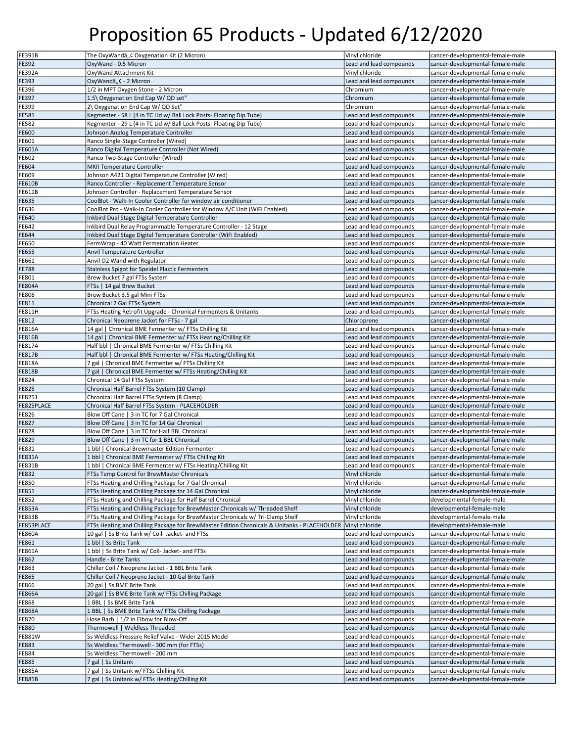| <b>FE391B</b> | The OxyWandâ"¢ Oxygenation Kit (2 Micron)                                                    | Vinyl chloride          | cancer-developmental-female-male |
|---------------|----------------------------------------------------------------------------------------------|-------------------------|----------------------------------|
| FE392         | OxyWand - 0.5 Micron                                                                         | Lead and lead compounds | cancer-developmental-female-male |
| <b>FE392A</b> | OxyWand Attachment Kit                                                                       | Vinyl chloride          | cancer-developmental-female-male |
| FE393         | OxyWandâ"¢ - 2 Micron                                                                        | Lead and lead compounds | cancer-developmental-female-male |
| FE396         | 1/2 in MPT Oxygen Stone - 2 Micron                                                           | Chromium                | cancer-developmental-female-male |
| FE397         | 1.5\ Oxygenation End Cap W/ QD set"                                                          | Chromium                | cancer-developmental-female-male |
| FE399         | 2\ Oxygenation End Cap W/ QD Set"                                                            | Chromium                | cancer-developmental-female-male |
| FE581         | Kegmenter - 58 L (4 in TC Lid w/ Ball Lock Posts- Floating Dip Tube)                         | Lead and lead compounds | cancer-developmental-female-male |
| FE582         | Kegmenter - 29 L (4 in TC Lid w/ Ball Lock Posts- Floating Dip Tube)                         | Lead and lead compounds | cancer-developmental-female-male |
| FE600         | Johnson Analog Temperature Controller                                                        | Lead and lead compounds | cancer-developmental-female-male |
| FE601         | Ranco Single-Stage Controller (Wired)                                                        | Lead and lead compounds | cancer-developmental-female-male |
| <b>FE601A</b> | Ranco Digital Temperature Controller (Not Wired)                                             | Lead and lead compounds | cancer-developmental-female-male |
| FE602         | Ranco Two-Stage Controller (Wired)                                                           | Lead and lead compounds | cancer-developmental-female-male |
| FE604         | MKII Temperature Controller                                                                  | Lead and lead compounds | cancer-developmental-female-male |
| FE609         | Johnson A421 Digital Temperature Controller (Wired)                                          | Lead and lead compounds | cancer-developmental-female-male |
| <b>FE610B</b> | Ranco Controller - Replacement Temperature Sensor                                            | Lead and lead compounds | cancer-developmental-female-male |
| FE611B        | Johnson Controller - Replacement Temperature Sensor                                          | Lead and lead compounds | cancer-developmental-female-male |
| FE635         | CoolBot - Walk-In Cooler Controller for window air conditioner                               | Lead and lead compounds | cancer-developmental-female-male |
|               | CoolBot Pro - Walk-In Cooler Controller for Window A/C Unit (WiFi Enabled)                   | Lead and lead compounds | cancer-developmental-female-male |
| FE636         |                                                                                              |                         |                                  |
| FE640         | Inkbird Dual Stage Digital Temperature Controller                                            | Lead and lead compounds | cancer-developmental-female-male |
| FE642         | Inkbird Dual Relay Programmable Temperature Controller - 12 Stage                            | Lead and lead compounds | cancer-developmental-female-male |
| FE644         | Inkbird Dual Stage Digital Temperature Controller (WiFi Enabled)                             | Lead and lead compounds | cancer-developmental-female-male |
| FE650         | FermWrap - 40 Watt Fermentation Heater                                                       | Lead and lead compounds | cancer-developmental-female-male |
| FE655         | Anvil Temperature Controller                                                                 | Lead and lead compounds | cancer-developmental-female-male |
| FE661         | Anvil O2 Wand with Regulator                                                                 | Lead and lead compounds | cancer-developmental-female-male |
| <b>FE788</b>  | Stainless Spigot for Speidel Plastic Fermenters                                              | Lead and lead compounds | cancer-developmental-female-male |
| FE801         | Brew Bucket 7 gal FTSs System                                                                | Lead and lead compounds | cancer-developmental-female-male |
| <b>FE804A</b> | FTSs   14 gal Brew Bucket                                                                    | Lead and lead compounds | cancer-developmental-female-male |
| FE806         | Brew Bucket 3.5 gal Mini FTSs                                                                | Lead and lead compounds | cancer-developmental-female-male |
| FE811         | Chronical 7 Gal FTSs System                                                                  | Lead and lead compounds | cancer-developmental-female-male |
| FE811H        | FTSs Heating Retrofit Upgrade - Chronical Fermenters & Unitanks                              | Lead and lead compounds | cancer-developmental-female-male |
| FE812         | Chronical Neoprene Jacket for FTSs - 7 gal                                                   | Chloroprene             | cancer-developmental             |
| <b>FE816A</b> | 14 gal   Chronical BME Fermenter w/ FTSs Chilling Kit                                        | Lead and lead compounds | cancer-developmental-female-male |
| FE816B        | 14 gal   Chronical BME Fermenter w/ FTSs Heating/Chilling Kit                                | Lead and lead compounds | cancer-developmental-female-male |
| FE817A        | Half bbl   Chronical BME Fermenter w/ FTSs Chilling Kit                                      | Lead and lead compounds | cancer-developmental-female-male |
| FE817B        | Half bbl   Chronical BME Fermenter w/ FTSs Heating/Chilling Kit                              | Lead and lead compounds | cancer-developmental-female-male |
| <b>FE818A</b> | 7 gal   Chronical BME Fermenter w/ FTSs Chilling Kit                                         | Lead and lead compounds | cancer-developmental-female-male |
| <b>FE818B</b> | 7 gal   Chronical BME Fermenter w/ FTSs Heating/Chilling Kit                                 | Lead and lead compounds | cancer-developmental-female-male |
| FE824         | Chronical 14 Gal FTSs System                                                                 | Lead and lead compounds | cancer-developmental-female-male |
| <b>FE825</b>  | Chronical Half Barrel FTSs System (10 Clamp)                                                 | Lead and lead compounds | cancer-developmental-female-male |
| FE8251        | Chronical Half Barrel FTSs System (8 Clamp)                                                  | Lead and lead compounds | cancer-developmental-female-male |
| FE825PLACE    | Chronical Half Barrel FTSs System - PLACEHOLDER                                              | Lead and lead compounds | cancer-developmental-female-male |
| FE826         | Blow Off Cane   3 in TC for 7 Gal Chronical                                                  | Lead and lead compounds | cancer-developmental-female-male |
| FE827         | Blow Off Cane   3 in TC for 14 Gal Chronical                                                 | Lead and lead compounds | cancer-developmental-female-male |
| FE828         | Blow Off Cane   3 in TC for Half BBL Chronical                                               | Lead and lead compounds | cancer-developmental-female-male |
| FE829         | Blow Off Cane   3 in TC for 1 BBL Chronical                                                  | Lead and lead compounds | cancer-developmental-female-male |
| FE831         | 1 bbl   Chronical Brewmaster Edition Fermenter                                               | Lead and lead compounds | cancer-developmental-female-male |
| FE831A        | 1 bbl   Chronical BME Fermenter w/ FTSs Chilling Kit                                         | Lead and lead compounds | cancer-developmental-female-male |
| <b>FE831B</b> | 1 bbl   Chronical BME Fermenter w/ FTSs Heating/Chilling Kit                                 | Lead and lead compounds | cancer-developmental-female-male |
| <b>FE832</b>  | FTSs Temp Control for BrewMaster Chronicals                                                  | Vinyl chloride          | cancer-developmental-female-male |
| <b>FE850</b>  | FTSs Heating and Chilling Package for 7 Gal Chronical                                        | Vinyl chloride          | cancer-developmental-female-male |
| FE851         | FTSs Heating and Chilling Package for 14 Gal Chronical                                       | Vinyl chloride          | cancer-developmental-female-male |
| FE852         | FTSs Heating and Chilling Package for Half Barrel Chronical                                  | Vinyl chloride          | developmental-female-male        |
| <b>FE853A</b> | FTSs Heating and Chilling Package for BrewMaster Chronicals w/ Threaded Shelf                | Vinyl chloride          | developmental-female-male        |
| <b>FE853B</b> | FTSs Heating and Chilling Package for BrewMaster Chronicals w/ Tri-Clamp Shelf               | Vinyl chloride          | developmental-female-male        |
| FE853PLACE    | FTSs Heating and Chilling Package for BrewMaster Edition Chronicals & Unitanks - PLACEHOLDER | Vinyl chloride          | developmental-female-male        |
| <b>FE860A</b> | 10 gal   Ss Brite Tank w/ Coil- Jacket- and FTSs                                             | Lead and lead compounds | cancer-developmental-female-male |
| FE861         | 1 bbl   Ss Brite Tank                                                                        | Lead and lead compounds | cancer-developmental-female-male |
| FE861A        | 1 bbl   Ss Brite Tank w/ Coil- Jacket- and FTSs                                              | Lead and lead compounds | cancer-developmental-female-male |
| FE862         | Handle - Brite Tanks                                                                         | Lead and lead compounds | cancer-developmental-female-male |
| FE863         | Chiller Coil / Neoprene Jacket - 1 BBL Brite Tank                                            | Lead and lead compounds | cancer-developmental-female-male |
| FE865         | Chiller Coil / Neoprene Jacket - 10 Gal Brite Tank                                           | Lead and lead compounds | cancer-developmental-female-male |
|               |                                                                                              |                         |                                  |
| FE866         | 20 gal   Ss BME Brite Tank                                                                   | Lead and lead compounds | cancer-developmental-female-male |
| <b>FE866A</b> | 20 gal   Ss BME Brite Tank w/ FTSs Chilling Package                                          | Lead and lead compounds | cancer-developmental-female-male |
| FE868         | 1 BBL   Ss BME Brite Tank                                                                    | Lead and lead compounds | cancer-developmental-female-male |
| <b>FE868A</b> | 1 BBL   Ss BME Brite Tank w/ FTSs Chilling Package                                           | Lead and lead compounds | cancer-developmental-female-male |
| FE870         | Hose Barb   1/2 in Elbow for Blow-Off                                                        | Lead and lead compounds | cancer-developmental-female-male |
| <b>FE880</b>  | Thermowell   Weldless Threaded                                                               | Lead and lead compounds | cancer-developmental-female-male |
| FE881W        | Ss Weldless Pressure Relief Valve - Wider 2015 Model                                         | Lead and lead compounds | cancer-developmental-female-male |
| FE883         | Ss Weldless Thermowell - 300 mm (for FTSs)                                                   | Lead and lead compounds | cancer-developmental-female-male |
| FE884         | Ss Weldless Thermowell - 200 mm                                                              | Lead and lead compounds | cancer-developmental-female-male |
| FE885         | 7 gal   Ss Unitank                                                                           | Lead and lead compounds | cancer-developmental-female-male |
| FE885A        | 7 gal   Ss Unitank w/ FTSs Chilling Kit                                                      | Lead and lead compounds | cancer-developmental-female-male |
| <b>FE885B</b> | 7 gal   Ss Unitank w/ FTSs Heating/Chilling Kit                                              | Lead and lead compounds | cancer-developmental-female-male |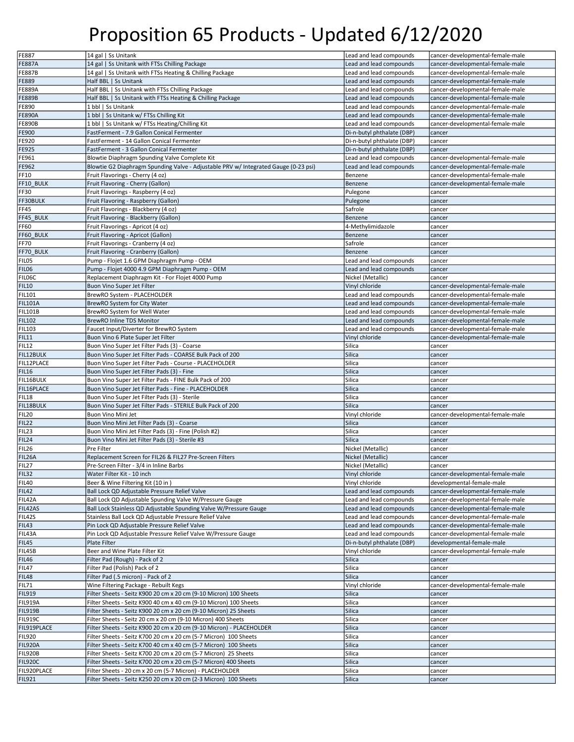| <b>FE887</b>                 | 14 gal   Ss Unitank                                                                                                          | Lead and lead compounds    | cancer-developmental-female-male |
|------------------------------|------------------------------------------------------------------------------------------------------------------------------|----------------------------|----------------------------------|
| <b>FE887A</b>                | 14 gal   Ss Unitank with FTSs Chilling Package                                                                               | Lead and lead compounds    | cancer-developmental-female-male |
|                              |                                                                                                                              |                            |                                  |
| <b>FE887B</b>                | 14 gal   Ss Unitank with FTSs Heating & Chilling Package                                                                     | Lead and lead compounds    | cancer-developmental-female-male |
| FE889                        | Half BBL   Ss Unitank                                                                                                        | Lead and lead compounds    | cancer-developmental-female-male |
| FE889A                       | Half BBL   Ss Unitank with FTSs Chilling Package                                                                             | Lead and lead compounds    | cancer-developmental-female-male |
| <b>FE889B</b>                | Half BBL   Ss Unitank with FTSs Heating & Chilling Package                                                                   | Lead and lead compounds    | cancer-developmental-female-male |
| FE890                        | 1 bbl   Ss Unitank                                                                                                           | Lead and lead compounds    | cancer-developmental-female-male |
| <b>FE890A</b>                | 1 bbl   Ss Unitank w/ FTSs Chilling Kit                                                                                      | Lead and lead compounds    | cancer-developmental-female-male |
| <b>FE890B</b>                | 1 bbl   Ss Unitank w/ FTSs Heating/Chilling Kit                                                                              | Lead and lead compounds    | cancer-developmental-female-male |
| FE900                        | FastFerment - 7.9 Gallon Conical Fermenter                                                                                   | Di-n-butyl phthalate (DBP) | cancer                           |
| FE920                        | FastFerment - 14 Gallon Conical Fermenter                                                                                    | Di-n-butyl phthalate (DBP) | cancer                           |
|                              |                                                                                                                              |                            |                                  |
| FE925                        | FastFerment - 3 Gallon Conical Fermenter                                                                                     | Di-n-butyl phthalate (DBP) | cancer                           |
| FE961                        | Blowtie Diaphragm Spunding Valve Complete Kit                                                                                | Lead and lead compounds    | cancer-developmental-female-male |
| FE962                        | Blowtie G2 Diaphragm Spunding Valve - Adjustable PRV w/ Integrated Gauge (0-23 psi)                                          | Lead and lead compounds    | cancer-developmental-female-male |
| FF10                         | Fruit Flavorings - Cherry (4 oz)                                                                                             | Benzene                    | cancer-developmental-female-male |
| FF10 BULK                    | Fruit Flavoring - Cherry (Gallon)                                                                                            | Benzene                    | cancer-developmental-female-male |
| FF30                         | Fruit Flavorings - Raspberry (4 oz)                                                                                          | Pulegone                   | cancer                           |
| FF30BULK                     | Fruit Flavoring - Raspberry (Gallon)                                                                                         | Pulegone                   | cancer                           |
| FF45                         | Fruit Flavorings - Blackberry (4 oz)                                                                                         | Safrole                    | cancer                           |
|                              |                                                                                                                              |                            |                                  |
| FF45_BULK                    | Fruit Flavoring - Blackberry (Gallon)                                                                                        | Benzene                    | cancer                           |
| <b>FF60</b>                  | Fruit Flavorings - Apricot (4 oz)                                                                                            | 4-Methylimidazole          | cancer                           |
| FF60 BULK                    | Fruit Flavoring - Apricot (Gallon)                                                                                           | Benzene                    | cancer                           |
| <b>FF70</b>                  | Fruit Flavorings - Cranberry (4 oz)                                                                                          | Safrole                    | cancer                           |
| FF70_BULK                    | Fruit Flavoring - Cranberry (Gallon)                                                                                         | Benzene                    | cancer                           |
| FILO5                        | Pump - Flojet 1.6 GPM Diaphragm Pump - OEM                                                                                   | Lead and lead compounds    | cancer                           |
| FIL06                        | Pump - Flojet 4000 4.9 GPM Diaphragm Pump - OEM                                                                              | Lead and lead compounds    | cancer                           |
| FIL06C                       |                                                                                                                              | Nickel (Metallic)          | cancer                           |
|                              | Replacement Diaphragm Kit - For Flojet 4000 Pump                                                                             |                            |                                  |
| <b>FIL10</b>                 | Buon Vino Super Jet Filter                                                                                                   | Vinyl chloride             | cancer-developmental-female-male |
| <b>FIL101</b>                | BrewRO System - PLACEHOLDER                                                                                                  | Lead and lead compounds    | cancer-developmental-female-male |
| <b>FIL101A</b>               | BrewRO System for City Water                                                                                                 | Lead and lead compounds    | cancer-developmental-female-male |
| <b>FIL101B</b>               | BrewRO System for Well Water                                                                                                 | Lead and lead compounds    | cancer-developmental-female-male |
| <b>FIL102</b>                | BrewRO Inline TDS Monitor                                                                                                    | Lead and lead compounds    | cancer-developmental-female-male |
| <b>FIL103</b>                | Faucet Input/Diverter for BrewRO System                                                                                      | Lead and lead compounds    | cancer-developmental-female-male |
| <b>FIL11</b>                 | Buon Vino 6 Plate Super Jet Filter                                                                                           | Vinyl chloride             | cancer-developmental-female-male |
|                              |                                                                                                                              |                            |                                  |
| <b>FIL12</b>                 | Buon Vino Super Jet Filter Pads (3) - Coarse                                                                                 | Silica                     | cancer                           |
| FIL12BULK                    | Buon Vino Super Jet Filter Pads - COARSE Bulk Pack of 200                                                                    | Silica                     | cancer                           |
| FIL12PLACE                   | Buon Vino Super Jet Filter Pads - Course - PLACEHOLDER                                                                       | Silica                     | cancer                           |
| <b>FIL16</b>                 | Buon Vino Super Jet Filter Pads (3) - Fine                                                                                   | Silica                     | cancer                           |
|                              |                                                                                                                              |                            |                                  |
| FIL16BULK                    | Buon Vino Super Jet Filter Pads - FINE Bulk Pack of 200                                                                      | Silica                     | cancer                           |
|                              |                                                                                                                              |                            |                                  |
| FIL16PLACE                   | Buon Vino Super Jet Filter Pads - Fine - PLACEHOLDER                                                                         | Silica                     | cancer                           |
| <b>FIL18</b>                 | Buon Vino Super Jet Filter Pads (3) - Sterile                                                                                | Silica                     | cancer                           |
| FIL18BULK                    | Buon Vino Super Jet Filter Pads - STERILE Bulk Pack of 200                                                                   | Silica                     | cancer                           |
| <b>FIL20</b>                 | Buon Vino Mini Jet                                                                                                           | Vinyl chloride             | cancer-developmental-female-male |
| <b>FIL22</b>                 | Buon Vino Mini Jet Filter Pads (3) - Coarse                                                                                  | Silica                     | cancer                           |
| <b>FIL23</b>                 | Buon Vino Mini Jet Filter Pads (3) - Fine (Polish #2)                                                                        | Silica                     | cancer                           |
| <b>FIL24</b>                 | Buon Vino Mini Jet Filter Pads (3) - Sterile #3                                                                              | Silica                     | cancer                           |
| <b>FIL26</b>                 | Pre Filter                                                                                                                   | Nickel (Metallic)          | cancer                           |
|                              |                                                                                                                              |                            | cancer                           |
| FIL26A                       | Replacement Screen for FIL26 & FIL27 Pre-Screen Filters                                                                      | Nickel (Metallic)          |                                  |
| FIL27                        | Pre-Screen Filter - 3/4 in Inline Barbs                                                                                      | Nickel (Metallic)          | cancer                           |
| FIL32                        | Water Filter Kit - 10 inch                                                                                                   | Vinyl chloride             | cancer-developmental-female-male |
| <b>FIL40</b>                 | Beer & Wine Filtering Kit (10 in)                                                                                            | Vinyl chloride             | developmental-female-male        |
| <b>FIL42</b>                 | Ball Lock QD Adjustable Pressure Relief Valve                                                                                | Lead and lead compounds    | cancer-developmental-female-male |
| FIL42A                       | Ball Lock QD Adjustable Spunding Valve W/Pressure Gauge                                                                      | Lead and lead compounds    | cancer-developmental-female-male |
| FIL42AS                      | Ball Lock Stainless QD Adjustable Spunding Valve W/Pressure Gauge                                                            | Lead and lead compounds    | cancer-developmental-female-male |
| FIL42S                       | Stainless Ball Lock QD Adjustable Pressure Relief Valve                                                                      | Lead and lead compounds    | cancer-developmental-female-male |
|                              |                                                                                                                              |                            | cancer-developmental-female-male |
| <b>FIL43</b>                 | Pin Lock QD Adjustable Pressure Relief Valve                                                                                 | Lead and lead compounds    |                                  |
| FIL43A                       | Pin Lock QD Adjustable Pressure Relief Valve W/Pressure Gauge                                                                | Lead and lead compounds    | cancer-developmental-female-male |
| <b>FIL45</b>                 | Plate Filter                                                                                                                 | Di-n-butyl phthalate (DBP) | developmental-female-male        |
| FIL45B                       | Beer and Wine Plate Filter Kit                                                                                               | Vinyl chloride             | cancer-developmental-female-male |
| <b>FIL46</b>                 | Filter Pad (Rough) - Pack of 2                                                                                               | Silica                     | cancer                           |
| <b>FIL47</b>                 | Filter Pad (Polish) Pack of 2                                                                                                | Silica                     | cancer                           |
| <b>FIL48</b>                 | Filter Pad (.5 micron) - Pack of 2                                                                                           | Silica                     | cancer                           |
| <b>FIL71</b>                 | Wine Filtering Package - Rebuilt Kegs                                                                                        | Vinyl chloride             | cancer-developmental-female-male |
|                              |                                                                                                                              |                            |                                  |
| <b>FIL919</b>                | Filter Sheets - Seitz K900 20 cm x 20 cm (9-10 Micron) 100 Sheets                                                            | Silica                     | cancer                           |
| <b>FIL919A</b>               | Filter Sheets - Seitz K900 40 cm x 40 cm (9-10 Micron) 100 Sheets                                                            | Silica                     | cancer                           |
| <b>FIL919B</b>               | Filter Sheets - Seitz K900 20 cm x 20 cm (9-10 Micron) 25 Sheets                                                             | Silica                     | cancer                           |
| <b>FIL919C</b>               | Filter Sheets - Seitz 20 cm x 20 cm (9-10 Micron) 400 Sheets                                                                 | Silica                     | cancer                           |
| FIL919PLACE                  | Filter Sheets - Seitz K900 20 cm x 20 cm (9-10 Micron) - PLACEHOLDER                                                         | Silica                     | cancer                           |
| <b>FIL920</b>                | Filter Sheets - Seitz K700 20 cm x 20 cm (5-7 Micron) 100 Sheets                                                             | Silica                     | cancer                           |
| <b>FIL920A</b>               | Filter Sheets - Seitz K700 40 cm x 40 cm (5-7 Micron) 100 Sheets                                                             | Silica                     | cancer                           |
|                              |                                                                                                                              |                            |                                  |
| <b>FIL920B</b>               | Filter Sheets - Seitz K700 20 cm x 20 cm (5-7 Micron) 25 Sheets                                                              | Silica                     | cancer                           |
| <b>FIL920C</b>               | Filter Sheets - Seitz K700 20 cm x 20 cm (5-7 Micron) 400 Sheets                                                             | Silica                     | cancer                           |
| FIL920PLACE<br><b>FIL921</b> | Filter Sheets - 20 cm x 20 cm (5-7 Micron) - PLACEHOLDER<br>Filter Sheets - Seitz K250 20 cm x 20 cm (2-3 Micron) 100 Sheets | Silica<br>Silica           | cancer<br>cancer                 |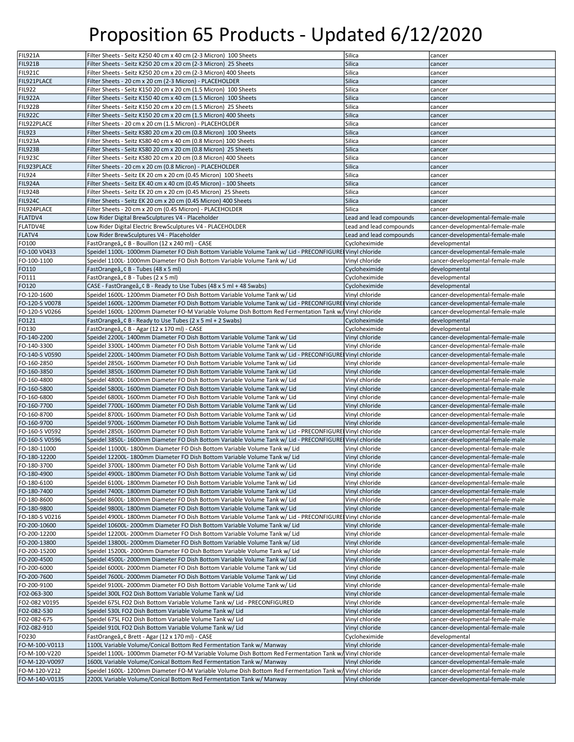| FIL921A        | Filter Sheets - Seitz K250 40 cm x 40 cm (2-3 Micron) 100 Sheets                                        | Silica                  | cancer                           |
|----------------|---------------------------------------------------------------------------------------------------------|-------------------------|----------------------------------|
| <b>FIL921B</b> | Filter Sheets - Seitz K250 20 cm x 20 cm (2-3 Micron) 25 Sheets                                         | <b>Silica</b>           | cancer                           |
| FIL921C        | Filter Sheets - Seitz K250 20 cm x 20 cm (2-3 Micron) 400 Sheets                                        | Silica                  | cancer                           |
| FIL921PLACE    |                                                                                                         | Silica                  |                                  |
|                | Filter Sheets - 20 cm x 20 cm (2-3 Micron) - PLACEHOLDER                                                |                         | cancer                           |
| <b>FIL922</b>  | Filter Sheets - Seitz K150 20 cm x 20 cm (1.5 Micron) 100 Sheets                                        | Silica                  | cancer                           |
| FIL922A        | Filter Sheets - Seitz K150 40 cm x 40 cm (1.5 Micron) 100 Sheets                                        | Silica                  | cancer                           |
| FIL922B        | Filter Sheets - Seitz K150 20 cm x 20 cm (1.5 Micron) 25 Sheets                                         | Silica                  | cancer                           |
|                |                                                                                                         |                         |                                  |
| <b>FIL922C</b> | Filter Sheets - Seitz K150 20 cm x 20 cm (1.5 Micron) 400 Sheets                                        | Silica                  | cancer                           |
| FIL922PLACE    | Filter Sheets - 20 cm x 20 cm (1.5 Micron) - PLACEHOLDER                                                | Silica                  | cancer                           |
| <b>FIL923</b>  | Filter Sheets - Seitz KS80 20 cm x 20 cm (0.8 Micron) 100 Sheets                                        | Silica                  | cancer                           |
|                |                                                                                                         |                         |                                  |
| FIL923A        | Filter Sheets - Seitz KS80 40 cm x 40 cm (0.8 Micron) 100 Sheets                                        | Silica                  | cancer                           |
| <b>FIL923B</b> | Filter Sheets - Seitz KS80 20 cm x 20 cm (0.8 Micron) 25 Sheets                                         | Silica                  | cancer                           |
| FIL923C        | Filter Sheets - Seitz KS80 20 cm x 20 cm (0.8 Micron) 400 Sheets                                        | Silica                  | cancer                           |
| FIL923PLACE    | Filter Sheets - 20 cm x 20 cm (0.8 Micron) - PLACEHOLDER                                                | Silica                  | cancer                           |
|                |                                                                                                         |                         |                                  |
| <b>FIL924</b>  | Filter Sheets - Seitz EK 20 cm x 20 cm (0.45 Micron) 100 Sheets                                         | Silica                  | cancer                           |
| FIL924A        | Filter Sheets - Seitz EK 40 cm x 40 cm (0.45 Micron) - 100 Sheets                                       | Silica                  | cancer                           |
| FIL924B        | Filter Sheets - Seitz EK 20 cm x 20 cm (0.45 Micron) 25 Sheets                                          | Silica                  | cancer                           |
|                |                                                                                                         |                         |                                  |
| FIL924C        | Filter Sheets - Seitz EK 20 cm x 20 cm (0.45 Micron) 400 Sheets                                         | Silica                  | cancer                           |
| FIL924PLACE    | Filter Sheets - 20 cm x 20 cm (0.45 Micron) - PLACEHOLDER                                               | Silica                  | cancer                           |
| FLATDV4        | Low Rider Digital BrewSculptures V4 - Placeholder                                                       | Lead and lead compounds | cancer-developmental-female-male |
|                |                                                                                                         |                         |                                  |
| FLATDV4E       | Low Rider Digital Electric BrewSculptures V4 - PLACEHOLDER                                              | Lead and lead compounds | cancer-developmental-female-male |
| FLATV4         | Low Rider BrewSculptures V4 - Placeholder                                                               | Lead and lead compounds | cancer-developmental-female-male |
| FO100          | FastOrangeâ, ¢ B - Bouillon (12 x 240 ml) - CASE                                                        | Cycloheximide           | developmental                    |
| FO-100 V0433   | Speidel 1100L- 1000mm Diameter FO Dish Bottom Variable Volume Tank w/ Lid - PRECONFIGURE Vinyl chloride |                         | cancer-developmental-female-male |
|                |                                                                                                         |                         |                                  |
| FO-100-1100    | Speidel 1100L-1000mm Diameter FO Dish Bottom Variable Volume Tank w/ Lid                                | Vinyl chloride          | cancer-developmental-female-male |
| FO110          | FastOrangeâ" ¢ B - Tubes (48 x 5 ml)                                                                    | Cycloheximide           | developmental                    |
| FO111          | FastOrangeâ" ¢ B - Tubes (2 x 5 ml)                                                                     | Cycloheximide           | developmental                    |
|                |                                                                                                         |                         |                                  |
| FO120          | CASE - FastOrangeâ" ¢ B - Ready to Use Tubes (48 x 5 ml + 48 Swabs)                                     | Cycloheximide           | developmental                    |
| FO-120-1600    | Speidel 1600L-1200mm Diameter FO Dish Bottom Variable Volume Tank w/ Lid                                | Vinyl chloride          | cancer-developmental-female-male |
| FO-120-S V0078 | Speidel 1600L- 1200mm Diameter FO Dish Bottom Variable Volume Tank w/ Lid - PRECONFIGURE Vinyl chloride |                         | cancer-developmental-female-male |
|                | Speidel 1600L-1200mm Diameter FO-M Variable Volume Dish Bottom Red Fermentation Tank w/ Vinyl chloride  |                         |                                  |
| FO-120-S V0266 |                                                                                                         |                         | cancer-developmental-female-male |
| FO121          | FastOrangeâ", C B - Ready to Use Tubes (2 x 5 ml + 2 Swabs)                                             | Cycloheximide           | developmental                    |
| FO130          | FastOrangeâ" ¢ B - Agar (12 x 170 ml) - CASE                                                            | Cycloheximide           | developmental                    |
| FO-140-2200    | Speidel 2200L-1400mm Diameter FO Dish Bottom Variable Volume Tank w/ Lid                                | Vinyl chloride          | cancer-developmental-female-male |
|                |                                                                                                         |                         |                                  |
| FO-140-3300    | Speidel 3300L- 1400mm Diameter FO Dish Bottom Variable Volume Tank w/ Lid                               | Vinyl chloride          | cancer-developmental-female-male |
| FO-140-S V0590 | Speidel 2200L- 1400mm Diameter FO Dish Bottom Variable Volume Tank w/ Lid - PRECONFIGURE Vinyl chloride |                         | cancer-developmental-female-male |
| FO-160-2850    | Speidel 2850L- 1600mm Diameter FO Dish Bottom Variable Volume Tank w/ Lid                               | Vinyl chloride          | cancer-developmental-female-male |
|                |                                                                                                         |                         |                                  |
| FO-160-3850    | Speidel 3850L- 1600mm Diameter FO Dish Bottom Variable Volume Tank w/ Lid                               | Vinyl chloride          | cancer-developmental-female-male |
| FO-160-4800    | Speidel 4800L- 1600mm Diameter FO Dish Bottom Variable Volume Tank w/ Lid                               | Vinyl chloride          | cancer-developmental-female-male |
| FO-160-5800    | Speidel 5800L- 1600mm Diameter FO Dish Bottom Variable Volume Tank w/ Lid                               | Vinyl chloride          | cancer-developmental-female-male |
|                | Speidel 6800L- 1600mm Diameter FO Dish Bottom Variable Volume Tank w/ Lid                               |                         |                                  |
| FO-160-6800    |                                                                                                         | Vinyl chloride          | cancer-developmental-female-male |
| FO-160-7700    | Speidel 7700L- 1600mm Diameter FO Dish Bottom Variable Volume Tank w/ Lid                               | Vinyl chloride          | cancer-developmental-female-male |
| FO-160-8700    | Speidel 8700L- 1600mm Diameter FO Dish Bottom Variable Volume Tank w/ Lid                               | Vinyl chloride          | cancer-developmental-female-male |
| FO-160-9700    | Speidel 9700L- 1600mm Diameter FO Dish Bottom Variable Volume Tank w/ Lid                               | Vinyl chloride          | cancer-developmental-female-male |
|                |                                                                                                         |                         |                                  |
| FO-160-S V0592 | Speidel 2850L- 1600mm Diameter FO Dish Bottom Variable Volume Tank w/ Lid - PRECONFIGURE Vinyl chloride |                         | cancer-developmental-female-male |
| FO-160-S V0596 | Speidel 3850L- 1600mm Diameter FO Dish Bottom Variable Volume Tank w/ Lid - PRECONFIGURE Vinyl chloride |                         | cancer-developmental-female-male |
| FO-180-11000   | Speidel 11000L- 1800mm Diameter FO Dish Bottom Variable Volume Tank w/ Lid                              | Vinyl chloride          | cancer-developmental-female-male |
|                |                                                                                                         | Vinyl chloride          |                                  |
| FO-180-12200   | Speidel 12200L- 1800mm Diameter FO Dish Bottom Variable Volume Tank w/ Lid                              |                         | cancer-developmental-female-male |
| FO-180-3700    | Speidel 3700L- 1800mm Diameter FO Dish Bottom Variable Volume Tank w/ Lid                               | Vinyl chloride          | cancer-developmental-female-male |
| FO-180-4900    | Speidel 4900L- 1800mm Diameter FO Dish Bottom Variable Volume Tank w/ Lid                               | Vinyl chloride          | cancer-developmental-female-male |
| FO-180-6100    | Speidel 6100L-1800mm Diameter FO Dish Bottom Variable Volume Tank w/ Lid                                | Vinyl chloride          | cancer-developmental-female-male |
|                |                                                                                                         |                         |                                  |
| FO-180-7400    | Speidel 7400L- 1800mm Diameter FO Dish Bottom Variable Volume Tank w/ Lid                               | Vinyl chloride          | cancer-developmental-female-male |
| FO-180-8600    | Speidel 8600L- 1800mm Diameter FO Dish Bottom Variable Volume Tank w/ Lid                               | Vinyl chloride          | cancer-developmental-female-male |
| FO-180-9800    | Speidel 9800L- 1800mm Diameter FO Dish Bottom Variable Volume Tank w/ Lid                               | Vinyl chloride          | cancer-developmental-female-male |
| FO-180-S V0216 | Speidel 4900L-1800mm Diameter FO Dish Bottom Variable Volume Tank w/ Lid - PRECONFIGURE Vinyl chloride  |                         | cancer-developmental-female-male |
|                |                                                                                                         |                         |                                  |
| FO-200-10600   | Speidel 10600L-2000mm Diameter FO Dish Bottom Variable Volume Tank w/ Lid                               | Vinyl chloride          | cancer-developmental-female-male |
| FO-200-12200   | Speidel 12200L-2000mm Diameter FO Dish Bottom Variable Volume Tank w/ Lid                               | Vinyl chloride          | cancer-developmental-female-male |
| FO-200-13800   | Speidel 13800L-2000mm Diameter FO Dish Bottom Variable Volume Tank w/ Lid                               | Vinyl chloride          | cancer-developmental-female-male |
|                |                                                                                                         |                         |                                  |
| FO-200-15200   | Speidel 15200L-2000mm Diameter FO Dish Bottom Variable Volume Tank w/ Lid                               | Vinyl chloride          | cancer-developmental-female-male |
| FO-200-4500    | Speidel 4500L- 2000mm Diameter FO Dish Bottom Variable Volume Tank w/ Lid                               | Vinyl chloride          | cancer-developmental-female-male |
| FO-200-6000    | Speidel 6000L- 2000mm Diameter FO Dish Bottom Variable Volume Tank w/ Lid                               | Vinyl chloride          | cancer-developmental-female-male |
| FO-200-7600    | Speidel 7600L- 2000mm Diameter FO Dish Bottom Variable Volume Tank w/ Lid                               | Vinyl chloride          | cancer-developmental-female-male |
|                |                                                                                                         |                         |                                  |
| FO-200-9100    | Speidel 9100L- 2000mm Diameter FO Dish Bottom Variable Volume Tank w/ Lid                               | Vinyl chloride          | cancer-developmental-female-male |
| FO2-063-300    | Speidel 300L FO2 Dish Bottom Variable Volume Tank w/ Lid                                                | Vinyl chloride          | cancer-developmental-female-male |
| FO2-082 V0195  | Speidel 675L FO2 Dish Bottom Variable Volume Tank w/ Lid - PRECONFIGURED                                | Vinyl chloride          | cancer-developmental-female-male |
|                |                                                                                                         |                         |                                  |
| FO2-082-530    | Speidel 530L FO2 Dish Bottom Variable Volume Tank w/ Lid                                                | Vinyl chloride          | cancer-developmental-female-male |
| FO2-082-675    | Speidel 675L FO2 Dish Bottom Variable Volume Tank w/ Lid                                                | Vinyl chloride          | cancer-developmental-female-male |
| FO2-082-910    | Speidel 910L FO2 Dish Bottom Variable Volume Tank w/ Lid                                                | Vinyl chloride          | cancer-developmental-female-male |
|                |                                                                                                         |                         |                                  |
| FO230          | FastOrangeâ" ¢ Brett - Agar (12 x 170 ml) - CASE                                                        | Cycloheximide           | developmental                    |
| FO-M-100-V0113 | 1100L Variable Volume/Conical Bottom Red Fermentation Tank w/ Manway                                    | Vinyl chloride          | cancer-developmental-female-male |
| FO-M-100-V220  | Speidel 1100L-1000mm Diameter FO-M Variable Volume Dish Bottom Red Fermentation Tank w/ Vinyl chloride  |                         | cancer-developmental-female-male |
| FO-M-120-V0097 | 1600L Variable Volume/Conical Bottom Red Fermentation Tank w/ Manway                                    | Vinyl chloride          | cancer-developmental-female-male |
|                |                                                                                                         |                         |                                  |
| FO-M-120-V212  | Speidel 1600L-1200mm Diameter FO-M Variable Volume Dish Bottom Red Fermentation Tank w/ Vinyl chloride  |                         | cancer-developmental-female-male |
| FO-M-140-V0135 | 2200L Variable Volume/Conical Bottom Red Fermentation Tank w/ Manway                                    | Vinyl chloride          | cancer-developmental-female-male |
|                |                                                                                                         |                         |                                  |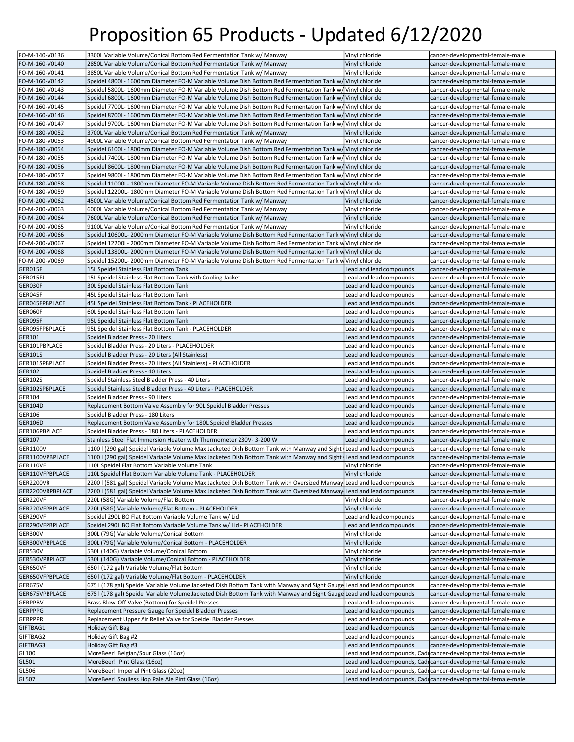| FO-M-140-V0136               | 3300L Variable Volume/Conical Bottom Red Fermentation Tank w/ Manway                                                   | Vinyl chloride          | cancer-developmental-female-male                               |
|------------------------------|------------------------------------------------------------------------------------------------------------------------|-------------------------|----------------------------------------------------------------|
|                              | 2850L Variable Volume/Conical Bottom Red Fermentation Tank w/ Manway                                                   |                         |                                                                |
| FO-M-160-V0140               |                                                                                                                        | Vinyl chloride          | cancer-developmental-female-male                               |
| FO-M-160-V0141               | 3850L Variable Volume/Conical Bottom Red Fermentation Tank w/ Manway                                                   | Vinyl chloride          | cancer-developmental-female-male                               |
| FO-M-160-V0142               | Speidel 4800L-1600mm Diameter FO-M Variable Volume Dish Bottom Red Fermentation Tank w/ Vinyl chloride                 |                         | cancer-developmental-female-male                               |
| FO-M-160-V0143               | Speidel 5800L-1600mm Diameter FO-M Variable Volume Dish Bottom Red Fermentation Tank w/ Vinyl chloride                 |                         | cancer-developmental-female-male                               |
| FO-M-160-V0144               | Speidel 6800L-1600mm Diameter FO-M Variable Volume Dish Bottom Red Fermentation Tank w/ Vinyl chloride                 |                         | cancer-developmental-female-male                               |
| FO-M-160-V0145               | Speidel 7700L-1600mm Diameter FO-M Variable Volume Dish Bottom Red Fermentation Tank w/ Vinyl chloride                 |                         | cancer-developmental-female-male                               |
| FO-M-160-V0146               | Speidel 8700L-1600mm Diameter FO-M Variable Volume Dish Bottom Red Fermentation Tank w/ Vinyl chloride                 |                         | cancer-developmental-female-male                               |
|                              |                                                                                                                        |                         |                                                                |
| FO-M-160-V0147               | Speidel 9700L-1600mm Diameter FO-M Variable Volume Dish Bottom Red Fermentation Tank w/  Vinyl chloride                |                         | cancer-developmental-female-male                               |
| FO-M-180-V0052               | 3700L Variable Volume/Conical Bottom Red Fermentation Tank w/ Manway                                                   | Vinyl chloride          | cancer-developmental-female-male                               |
| FO-M-180-V0053               | 4900L Variable Volume/Conical Bottom Red Fermentation Tank w/ Manway                                                   | Vinyl chloride          | cancer-developmental-female-male                               |
| FO-M-180-V0054               | Speidel 6100L- 1800mm Diameter FO-M Variable Volume Dish Bottom Red Fermentation Tank w/ Vinyl chloride                |                         | cancer-developmental-female-male                               |
| FO-M-180-V0055               | Speidel 7400L- 1800mm Diameter FO-M Variable Volume Dish Bottom Red Fermentation Tank w/ Vinyl chloride                |                         | cancer-developmental-female-male                               |
| FO-M-180-V0056               | Speidel 8600L- 1800mm Diameter FO-M Variable Volume Dish Bottom Red Fermentation Tank w/ Vinyl chloride                |                         | cancer-developmental-female-male                               |
|                              |                                                                                                                        |                         |                                                                |
| FO-M-180-V0057               | Speidel 9800L-1800mm Diameter FO-M Variable Volume Dish Bottom Red Fermentation Tank w/ Vinyl chloride                 |                         | cancer-developmental-female-male                               |
| FO-M-180-V0058               | Speidel 11000L-1800mm Diameter FO-M Variable Volume Dish Bottom Red Fermentation Tank w Vinyl chloride                 |                         | cancer-developmental-female-male                               |
| FO-M-180-V0059               | Speidel 12200L- 1800mm Diameter FO-M Variable Volume Dish Bottom Red Fermentation Tank w Vinyl chloride                |                         | cancer-developmental-female-male                               |
| FO-M-200-V0062               | 4500L Variable Volume/Conical Bottom Red Fermentation Tank w/ Manway                                                   | Vinyl chloride          | cancer-developmental-female-male                               |
| FO-M-200-V0063               | 6000L Variable Volume/Conical Bottom Red Fermentation Tank w/ Manway                                                   | Vinyl chloride          | cancer-developmental-female-male                               |
| FO-M-200-V0064               | 7600L Variable Volume/Conical Bottom Red Fermentation Tank w/ Manway                                                   | Vinyl chloride          | cancer-developmental-female-male                               |
|                              |                                                                                                                        |                         |                                                                |
| FO-M-200-V0065               | 9100L Variable Volume/Conical Bottom Red Fermentation Tank w/ Manway                                                   | Vinyl chloride          | cancer-developmental-female-male                               |
| FO-M-200-V0066               | Speidel 10600L- 2000mm Diameter FO-M Variable Volume Dish Bottom Red Fermentation Tank w Vinyl chloride                |                         | cancer-developmental-female-male                               |
| FO-M-200-V0067               | Speidel 12200L- 2000mm Diameter FO-M Variable Volume Dish Bottom Red Fermentation Tank w Vinyl chloride                |                         | cancer-developmental-female-male                               |
| FO-M-200-V0068               | Speidel 13800L- 2000mm Diameter FO-M Variable Volume Dish Bottom Red Fermentation Tank w Vinyl chloride                |                         | cancer-developmental-female-male                               |
| FO-M-200-V0069               | Speidel 15200L- 2000mm Diameter FO-M Variable Volume Dish Bottom Red Fermentation Tank w Vinyl chloride                |                         | cancer-developmental-female-male                               |
| GER015F                      | 15L Speidel Stainless Flat Bottom Tank                                                                                 | Lead and lead compounds | cancer-developmental-female-male                               |
| GER015FJ                     | 15L Speidel Stainless Flat Bottom Tank with Cooling Jacket                                                             | Lead and lead compounds | cancer-developmental-female-male                               |
| GER030F                      | 30L Speidel Stainless Flat Bottom Tank                                                                                 | Lead and lead compounds | cancer-developmental-female-male                               |
| GER045F                      | 45L Speidel Stainless Flat Bottom Tank                                                                                 | Lead and lead compounds | cancer-developmental-female-male                               |
|                              |                                                                                                                        |                         |                                                                |
| GER045FPBPLACE               | 45L Speidel Stainless Flat Bottom Tank - PLACEHOLDER                                                                   | Lead and lead compounds | cancer-developmental-female-male                               |
| GER060F                      | 60L Speidel Stainless Flat Bottom Tank                                                                                 | Lead and lead compounds | cancer-developmental-female-male                               |
| GER095F                      | 95L Speidel Stainless Flat Bottom Tank                                                                                 | Lead and lead compounds | cancer-developmental-female-male                               |
| GER095FPBPLACE               | 95L Speidel Stainless Flat Bottom Tank - PLACEHOLDER                                                                   | Lead and lead compounds | cancer-developmental-female-male                               |
| GER101                       | Speidel Bladder Press - 20 Liters                                                                                      | Lead and lead compounds | cancer-developmental-female-male                               |
| GER101PBPLACE                | Speidel Bladder Press - 20 Liters - PLACEHOLDER                                                                        | Lead and lead compounds | cancer-developmental-female-male                               |
| <b>GER101S</b>               | Speidel Bladder Press - 20 Liters (All Stainless)                                                                      | Lead and lead compounds | cancer-developmental-female-male                               |
|                              |                                                                                                                        |                         |                                                                |
| GER101SPBPLACE               | Speidel Bladder Press - 20 Liters (All Stainless) - PLACEHOLDER                                                        | Lead and lead compounds | cancer-developmental-female-male                               |
|                              |                                                                                                                        |                         |                                                                |
| GER102                       | Speidel Bladder Press - 40 Liters                                                                                      | Lead and lead compounds | cancer-developmental-female-male                               |
| <b>GER102S</b>               | Speidel Stainless Steel Bladder Press - 40 Liters                                                                      | Lead and lead compounds | cancer-developmental-female-male                               |
| GER102SPBPLACE               | Speidel Stainless Steel Bladder Press - 40 Liters - PLACEHOLDER                                                        | Lead and lead compounds | cancer-developmental-female-male                               |
| GER104                       | Speidel Bladder Press - 90 Liters                                                                                      | Lead and lead compounds | cancer-developmental-female-male                               |
| <b>GER104D</b>               |                                                                                                                        | Lead and lead compounds |                                                                |
|                              | Replacement Bottom Valve Assembly for 90L Speidel Bladder Presses                                                      |                         | cancer-developmental-female-male                               |
| GER106                       | Speidel Bladder Press - 180 Liters                                                                                     | Lead and lead compounds | cancer-developmental-female-male                               |
| <b>GER106D</b>               | Replacement Bottom Valve Assembly for 180L Speidel Bladder Presses                                                     | Lead and lead compounds | cancer-developmental-female-male                               |
| GER106PBPLACE                | Speidel Bladder Press - 180 Liters - PLACEHOLDER                                                                       | Lead and lead compounds | cancer-developmental-female-male                               |
| GER107                       | Stainless Steel Flat Immersion Heater with Thermometer 230V-3-200 W                                                    | Lead and lead compounds | cancer-developmental-female-male                               |
| GER1100V                     | 1100 I (290 gal) Speidel Variable Volume Max Jacketed Dish Bottom Tank with Manway and Sight Lead and lead compounds   |                         | cancer-developmental-female-male                               |
| GER1100VPBPLACE              | 1100 I (290 gal) Speidel Variable Volume Max Jacketed Dish Bottom Tank with Manway and Sight   Lead and lead compounds |                         | cancer-developmental-female-male                               |
| GER110VF                     | 110L Speidel Flat Bottom Variable Volume Tank                                                                          | Vinyl chloride          | cancer-developmental-female-male                               |
|                              |                                                                                                                        |                         |                                                                |
| GER110VFPBPLACE              | 110L Speidel Flat Bottom Variable Volume Tank - PLACEHOLDER                                                            | Vinyl chloride          | cancer-developmental-female-male                               |
| GER2200VR                    | 2200 I (581 gal) Speidel Variable Volume Max Jacketed Dish Bottom Tank with Oversized Manway Lead and lead compounds   |                         | cancer-developmental-female-male                               |
|                              | 2200 I (581 gal) Speidel Variable Volume Max Jacketed Dish Bottom Tank with Oversized Manway Lead and lead compounds   |                         | cancer-developmental-female-male                               |
| GER2200VRPBPLACE<br>GER220VF | 220L (58G) Variable Volume/Flat Bottom                                                                                 | Vinyl chloride          | cancer-developmental-female-male                               |
| GER220VFPBPLACE              | 220L (58G) Variable Volume/Flat Bottom - PLACEHOLDER                                                                   | Vinyl chloride          | cancer-developmental-female-male                               |
| GER290VF                     | Speidel 290L BO Flat Bottom Variable Volume Tank w/ Lid                                                                | Lead and lead compounds | cancer-developmental-female-male                               |
| GER290VFPBPLACE              | Speidel 290L BO Flat Bottom Variable Volume Tank w/ Lid - PLACEHOLDER                                                  | Lead and lead compounds | cancer-developmental-female-male                               |
| GER300V                      | 300L (79G) Variable Volume/Conical Bottom                                                                              | Vinyl chloride          | cancer-developmental-female-male                               |
| GER300VPBPLACE               | 300L (79G) Variable Volume/Conical Bottom - PLACEHOLDER                                                                | Vinyl chloride          | cancer-developmental-female-male                               |
| GER530V                      | 530L (140G) Variable Volume/Conical Bottom                                                                             | Vinyl chloride          | cancer-developmental-female-male                               |
|                              |                                                                                                                        |                         |                                                                |
| GER530VPBPLACE               | 530L (140G) Variable Volume/Conical Bottom - PLACEHOLDER                                                               | Vinyl chloride          | cancer-developmental-female-male                               |
| GER650VF                     | 650 I (172 gal) Variable Volume/Flat Bottom                                                                            | Vinyl chloride          | cancer-developmental-female-male                               |
| GER650VFPBPLACE              | 650 I (172 gal) Variable Volume/Flat Bottom - PLACEHOLDER                                                              | Vinyl chloride          | cancer-developmental-female-male                               |
| GER675V                      | 675 I (178 gal) Speidel Variable Volume Jacketed Dish Bottom Tank with Manway and Sight Gauge Lead and lead compounds  |                         | cancer-developmental-female-male                               |
| GER675VPBPLACE               | 675 I (178 gal) Speidel Variable Volume Jacketed Dish Bottom Tank with Manway and Sight Gauge Lead and lead compounds  |                         | cancer-developmental-female-male                               |
| GERPPBV                      | Brass Blow-Off Valve (Bottom) for Speidel Presses                                                                      | Lead and lead compounds | cancer-developmental-female-male                               |
|                              | Replacement Pressure Gauge for Speidel Bladder Presses                                                                 | Lead and lead compounds | cancer-developmental-female-male                               |
| <b>GERPPPR</b>               | Replacement Upper Air Relief Valve for Speidel Bladder Presses                                                         | Lead and lead compounds | cancer-developmental-female-male                               |
|                              |                                                                                                                        |                         |                                                                |
| GERPPPG<br>GIFTBAG1          | <b>Holiday Gift Bag</b>                                                                                                | Lead and lead compounds | cancer-developmental-female-male                               |
| GIFTBAG2                     | Holiday Gift Bag #2                                                                                                    | Lead and lead compounds | cancer-developmental-female-male                               |
| GIFTBAG3                     | Holiday Gift Bag #3                                                                                                    | Lead and lead compounds | cancer-developmental-female-male                               |
| GL100                        | MoreBeer! Belgian/Sour Glass (16oz)                                                                                    |                         | Lead and lead compounds, Cadicancer-developmental-female-male  |
| GL501                        | MoreBeer! Pint Glass (16oz)                                                                                            |                         | Lead and lead compounds, Cadr cancer-developmental-female-male |
| GL506                        | MoreBeer! Imperial Pint Glass (20oz)                                                                                   |                         | Lead and lead compounds, Cadi cancer-developmental-female-male |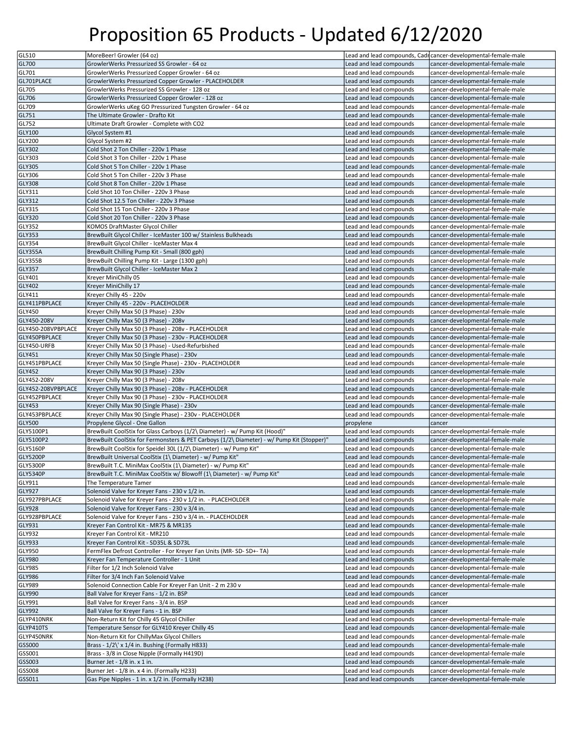| GL510                                                                              | MoreBeer! Growler (64 oz)                                                                 |                         | Lead and lead compounds, Cadi cancer-developmental-female-male |
|------------------------------------------------------------------------------------|-------------------------------------------------------------------------------------------|-------------------------|----------------------------------------------------------------|
| GL700                                                                              | GrowlerWerks Pressurized SS Growler - 64 oz                                               | Lead and lead compounds | cancer-developmental-female-male                               |
|                                                                                    |                                                                                           |                         |                                                                |
| GL701                                                                              | GrowlerWerks Pressurized Copper Growler - 64 oz                                           | Lead and lead compounds | cancer-developmental-female-male                               |
| GL701PLACE                                                                         | GrowlerWerks Pressurized Copper Growler - PLACEHOLDER                                     | Lead and lead compounds | cancer-developmental-female-male                               |
| GL705                                                                              | GrowlerWerks Pressurized SS Growler - 128 oz                                              | Lead and lead compounds | cancer-developmental-female-male                               |
| GL706                                                                              | GrowlerWerks Pressurized Copper Growler - 128 oz                                          | Lead and lead compounds | cancer-developmental-female-male                               |
| GL709                                                                              | GrowlerWerks uKeg GO Pressurized Tungsten Growler - 64 oz                                 | Lead and lead compounds | cancer-developmental-female-male                               |
| GL751                                                                              | The Ultimate Growler - Drafto Kit                                                         | Lead and lead compounds | cancer-developmental-female-male                               |
| GL752                                                                              | Ultimate Draft Growler - Complete with CO2                                                | Lead and lead compounds | cancer-developmental-female-male                               |
| GLY100                                                                             | Glycol System #1                                                                          | Lead and lead compounds | cancer-developmental-female-male                               |
| GLY200                                                                             | Glycol System #2                                                                          | Lead and lead compounds | cancer-developmental-female-male                               |
| <b>GLY302</b>                                                                      | Cold Shot 2 Ton Chiller - 220v 1 Phase                                                    | Lead and lead compounds | cancer-developmental-female-male                               |
| GLY303                                                                             | Cold Shot 3 Ton Chiller - 220v 1 Phase                                                    | Lead and lead compounds | cancer-developmental-female-male                               |
|                                                                                    |                                                                                           |                         |                                                                |
| <b>GLY305</b>                                                                      | Cold Shot 5 Ton Chiller - 220v 1 Phase                                                    | Lead and lead compounds | cancer-developmental-female-male                               |
| GLY306                                                                             | Cold Shot 5 Ton Chiller - 220v 3 Phase                                                    | Lead and lead compounds | cancer-developmental-female-male                               |
| <b>GLY308</b>                                                                      | Cold Shot 8 Ton Chiller - 220v 1 Phase                                                    | Lead and lead compounds | cancer-developmental-female-male                               |
| GLY311                                                                             | Cold Shot 10 Ton Chiller - 220v 3 Phase                                                   | Lead and lead compounds | cancer-developmental-female-male                               |
| GLY312                                                                             | Cold Shot 12.5 Ton Chiller - 220v 3 Phase                                                 | Lead and lead compounds | cancer-developmental-female-male                               |
| GLY315                                                                             | Cold Shot 15 Ton Chiller - 220v 3 Phase                                                   | Lead and lead compounds | cancer-developmental-female-male                               |
| GLY320                                                                             | Cold Shot 20 Ton Chiller - 220v 3 Phase                                                   | Lead and lead compounds | cancer-developmental-female-male                               |
| GLY352                                                                             | KOMOS DraftMaster Glycol Chiller                                                          | Lead and lead compounds | cancer-developmental-female-male                               |
| GLY353                                                                             | BrewBuilt Glycol Chiller - IceMaster 100 w/ Stainless Bulkheads                           | Lead and lead compounds | cancer-developmental-female-male                               |
| GLY354                                                                             | BrewBuilt Glycol Chiller - IceMaster Max 4                                                | Lead and lead compounds | cancer-developmental-female-male                               |
|                                                                                    |                                                                                           |                         |                                                                |
| GLY355A                                                                            | BrewBuilt Chilling Pump Kit - Small (800 gph)                                             | Lead and lead compounds | cancer-developmental-female-male                               |
| GLY355B                                                                            | BrewBuilt Chilling Pump Kit - Large (1300 gph)                                            | Lead and lead compounds | cancer-developmental-female-male                               |
| GLY357                                                                             | BrewBuilt Glycol Chiller - IceMaster Max 2                                                | Lead and lead compounds | cancer-developmental-female-male                               |
| GLY401                                                                             | Kreyer MiniChilly 05                                                                      | Lead and lead compounds | cancer-developmental-female-male                               |
| <b>GLY402</b>                                                                      | Kreyer MiniChilly 17                                                                      | Lead and lead compounds | cancer-developmental-female-male                               |
| GLY411                                                                             | Kreyer Chilly 45 - 220v                                                                   | Lead and lead compounds | cancer-developmental-female-male                               |
| GLY411PBPLACE                                                                      | Kreyer Chilly 45 - 220v - PLACEHOLDER                                                     | Lead and lead compounds | cancer-developmental-female-male                               |
| GLY450                                                                             | Kreyer Chilly Max 50 (3 Phase) - 230v                                                     | Lead and lead compounds | cancer-developmental-female-male                               |
| GLY450-208V                                                                        | Kreyer Chilly Max 50 (3 Phase) - 208v                                                     | Lead and lead compounds | cancer-developmental-female-male                               |
| GLY450-208VPBPLACE                                                                 | Kreyer Chilly Max 50 (3 Phase) - 208v - PLACEHOLDER                                       | Lead and lead compounds | cancer-developmental-female-male                               |
|                                                                                    |                                                                                           |                         |                                                                |
| GLY450PBPLACE                                                                      | Kreyer Chilly Max 50 (3 Phase) - 230v - PLACEHOLDER                                       | Lead and lead compounds | cancer-developmental-female-male                               |
| GLY450-URFB                                                                        | Kreyer Chilly Max 50 (3 Phase) - Used-Refurbished                                         | Lead and lead compounds | cancer-developmental-female-male                               |
| GLY451                                                                             | Kreyer Chilly Max 50 (Single Phase) - 230v                                                | Lead and lead compounds | cancer-developmental-female-male                               |
| GLY451PBPLACE                                                                      | Kreyer Chilly Max 50 (Single Phase) - 230v - PLACEHOLDER                                  | Lead and lead compounds | cancer-developmental-female-male                               |
|                                                                                    |                                                                                           |                         |                                                                |
| GLY452                                                                             | Kreyer Chilly Max 90 (3 Phase) - 230v                                                     | Lead and lead compounds | cancer-developmental-female-male                               |
| GLY452-208V                                                                        | Kreyer Chilly Max 90 (3 Phase) - 208v                                                     | Lead and lead compounds | cancer-developmental-female-male                               |
| GLY452-208VPBPLACE                                                                 | Kreyer Chilly Max 90 (3 Phase) - 208v - PLACEHOLDER                                       | Lead and lead compounds | cancer-developmental-female-male                               |
|                                                                                    |                                                                                           |                         |                                                                |
| GLY452PBPLACE                                                                      | Kreyer Chilly Max 90 (3 Phase) - 230v - PLACEHOLDER                                       | Lead and lead compounds | cancer-developmental-female-male                               |
| GLY453                                                                             | Kreyer Chilly Max 90 (Single Phase) - 230v                                                | Lead and lead compounds | cancer-developmental-female-male                               |
| GLY453PBPLACE                                                                      | Kreyer Chilly Max 90 (Single Phase) - 230v - PLACEHOLDER                                  | Lead and lead compounds | cancer-developmental-female-male                               |
| GLY500                                                                             | Propylene Glycol - One Gallon                                                             | propylene               | cancer                                                         |
| GLY5100P1                                                                          | BrewBuilt CoolStix for Glass Carboys (1/2\ Diameter) - w/ Pump Kit (Hood)"                | Lead and lead compounds | cancer-developmental-female-male                               |
| GLY5100P2                                                                          | BrewBuilt CoolStix for Fermonsters & PET Carboys (1/2\ Diameter) - w/ Pump Kit (Stopper)" | Lead and lead compounds | cancer-developmental-female-male                               |
| GLY5160P                                                                           | BrewBuilt CoolStix for Speidel 30L (1/2\ Diameter) - w/ Pump Kit"                         | Lead and lead compounds | cancer-developmental-female-male                               |
| <b>GLY5200P</b>                                                                    | BrewBuilt Universal CoolStix (1\ Diameter) - w/ Pump Kit"                                 | Lead and lead compounds | cancer-developmental-female-male                               |
| <b>GLY5300P</b>                                                                    | BrewBuilt T.C. MiniMax CoolStix (1\ Diameter) - w/ Pump Kit"                              | Lead and lead compounds | cancer-developmental-female-male                               |
|                                                                                    | BrewBuilt T.C. MiniMax CoolStix w/ Blowoff (1\ Diameter) - w/ Pump Kit"                   | Lead and lead compounds | cancer-developmental-female-male                               |
|                                                                                    | The Temperature Tamer                                                                     | Lead and lead compounds | cancer-developmental-female-male                               |
|                                                                                    |                                                                                           | Lead and lead compounds |                                                                |
|                                                                                    | Solenoid Valve for Kreyer Fans - 230 v 1/2 in.                                            | Lead and lead compounds | cancer-developmental-female-male                               |
|                                                                                    | Solenoid Valve for Kreyer Fans - 230 v 1/2 in. - PLACEHOLDER                              |                         | cancer-developmental-female-male                               |
|                                                                                    | Solenoid Valve for Kreyer Fans - 230 v 3/4 in.                                            | Lead and lead compounds | cancer-developmental-female-male                               |
|                                                                                    | Solenoid Valve for Kreyer Fans - 230 v 3/4 in. - PLACEHOLDER                              | Lead and lead compounds | cancer-developmental-female-male                               |
| GLY5340P<br>GLY911<br>GLY927<br>GLY927PBPLACE<br>GLY928<br>GLY928PBPLACE<br>GLY931 | Kreyer Fan Control Kit - MR75 & MR135                                                     | Lead and lead compounds | cancer-developmental-female-male                               |
| GLY932                                                                             | Kreyer Fan Control Kit - MR210                                                            | Lead and lead compounds | cancer-developmental-female-male                               |
| GLY933                                                                             | Kreyer Fan Control Kit - SD35L & SD73L                                                    | Lead and lead compounds | cancer-developmental-female-male                               |
| GLY950                                                                             | FermFlex Defrost Controller - For Kreyer Fan Units (MR-SD-SD+-TA)                         | Lead and lead compounds | cancer-developmental-female-male                               |
|                                                                                    | Kreyer Fan Temperature Controller - 1 Unit                                                | Lead and lead compounds | cancer-developmental-female-male                               |
| <b>GLY985</b>                                                                      | Filter for 1/2 Inch Solenoid Valve                                                        | Lead and lead compounds | cancer-developmental-female-male                               |
| <b>GLY986</b>                                                                      | Filter for 3/4 Inch Fan Solenoid Valve                                                    | Lead and lead compounds | cancer-developmental-female-male                               |
| GLY989                                                                             | Solenoid Connection Cable For Kreyer Fan Unit - 2 m 230 v                                 | Lead and lead compounds | cancer-developmental-female-male                               |
| GLY980                                                                             |                                                                                           |                         |                                                                |
| GLY990                                                                             | Ball Valve for Kreyer Fans - 1/2 in. BSP                                                  | Lead and lead compounds | cancer                                                         |
| GLY991                                                                             | Ball Valve for Kreyer Fans - 3/4 in. BSP                                                  | Lead and lead compounds | cancer                                                         |
| GLY992                                                                             | Ball Valve for Kreyer Fans - 1 in. BSP                                                    | Lead and lead compounds | cancer                                                         |
| GLYP410NRK                                                                         | Non-Return Kit for Chilly 45 Glycol Chiller                                               | Lead and lead compounds | cancer-developmental-female-male                               |
|                                                                                    | Temperature Sensor for GLY410 Kreyer Chilly 45                                            | Lead and lead compounds | cancer-developmental-female-male                               |
|                                                                                    | Non-Return Kit for ChillyMax Glycol Chillers                                              | Lead and lead compounds | cancer-developmental-female-male                               |
| GLYP410TS<br>GLYP450NRK<br>GSS000                                                  | Brass - 1/2\' x 1/4 in. Bushing (Formally H833)                                           | Lead and lead compounds | cancer-developmental-female-male                               |
| GSS001                                                                             | Brass - 3/8 in Close Nipple (Formally H419D)                                              | Lead and lead compounds | cancer-developmental-female-male                               |
| GSS003                                                                             | Burner Jet - 1/8 in. x 1 in.                                                              | Lead and lead compounds | cancer-developmental-female-male                               |
| GSS008                                                                             | Burner Jet - 1/8 in. x 4 in. (Formally H233)                                              | Lead and lead compounds | cancer-developmental-female-male                               |
| GSS011                                                                             | Gas Pipe Nipples - 1 in. x 1/2 in. (Formally H238)                                        | Lead and lead compounds | cancer-developmental-female-male                               |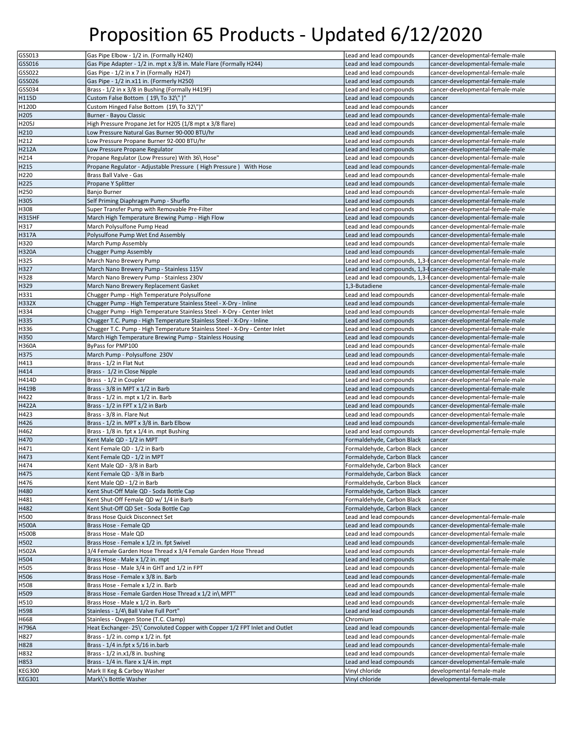| GSS013                         | Gas Pipe Elbow - 1/2 in. (Formally H240)                                    | Lead and lead compounds          | cancer-developmental-female-male                                |
|--------------------------------|-----------------------------------------------------------------------------|----------------------------------|-----------------------------------------------------------------|
|                                |                                                                             |                                  |                                                                 |
| GSS016                         | Gas Pipe Adapter - 1/2 in. mpt x 3/8 in. Male Flare (Formally H244)         | Lead and lead compounds          | cancer-developmental-female-male                                |
| GSS022                         | Gas Pipe - 1/2 in x 7 in (Formally H247)                                    | Lead and lead compounds          | cancer-developmental-female-male                                |
| GSS026                         | Gas Pipe - 1/2 in.x11 in. (Formerly H250)                                   | Lead and lead compounds          | cancer-developmental-female-male                                |
| GSS034                         | Brass - 1/2 in x 3/8 in Bushing (Formally H419F)                            | Lead and lead compounds          | cancer-developmental-female-male                                |
| H115D                          | Custom False Bottom (19\To 32\")"                                           | Lead and lead compounds          | cancer                                                          |
| H120D                          | Custom Hinged False Bottom (19\ To 32\")"                                   | Lead and lead compounds          | cancer                                                          |
|                                |                                                                             |                                  |                                                                 |
| H205                           | Burner - Bayou Classic                                                      | Lead and lead compounds          | cancer-developmental-female-male                                |
| H205J                          | High Pressure Propane Jet for H205 (1/8 mpt x 3/8 flare)                    | Lead and lead compounds          | cancer-developmental-female-male                                |
| H210                           | Low Pressure Natural Gas Burner 90-000 BTU/hr                               | Lead and lead compounds          | cancer-developmental-female-male                                |
| H212                           | Low Pressure Propane Burner 92-000 BTU/hr                                   | Lead and lead compounds          | cancer-developmental-female-male                                |
| <b>H212A</b>                   | Low Pressure Propane Regulator                                              | Lead and lead compounds          | cancer-developmental-female-male                                |
| H214                           | Propane Regulator (Low Pressure) With 36\ Hose"                             | Lead and lead compounds          | cancer-developmental-female-male                                |
|                                |                                                                             |                                  |                                                                 |
| H215                           | Propane Regulator - Adjustable Pressure (High Pressure) With Hose           | Lead and lead compounds          | cancer-developmental-female-male                                |
| H220                           | Brass Ball Valve - Gas                                                      | Lead and lead compounds          | cancer-developmental-female-male                                |
| H225                           | Propane Y Splitter                                                          | Lead and lead compounds          | cancer-developmental-female-male                                |
| H250                           | Banjo Burner                                                                | Lead and lead compounds          | cancer-developmental-female-male                                |
| H305                           | Self Priming Diaphragm Pump - Shurflo                                       | Lead and lead compounds          | cancer-developmental-female-male                                |
| H308                           | Super Transfer Pump with Removable Pre-Filter                               | Lead and lead compounds          | cancer-developmental-female-male                                |
|                                |                                                                             |                                  |                                                                 |
| <b>H315HF</b>                  | March High Temperature Brewing Pump - High Flow                             | Lead and lead compounds          | cancer-developmental-female-male                                |
| H317                           | March Polysulfone Pump Head                                                 | Lead and lead compounds          | cancer-developmental-female-male                                |
| <b>H317A</b>                   | Polysulfone Pump Wet End Assembly                                           | Lead and lead compounds          | cancer-developmental-female-male                                |
| H320                           | March Pump Assembly                                                         | Lead and lead compounds          | cancer-developmental-female-male                                |
| <b>H320A</b>                   | Chugger Pump Assembly                                                       | Lead and lead compounds          | cancer-developmental-female-male                                |
| H325                           |                                                                             |                                  | Lead and lead compounds, 1,3-f cancer-developmental-female-male |
|                                | March Nano Brewery Pump                                                     |                                  |                                                                 |
| H327                           | March Nano Brewery Pump - Stainless 115V                                    |                                  | Lead and lead compounds, 1,3-ficancer-developmental-female-male |
| H328                           | March Nano Brewery Pump - Stainless 230V                                    |                                  | Lead and lead compounds, 1,3-f cancer-developmental-female-male |
| H329                           | March Nano Brewery Replacement Gasket                                       | 1.3-Butadiene                    | cancer-developmental-female-male                                |
| H331                           | Chugger Pump - High Temperature Polysulfone                                 | Lead and lead compounds          | cancer-developmental-female-male                                |
| <b>H332X</b>                   | Chugger Pump - High Temperature Stainless Steel - X-Dry - Inline            | Lead and lead compounds          | cancer-developmental-female-male                                |
|                                |                                                                             |                                  |                                                                 |
| H334                           | Chugger Pump - High Temperature Stainless Steel - X-Dry - Center Inlet      | Lead and lead compounds          | cancer-developmental-female-male                                |
| H335                           | Chugger T.C. Pump - High Temperature Stainless Steel - X-Dry - Inline       | Lead and lead compounds          | cancer-developmental-female-male                                |
| H336                           | Chugger T.C. Pump - High Temperature Stainless Steel - X-Dry - Center Inlet | Lead and lead compounds          | cancer-developmental-female-male                                |
| H350                           | March High Temperature Brewing Pump - Stainless Housing                     | Lead and lead compounds          | cancer-developmental-female-male                                |
| <b>H360A</b>                   | ByPass for PMP100                                                           | Lead and lead compounds          | cancer-developmental-female-male                                |
| H375                           | March Pump - Polysulfone 230V                                               | Lead and lead compounds          | cancer-developmental-female-male                                |
|                                |                                                                             |                                  |                                                                 |
| H413                           | Brass - 1/2 in Flat Nut                                                     | Lead and lead compounds          | cancer-developmental-female-male                                |
| H414                           | Brass - 1/2 in Close Nipple                                                 | Lead and lead compounds          | cancer-developmental-female-male                                |
| H414D                          | Brass - 1/2 in Coupler                                                      | Lead and lead compounds          | cancer-developmental-female-male                                |
| H419B                          | Brass - 3/8 in MPT x 1/2 in Barb                                            | Lead and lead compounds          | cancer-developmental-female-male                                |
| H422                           | Brass - 1/2 in. mpt x 1/2 in. Barb                                          | Lead and lead compounds          | cancer-developmental-female-male                                |
| H422A                          | Brass - 1/2 in FPT x 1/2 in Barb                                            | Lead and lead compounds          | cancer-developmental-female-male                                |
|                                |                                                                             |                                  |                                                                 |
| H423                           | Brass - 3/8 in. Flare Nut                                                   | Lead and lead compounds          | cancer-developmental-female-male                                |
|                                |                                                                             |                                  |                                                                 |
| H426                           | Brass - 1/2 in. MPT x 3/8 in. Barb Elbow                                    | Lead and lead compounds          | cancer-developmental-female-male                                |
| H462                           | Brass - 1/8 in. fpt x 1/4 in. mpt Bushing                                   | Lead and lead compounds          | cancer-developmental-female-male                                |
|                                |                                                                             | Formaldehyde, Carbon Black       |                                                                 |
| H470                           | Kent Male QD - 1/2 in MPT                                                   |                                  | cancer                                                          |
| H471                           | Kent Female QD - 1/2 in Barb                                                | Formaldehyde, Carbon Black       | cancer                                                          |
| H473                           | Kent Female QD - 1/2 in MPT                                                 | Formaldehyde, Carbon Black       | cancer                                                          |
| H474                           | Kent Male QD - 3/8 in Barb                                                  | Formaldehyde, Carbon Black       | cancer                                                          |
| H475                           | Kent Female QD - 3/8 in Barb                                                | Formaldehyde, Carbon Black       | cancer                                                          |
| H476                           | Kent Male QD - 1/2 in Barb                                                  | Formaldehyde, Carbon Black       | cancer                                                          |
| H480                           | Kent Shut-Off Male QD - Soda Bottle Cap                                     | Formaldehyde, Carbon Black       | cancer                                                          |
|                                |                                                                             |                                  |                                                                 |
| H481                           | Kent Shut-Off Female QD w/ 1/4 in Barb                                      | Formaldehyde, Carbon Black       | cancer                                                          |
| H482                           | Kent Shut-Off QD Set - Soda Bottle Cap                                      | Formaldehyde, Carbon Black       | cancer                                                          |
| H500                           | Brass Hose Quick Disconnect Set                                             | Lead and lead compounds          | cancer-developmental-female-male                                |
| <b>H500A</b>                   | Brass Hose - Female QD                                                      | Lead and lead compounds          | cancer-developmental-female-male                                |
| <b>H500B</b>                   | Brass Hose - Male QD                                                        | Lead and lead compounds          | cancer-developmental-female-male                                |
| H502                           | Brass Hose - Female x 1/2 in. fpt Swivel                                    | Lead and lead compounds          | cancer-developmental-female-male                                |
|                                | 3/4 Female Garden Hose Thread x 3/4 Female Garden Hose Thread               | Lead and lead compounds          | cancer-developmental-female-male                                |
| <b>H502A</b>                   |                                                                             |                                  |                                                                 |
| H504                           | Brass Hose - Male x 1/2 in. mpt                                             | Lead and lead compounds          | cancer-developmental-female-male                                |
| H505                           | Brass Hose - Male 3/4 in GHT and 1/2 in FPT                                 | Lead and lead compounds          | cancer-developmental-female-male                                |
| H506                           | Brass Hose - Female x 3/8 in. Barb                                          | Lead and lead compounds          | cancer-developmental-female-male                                |
| H508                           | Brass Hose - Female x 1/2 in. Barb                                          | Lead and lead compounds          | cancer-developmental-female-male                                |
| H509                           | Brass Hose - Female Garden Hose Thread x 1/2 in\ MPT"                       | Lead and lead compounds          | cancer-developmental-female-male                                |
|                                | Brass Hose - Male x 1/2 in. Barb                                            | Lead and lead compounds          | cancer-developmental-female-male                                |
| H510                           |                                                                             |                                  |                                                                 |
| H598                           | Stainless - 1/4\ Ball Valve Full Port"                                      | Lead and lead compounds          | cancer-developmental-female-male                                |
| H668                           | Stainless - Oxygen Stone (T.C. Clamp)                                       | Chromium                         | cancer-developmental-female-male                                |
| H796A                          | Heat Exchanger-25\' Convoluted Copper with Copper 1/2 FPT Inlet and Outlet  | Lead and lead compounds          | cancer-developmental-female-male                                |
| H827                           | Brass - 1/2 in. comp x 1/2 in. fpt                                          | Lead and lead compounds          | cancer-developmental-female-male                                |
| H828                           | Brass - 1/4 in.fpt x 5/16 in.barb                                           | Lead and lead compounds          | cancer-developmental-female-male                                |
|                                |                                                                             |                                  |                                                                 |
| H832                           | Brass - 1/2 in.x1/8 in. bushing                                             | Lead and lead compounds          | cancer-developmental-female-male                                |
| H853                           | Brass - 1/4 in. flare x 1/4 in. mpt                                         | Lead and lead compounds          | cancer-developmental-female-male                                |
| <b>KEG300</b><br><b>KEG301</b> | Mark II Keg & Carboy Washer<br>Mark\'s Bottle Washer                        | Vinyl chloride<br>Vinyl chloride | developmental-female-male<br>developmental-female-male          |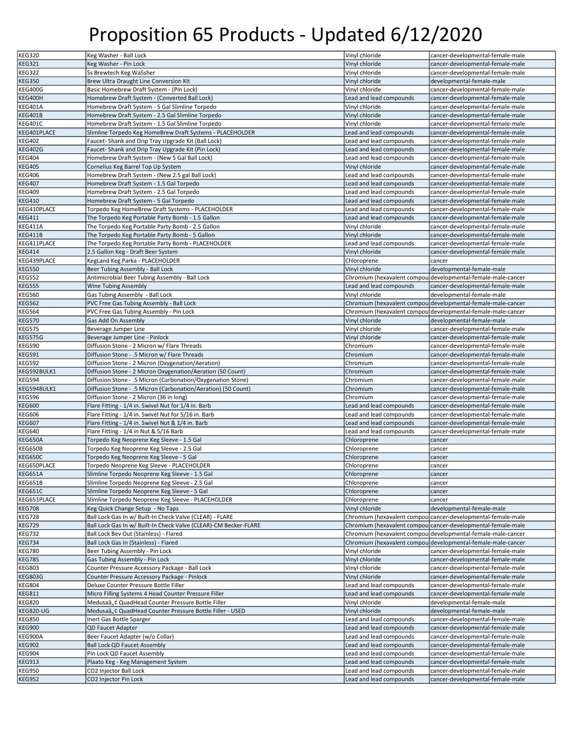| <b>KEG320</b>                                                             | Keg Washer - Ball Lock                                                                         | Vinyl chloride                                     | cancer-developmental-female-male                                     |
|---------------------------------------------------------------------------|------------------------------------------------------------------------------------------------|----------------------------------------------------|----------------------------------------------------------------------|
| <b>KEG321</b>                                                             | Keg Washer - Pin Lock                                                                          | Vinyl chloride                                     | cancer-developmental-female-male                                     |
| <b>KEG322</b>                                                             | Ss Brewtech Keg WaSsher                                                                        | Vinyl chloride                                     | cancer-developmental-female-male                                     |
| <b>KEG350</b>                                                             | Brew Ultra Draught Line Conversion Kit                                                         | Vinyl chloride                                     | developmental-female-male                                            |
| KEG400G                                                                   | Basic Homebrew Draft System - (Pin Lock)                                                       | Vinyl chloride                                     | cancer-developmental-female-male                                     |
| KEG400H                                                                   | Homebrew Draft System - (Converted Ball Lock)                                                  | Lead and lead compounds                            | cancer-developmental-female-male                                     |
| KEG401A                                                                   | Homebrew Draft System - 5 Gal Slimline Torpedo                                                 | Vinyl chloride                                     | cancer-developmental-female-male                                     |
| <b>KEG401B</b>                                                            | Homebrew Draft System - 2.5 Gal Slimline Torpedo                                               | Vinyl chloride                                     | cancer-developmental-female-male                                     |
| KEG401C                                                                   | Homebrew Draft System - 1.5 Gal Slimline Torpedo                                               | Vinyl chloride                                     | cancer-developmental-female-male                                     |
|                                                                           |                                                                                                |                                                    |                                                                      |
| KEG401PLACE                                                               | Slimline Torpedo Keg HomeBrew Draft Systems - PLACEHOLDER                                      | Lead and lead compounds                            | cancer-developmental-female-male                                     |
| <b>KEG402</b>                                                             | Faucet-Shank and Drip Tray Upgrade Kit (Ball Lock)                                             | Lead and lead compounds                            | cancer-developmental-female-male                                     |
| <b>KEG402G</b>                                                            | Faucet-Shank and Drip Tray Upgrade Kit (Pin Lock)                                              | Lead and lead compounds                            | cancer-developmental-female-male                                     |
| <b>KEG404</b>                                                             | Homebrew Draft System - (New 5 Gal Ball Lock)                                                  | Lead and lead compounds                            | cancer-developmental-female-male                                     |
| <b>KEG405</b>                                                             | Cornelius Keg Barrel Top Up System                                                             | Vinyl chloride                                     | cancer-developmental-female-male                                     |
| <b>KEG406</b>                                                             | Homebrew Draft System - (New 2.5 gal Ball Lock)                                                | Lead and lead compounds                            | cancer-developmental-female-male                                     |
| <b>KEG407</b>                                                             | Homebrew Draft System - 1.5 Gal Torpedo                                                        | Lead and lead compounds                            | cancer-developmental-female-male                                     |
| <b>KEG409</b>                                                             | Homebrew Draft System - 2.5 Gal Torpedo                                                        | Lead and lead compounds                            | cancer-developmental-female-male                                     |
| <b>KEG410</b>                                                             | Homebrew Draft System - 5 Gal Torpedo                                                          | Lead and lead compounds                            | cancer-developmental-female-male                                     |
| KEG410PLACE                                                               | Torpedo Keg HomeBrew Draft Systems - PLACEHOLDER                                               | Lead and lead compounds                            | cancer-developmental-female-male                                     |
| <b>KEG411</b>                                                             | The Torpedo Keg Portable Party Bomb - 1.5 Gallon                                               | Lead and lead compounds                            | cancer-developmental-female-male                                     |
| KEG411A                                                                   | The Torpedo Keg Portable Party Bomb - 2.5 Gallon                                               | Vinyl chloride                                     | cancer-developmental-female-male                                     |
| KEG411B                                                                   | The Torpedo Keg Portable Party Bomb - 5 Gallon                                                 | Vinyl chloride                                     | cancer-developmental-female-male                                     |
| KEG411PLACE                                                               | The Torpedo Keg Portable Party Bomb - PLACEHOLDER                                              | Lead and lead compounds                            | cancer-developmental-female-male                                     |
| <b>KEG414</b>                                                             | 2.5 Gallon Keg - Draft Beer System                                                             | Vinyl chloride                                     | cancer-developmental-female-male                                     |
| KEG439PLACE                                                               | KegLand Keg Parka - PLACEHOLDER                                                                | Chloroprene                                        | cancer                                                               |
| <b>KEG550</b>                                                             | Beer Tubing Assembly - Ball Lock                                                               | Vinyl chloride                                     | developmental-female-male                                            |
| <b>KEG552</b>                                                             | Antimicrobial Beer Tubing Assembly - Ball Lock                                                 |                                                    | Chromium (hexavalent compouldevelopmental-female-male-cancer         |
| <b>KEG555</b>                                                             | <b>Wine Tubing Assembly</b>                                                                    | Lead and lead compounds                            | cancer-developmental-female-male                                     |
| <b>KEG560</b>                                                             |                                                                                                | Vinyl chloride                                     | developmental-female-male                                            |
|                                                                           | Gas Tubing Assembly - Ball Lock                                                                |                                                    |                                                                      |
| <b>KEG562</b>                                                             | PVC Free Gas Tubing Assembly - Ball Lock                                                       |                                                    | Chromium (hexavalent compouldevelopmental-female-male-cancer         |
| <b>KEG564</b>                                                             | PVC Free Gas Tubing Assembly - Pin Lock                                                        |                                                    | Chromium (hexavalent compou developmental-female-male-cancer         |
| <b>KEG570</b>                                                             | Gas Add On Assembly                                                                            | Vinyl chloride                                     | developmental-female-male                                            |
| <b>KEG575</b>                                                             | Beverage Jumper Line                                                                           | Vinyl chloride                                     | cancer-developmental-female-male                                     |
| KEG575G                                                                   | Beverage Jumper Line - Pinlock                                                                 | Vinyl chloride                                     | cancer-developmental-female-male                                     |
| <b>KEG590</b>                                                             | Diffusion Stone - 2 Micron w/ Flare Threads                                                    | Chromium                                           | cancer-developmental-female-male                                     |
| <b>KEG591</b>                                                             | Diffusion Stone - .5 Micron w/ Flare Threads                                                   | Chromium                                           | cancer-developmental-female-male                                     |
| <b>KEG592</b>                                                             | Diffusion Stone - 2 Micron (Oxygenation/Aeration)                                              | Chromium                                           | cancer-developmental-female-male                                     |
| KEG592BULK1                                                               | Diffusion Stone - 2 Micron Oxygenation/Aeration (50 Count)                                     | Chromium                                           | cancer-developmental-female-male                                     |
| KEG594                                                                    | Diffusion Stone - .5 Micron (Carbonation/Oxygenation Stone)                                    | Chromium                                           | cancer-developmental-female-male                                     |
| KEG594BULK1                                                               | Diffusion Stone - .5 Micron (Carbonation/Aeration) (50 Count)                                  | Chromium                                           | cancer-developmental-female-male                                     |
| <b>KEG596</b>                                                             | Diffusion Stone - 2 Micron (36 in long)                                                        | Chromium                                           | cancer-developmental-female-male                                     |
|                                                                           |                                                                                                |                                                    |                                                                      |
|                                                                           | Flare Fitting - 1/4 in. Swivel Nut for 1/4 in. Barb                                            | Lead and lead compounds                            | cancer-developmental-female-male                                     |
| <b>KEG600</b>                                                             |                                                                                                |                                                    |                                                                      |
| <b>KEG606</b>                                                             | Flare Fitting - 1/4 in. Swivel Nut for 5/16 in. Barb                                           | Lead and lead compounds                            | cancer-developmental-female-male                                     |
| <b>KEG607</b>                                                             | Flare Fitting - 1/4 in. Swivel Nut & 1/4 in. Barb                                              | Lead and lead compounds                            | cancer-developmental-female-male                                     |
| <b>KEG640</b>                                                             | Flare Fitting - 1/4 in Nut & 5/16 Barb                                                         | Lead and lead compounds                            | cancer-developmental-female-male                                     |
| KEG650A                                                                   | Torpedo Keg Neoprene Keg Sleeve - 1.5 Gal                                                      | Chloroprene                                        | cancer                                                               |
| KEG650B                                                                   | Torpedo Keg Neoprene Keg Sleeve - 2.5 Gal                                                      | Chloroprene                                        | cancer                                                               |
| KEG650C                                                                   | Torpedo Keg Neoprene Keg Sleeve - 5 Gal                                                        | Chloroprene                                        | cancer                                                               |
|                                                                           | Torpedo Neoprene Keg Sleeve - PLACEHOLDER                                                      | Chloroprene                                        | cancer                                                               |
| KEG650PLACE<br>KEG651A                                                    | Slimline Torpedo Neoprene Keg Sleeve - 1.5 Gal                                                 | Chloroprene                                        | cancer                                                               |
| KEG651B                                                                   | Slimline Torpedo Neoprene Keg Sleeve - 2.5 Gal                                                 | Chloroprene                                        | cancer                                                               |
|                                                                           | Slimline Torpedo Neoprene Keg Sleeve - 5 Gal                                                   | Chloroprene                                        | cancer                                                               |
|                                                                           | Slimline Torpedo Neoprene Keg Sleeve - PLACEHOLDER                                             | Chloroprene                                        | cancer                                                               |
|                                                                           | Keg Quick Change Setup - No Taps                                                               | Vinyl chloride                                     | developmental-female-male                                            |
|                                                                           | Ball Lock Gas In w/ Built-In Check Valve (CLEAR) - FLARE                                       |                                                    | Chromium (hexavalent compou cancer-developmental-female-male         |
| KEG651C<br>KEG651PLACE<br><b>KEG708</b><br><b>KEG728</b><br><b>KEG729</b> | Ball Lock Gas In w/ Built-In Check Valve (CLEAR)-CM Becker-FLARE                               |                                                    | Chromium (hexavalent compoul cancer-developmental-female-male        |
| <b>KEG732</b>                                                             | Ball Lock Bev Out (Stainless) - Flared                                                         |                                                    | Chromium (hexavalent compou developmental-female-male-cancer         |
| <b>KEG734</b>                                                             | Ball Lock Gas In (Stainless) - Flared                                                          |                                                    | Chromium (hexavalent compou developmental-female-male-cancer         |
| <b>KEG780</b>                                                             | Beer Tubing Assembly - Pin Lock                                                                | Vinyl chloride                                     | cancer-developmental-female-male                                     |
| <b>KEG785</b>                                                             | Gas Tubing Assembly - Pin Lock                                                                 | Vinyl chloride                                     | cancer-developmental-female-male                                     |
|                                                                           |                                                                                                |                                                    |                                                                      |
| <b>KEG803G</b>                                                            | Counter Pressure Accessory Package - Ball Lock<br>Counter Pressure Accessory Package - Pinlock | Vinyl chloride<br>Vinyl chloride                   | cancer-developmental-female-male<br>cancer-developmental-female-male |
| <b>KEG803</b>                                                             | Deluxe Counter Pressure Bottle Filler                                                          |                                                    |                                                                      |
| <b>KEG804</b>                                                             |                                                                                                | Lead and lead compounds                            | cancer-developmental-female-male                                     |
| <b>KEG811</b>                                                             | Micro Filling Systems 4 Head Counter Pressure Filler                                           | Lead and lead compounds                            | cancer-developmental-female-male                                     |
| <b>KEG820</b>                                                             | Medusaâ"¢ QuadHead Counter Pressure Bottle Filler                                              | Vinyl chloride                                     | developmental-female-male                                            |
| <b>KEG820-UG</b>                                                          | Medusaâ" ¢ QuadHead Counter Pressure Bottle Filler - USED                                      | Vinyl chloride                                     | developmental-female-male                                            |
| <b>KEG850</b>                                                             | Inert Gas Bottle Sparger                                                                       | Lead and lead compounds                            | cancer-developmental-female-male                                     |
| <b>KEG900</b>                                                             | <b>QD Faucet Adapter</b>                                                                       | Lead and lead compounds                            | cancer-developmental-female-male                                     |
| KEG900A                                                                   | Beer Faucet Adapter (w/o Collar)                                                               | Lead and lead compounds                            | cancer-developmental-female-male                                     |
| <b>KEG902</b>                                                             | Ball Lock QD Faucet Assembly                                                                   | Lead and lead compounds                            | cancer-developmental-female-male                                     |
| KEG904                                                                    | Pin Lock QD Faucet Assembly                                                                    | Lead and lead compounds                            | cancer-developmental-female-male                                     |
| <b>KEG913</b>                                                             | Plaato Keg - Keg Management System                                                             | Lead and lead compounds                            | cancer-developmental-female-male                                     |
| <b>KEG950</b>                                                             | CO2 Injector Ball Lock<br>CO2 Injector Pin Lock                                                | Lead and lead compounds<br>Lead and lead compounds | cancer-developmental-female-male                                     |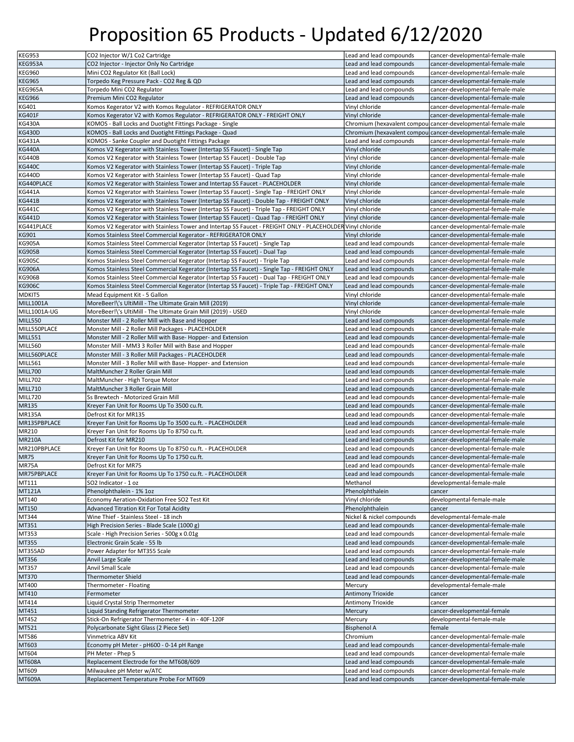| <b>KEG953</b>    | CO2 Injector W/1 Co2 Cartridge                                                                             | Lead and lead compounds   | cancer-developmental-female-male                              |
|------------------|------------------------------------------------------------------------------------------------------------|---------------------------|---------------------------------------------------------------|
| KEG953A          | CO2 Injector - Injector Only No Cartridge                                                                  | Lead and lead compounds   | cancer-developmental-female-male                              |
| <b>KEG960</b>    | Mini CO2 Regulator Kit (Ball Lock)                                                                         | Lead and lead compounds   | cancer-developmental-female-male                              |
|                  |                                                                                                            |                           |                                                               |
| <b>KEG965</b>    | Torpedo Keg Pressure Pack - CO2 Reg & QD                                                                   | Lead and lead compounds   | cancer-developmental-female-male                              |
| KEG965A          | Torpedo Mini CO2 Regulator                                                                                 | Lead and lead compounds   | cancer-developmental-female-male                              |
| <b>KEG966</b>    | Premium Mini CO2 Regulator                                                                                 | Lead and lead compounds   | cancer-developmental-female-male                              |
| KG401            | Komos Kegerator V2 with Komos Regulator - REFRIGERATOR ONLY                                                | Vinyl chloride            | cancer-developmental-female-male                              |
| <b>KG401F</b>    | Komos Kegerator V2 with Komos Regulator - REFRIGERATOR ONLY - FREIGHT ONLY                                 | Vinyl chloride            | cancer-developmental-female-male                              |
| <b>KG430A</b>    | KOMOS - Ball Locks and Duotight Fittings Package - Single                                                  |                           | Chromium (hexavalent compoul cancer-developmental-female-male |
| <b>KG430D</b>    | KOMOS - Ball Locks and Duotight Fittings Package - Quad                                                    |                           | Chromium (hexavalent compoul cancer-developmental-female-male |
| <b>KG431A</b>    | KOMOS - Sanke Coupler and Duotight Fittings Package                                                        | Lead and lead compounds   | cancer-developmental-female-male                              |
| <b>KG440A</b>    | Komos V2 Kegerator with Stainless Tower (Intertap SS Faucet) - Single Tap                                  | Vinyl chloride            | cancer-developmental-female-male                              |
| <b>KG440B</b>    | Komos V2 Kegerator with Stainless Tower (Intertap SS Faucet) - Double Tap                                  | Vinyl chloride            | cancer-developmental-female-male                              |
|                  |                                                                                                            | Vinyl chloride            | cancer-developmental-female-male                              |
| <b>KG440C</b>    | Komos V2 Kegerator with Stainless Tower (Intertap SS Faucet) - Triple Tap                                  |                           |                                                               |
| <b>KG440D</b>    | Komos V2 Kegerator with Stainless Tower (Intertap SS Faucet) - Quad Tap                                    | Vinyl chloride            | cancer-developmental-female-male                              |
| KG440PLACE       | Komos V2 Kegerator with Stainless Tower and Intertap SS Faucet - PLACEHOLDER                               | Vinyl chloride            | cancer-developmental-female-male                              |
| <b>KG441A</b>    | Komos V2 Kegerator with Stainless Tower (Intertap SS Faucet) - Single Tap - FREIGHT ONLY                   | Vinyl chloride            | cancer-developmental-female-male                              |
| <b>KG441B</b>    | Komos V2 Kegerator with Stainless Tower (Intertap SS Faucet) - Double Tap - FREIGHT ONLY                   | Vinyl chloride            | cancer-developmental-female-male                              |
| <b>KG441C</b>    | Komos V2 Kegerator with Stainless Tower (Intertap SS Faucet) - Triple Tap - FREIGHT ONLY                   | Vinyl chloride            | cancer-developmental-female-male                              |
| <b>KG441D</b>    | Komos V2 Kegerator with Stainless Tower (Intertap SS Faucet) - Quad Tap - FREIGHT ONLY                     | Vinyl chloride            | cancer-developmental-female-male                              |
| KG441PLACE       | Komos V2 Kegerator with Stainless Tower and Intertap SS Faucet - FREIGHT ONLY - PLACEHOLDER Vinyl chloride |                           | cancer-developmental-female-male                              |
| KG901            | Komos Stainless Steel Commercial Kegerator - REFRIGERATOR ONLY                                             | Vinyl chloride            | cancer-developmental-female-male                              |
| <b>KG905A</b>    | Komos Stainless Steel Commercial Kegerator (Intertap SS Faucet) - Single Tap                               | Lead and lead compounds   | cancer-developmental-female-male                              |
|                  | Komos Stainless Steel Commercial Kegerator (Intertap SS Faucet) - Dual Tap                                 |                           |                                                               |
| <b>KG905B</b>    |                                                                                                            | Lead and lead compounds   | cancer-developmental-female-male                              |
| <b>KG905C</b>    | Komos Stainless Steel Commercial Kegerator (Intertap SS Faucet) - Triple Tap                               | Lead and lead compounds   | cancer-developmental-female-male                              |
| <b>KG906A</b>    | Komos Stainless Steel Commercial Kegerator (Intertap SS Faucet) - Single Tap - FREIGHT ONLY                | Lead and lead compounds   | cancer-developmental-female-male                              |
| <b>KG906B</b>    | Komos Stainless Steel Commercial Kegerator (Intertap SS Faucet) - Dual Tap - FREIGHT ONLY                  | Lead and lead compounds   | cancer-developmental-female-male                              |
| <b>KG906C</b>    | Komos Stainless Steel Commercial Kegerator (Intertap SS Faucet) - Triple Tap - FREIGHT ONLY                | Lead and lead compounds   | cancer-developmental-female-male                              |
| MDKIT5           | Mead Equipment Kit - 5 Gallon                                                                              | Vinyl chloride            | cancer-developmental-female-male                              |
| <b>MILL1001A</b> | MoreBeer!\'s UltiMill - The Ultimate Grain Mill (2019)                                                     | Vinyl chloride            | cancer-developmental-female-male                              |
| MILL1001A-UG     | MoreBeer!\'s UltiMill - The Ultimate Grain Mill (2019) - USED                                              | Vinyl chloride            | cancer-developmental-female-male                              |
| MILL550          | Monster Mill - 2 Roller Mill with Base and Hopper                                                          | Lead and lead compounds   | cancer-developmental-female-male                              |
| MILL550PLACE     | Monster Mill - 2 Roller Mill Packages - PLACEHOLDER                                                        | Lead and lead compounds   | cancer-developmental-female-male                              |
|                  |                                                                                                            |                           |                                                               |
| MILL551          | Monster Mill - 2 Roller Mill with Base-Hopper- and Extension                                               | Lead and lead compounds   | cancer-developmental-female-male                              |
| MILL560          | Monster Mill - MM3 3 Roller Mill with Base and Hopper                                                      | Lead and lead compounds   | cancer-developmental-female-male                              |
| MILL560PLACE     | Monster Mill - 3 Roller Mill Packages - PLACEHOLDER                                                        | Lead and lead compounds   | cancer-developmental-female-male                              |
| MILL561          | Monster Mill - 3 Roller Mill with Base-Hopper- and Extension                                               | Lead and lead compounds   | cancer-developmental-female-male                              |
| MILL700          | MaltMuncher 2 Roller Grain Mill                                                                            | Lead and lead compounds   | cancer-developmental-female-male                              |
| MILL702          | MaltMuncher - High Torque Motor                                                                            | Lead and lead compounds   | cancer-developmental-female-male                              |
| <b>MILL710</b>   | MaltMuncher 3 Roller Grain Mill                                                                            | Lead and lead compounds   | cancer-developmental-female-male                              |
| MILL720          | Ss Brewtech - Motorized Grain Mill                                                                         | Lead and lead compounds   | cancer-developmental-female-male                              |
| <b>MR135</b>     | Kreyer Fan Unit for Rooms Up To 3500 cu.ft.                                                                | Lead and lead compounds   | cancer-developmental-female-male                              |
| <b>MR135A</b>    | Defrost Kit for MR135                                                                                      | Lead and lead compounds   | cancer-developmental-female-male                              |
| MR135PBPLACE     | Kreyer Fan Unit for Rooms Up To 3500 cu.ft. - PLACEHOLDER                                                  | Lead and lead compounds   | cancer-developmental-female-male                              |
|                  |                                                                                                            |                           |                                                               |
| MR210            | Kreyer Fan Unit for Rooms Up To 8750 cu.ft.                                                                | Lead and lead compounds   | cancer-developmental-female-male                              |
| <b>MR210A</b>    | Defrost Kit for MR210                                                                                      | Lead and lead compounds   | cancer-developmental-female-male                              |
| MR210PBPLACE     | Kreyer Fan Unit for Rooms Up To 8750 cu.ft. - PLACEHOLDER                                                  | Lead and lead compounds   | cancer-developmental-female-male                              |
| <b>MR75</b>      | Kreyer Fan Unit for Rooms Up To 1750 cu.ft.                                                                | Lead and lead compounds   | cancer-developmental-female-male                              |
| MR75A            | Defrost Kit for MR75                                                                                       | Lead and lead compounds   | cancer-developmental-female-male                              |
| MR75PBPLACE      | Kreyer Fan Unit for Rooms Up To 1750 cu.ft. - PLACEHOLDER                                                  | Lead and lead compounds   | cancer-developmental-female-male                              |
| MT111            | SO2 Indicator - 1 oz                                                                                       | Methanol                  | developmental-female-male                                     |
| <b>MT121A</b>    | Phenolphthalein - 1% 1oz                                                                                   | Phenolphthalein           | cancer                                                        |
| MT140            | Economy Aeration-Oxidation Free SO2 Test Kit                                                               | Vinyl chloride            | developmental-female-male                                     |
| MT150            |                                                                                                            |                           | cancer                                                        |
|                  | Advanced Titration Kit For Total Acidity                                                                   | Phenolphthalein           |                                                               |
| MT344            | Wine Thief - Stainless Steel - 18 inch                                                                     | Nickel & nickel compounds | developmental-female-male                                     |
| MT351            | High Precision Series - Blade Scale (1000 g)                                                               | Lead and lead compounds   | cancer-developmental-female-male                              |
| MT353            | Scale - High Precision Series - 500g x 0.01g                                                               | Lead and lead compounds   | cancer-developmental-female-male                              |
| MT355            | Electronic Grain Scale - 55 lb                                                                             | Lead and lead compounds   | cancer-developmental-female-male                              |
| MT355AD          | Power Adapter for MT355 Scale                                                                              | Lead and lead compounds   | cancer-developmental-female-male                              |
| MT356            | Anvil Large Scale                                                                                          | Lead and lead compounds   | cancer-developmental-female-male                              |
| MT357            | Anvil Small Scale                                                                                          | Lead and lead compounds   | cancer-developmental-female-male                              |
| MT370            | <b>Thermometer Shield</b>                                                                                  | Lead and lead compounds   | cancer-developmental-female-male                              |
| MT400            | Thermometer - Floating                                                                                     | Mercury                   | developmental-female-male                                     |
| MT410            | Fermometer                                                                                                 | <b>Antimony Trioxide</b>  | cancer                                                        |
|                  |                                                                                                            |                           |                                                               |
| MT414            | Liquid Crystal Strip Thermometer                                                                           | Antimony Trioxide         | cancer                                                        |
| MT451            | Liquid Standing Refrigerator Thermometer                                                                   | Mercury                   | cancer-developmental-female                                   |
| MT452            | Stick-On Refrigerator Thermometer - 4 in - 40F-120F                                                        | Mercury                   | developmental-female-male                                     |
| MT521            | Polycarbonate Sight Glass (2 Piece Set)                                                                    | <b>Bisphenol A</b>        | female                                                        |
| MT586            | Vinmetrica ABV Kit                                                                                         | Chromium                  | cancer-developmental-female-male                              |
| MT603            | Economy pH Meter - pH600 - 0-14 pH Range                                                                   | Lead and lead compounds   | cancer-developmental-female-male                              |
| MT604            | PH Meter - Phep 5                                                                                          | Lead and lead compounds   | cancer-developmental-female-male                              |
| <b>MT608A</b>    | Replacement Electrode for the MT608/609                                                                    | Lead and lead compounds   | cancer-developmental-female-male                              |
| MT609            | Milwaukee pH Meter w/ATC                                                                                   | Lead and lead compounds   | cancer-developmental-female-male                              |
|                  |                                                                                                            |                           |                                                               |
| <b>MT609A</b>    | Replacement Temperature Probe For MT609                                                                    | Lead and lead compounds   | cancer-developmental-female-male                              |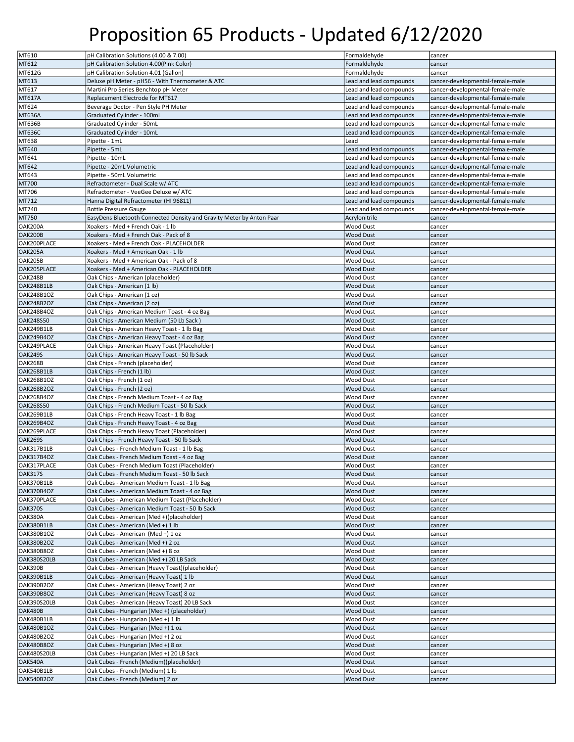| MT610             | pH Calibration Solutions (4.00 & 7.00)                               | Formaldehyde            | cancer                           |
|-------------------|----------------------------------------------------------------------|-------------------------|----------------------------------|
| MT612             | pH Calibration Solution 4.00(Pink Color)                             | Formaldehyde            | cancer                           |
|                   |                                                                      |                         |                                  |
| MT612G            | pH Calibration Solution 4.01 (Gallon)                                | Formaldehyde            | cancer                           |
| MT613             | Deluxe pH Meter - pH56 - With Thermometer & ATC                      | Lead and lead compounds | cancer-developmental-female-male |
| MT617             | Martini Pro Series Benchtop pH Meter                                 | Lead and lead compounds | cancer-developmental-female-male |
| <b>MT617A</b>     | Replacement Electrode for MT617                                      | Lead and lead compounds | cancer-developmental-female-male |
| MT624             | Beverage Doctor - Pen Style PH Meter                                 | Lead and lead compounds | cancer-developmental-female-male |
| <b>MT636A</b>     | Graduated Cylinder - 100mL                                           | Lead and lead compounds | cancer-developmental-female-male |
| MT636B            | Graduated Cylinder - 50mL                                            | Lead and lead compounds |                                  |
|                   |                                                                      |                         | cancer-developmental-female-male |
| <b>MT636C</b>     | Graduated Cylinder - 10mL                                            | Lead and lead compounds | cancer-developmental-female-male |
| MT638             | Pipette - 1mL                                                        | Lead                    | cancer-developmental-female-male |
| MT640             | Pipette - 5mL                                                        | Lead and lead compounds | cancer-developmental-female-male |
| MT641             | Pipette - 10mL                                                       | Lead and lead compounds | cancer-developmental-female-male |
| MT642             | Pipette - 20mL Volumetric                                            | Lead and lead compounds | cancer-developmental-female-male |
| MT643             | Pipette - 50mL Volumetric                                            | Lead and lead compounds | cancer-developmental-female-male |
| MT700             | Refractometer - Dual Scale w/ ATC                                    | Lead and lead compounds | cancer-developmental-female-male |
| MT706             | Refractometer - VeeGee Deluxe w/ ATC                                 | Lead and lead compounds | cancer-developmental-female-male |
|                   |                                                                      |                         |                                  |
| MT712             | Hanna Digital Refractometer (HI 96811)                               | Lead and lead compounds | cancer-developmental-female-male |
| MT740             | <b>Bottle Pressure Gauge</b>                                         | Lead and lead compounds | cancer-developmental-female-male |
| MT750             | EasyDens Bluetooth Connected Density and Gravity Meter by Anton Paar | Acrylonitrile           | cancer                           |
| OAK200A           | Xoakers - Med + French Oak - 1 lb                                    | <b>Wood Dust</b>        | cancer                           |
| OAK200B           | Xoakers - Med + French Oak - Pack of 8                               | <b>Wood Dust</b>        | cancer                           |
| OAK200PLACE       | Xoakers - Med + French Oak - PLACEHOLDER                             | <b>Wood Dust</b>        | cancer                           |
| OAK205A           | Xoakers - Med + American Oak - 1 lb                                  | <b>Wood Dust</b>        | cancer                           |
| OAK205B           | Xoakers - Med + American Oak - Pack of 8                             | <b>Wood Dust</b>        |                                  |
|                   |                                                                      |                         | cancer                           |
| OAK205PLACE       | Xoakers - Med + American Oak - PLACEHOLDER                           | <b>Wood Dust</b>        | cancer                           |
| OAK248B           | Oak Chips - American (placeholder)                                   | <b>Wood Dust</b>        | cancer                           |
| OAK248B1LB        | Oak Chips - American (1 lb)                                          | <b>Wood Dust</b>        | cancer                           |
| OAK248B1OZ        | Oak Chips - American (1 oz)                                          | <b>Wood Dust</b>        | cancer                           |
| <b>OAK248B2OZ</b> | Oak Chips - American (2 oz)                                          | <b>Wood Dust</b>        | cancer                           |
| OAK248B4OZ        | Oak Chips - American Medium Toast - 4 oz Bag                         | <b>Wood Dust</b>        | cancer                           |
| <b>OAK248S50</b>  | Oak Chips - American Medium (50 Lb Sack)                             | <b>Wood Dust</b>        |                                  |
|                   |                                                                      |                         | cancer                           |
| OAK249B1LB        | Oak Chips - American Heavy Toast - 1 lb Bag                          | <b>Wood Dust</b>        | cancer                           |
| OAK249B4OZ        | Oak Chips - American Heavy Toast - 4 oz Bag                          | Wood Dust               | cancer                           |
| OAK249PLACE       | Oak Chips - American Heavy Toast (Placeholder)                       | Wood Dust               | cancer                           |
| OAK249S           | Oak Chips - American Heavy Toast - 50 lb Sack                        | Wood Dust               | cancer                           |
| OAK268B           | Oak Chips - French (placeholder)                                     | <b>Wood Dust</b>        | cancer                           |
| OAK268B1LB        | Oak Chips - French (1 lb)                                            | Wood Dust               | cancer                           |
| <b>OAK268B1OZ</b> | Oak Chips - French (1 oz)                                            | <b>Wood Dust</b>        | cancer                           |
|                   |                                                                      |                         |                                  |
| <b>OAK268B2OZ</b> | Oak Chips - French (2 oz)                                            | Wood Dust               | cancer                           |
| <b>OAK268B4OZ</b> | Oak Chips - French Medium Toast - 4 oz Bag                           | <b>Wood Dust</b>        | cancer                           |
| <b>OAK268S50</b>  | Oak Chips - French Medium Toast - 50 lb Sack                         | <b>Wood Dust</b>        | cancer                           |
| OAK269B1LB        | Oak Chips - French Heavy Toast - 1 lb Bag                            | <b>Wood Dust</b>        | cancer                           |
| OAK269B4OZ        | Oak Chips - French Heavy Toast - 4 oz Bag                            | <b>Wood Dust</b>        | cancer                           |
| OAK269PLACE       | Oak Chips - French Heavy Toast (Placeholder)                         | <b>Wood Dust</b>        | cancer                           |
| OAK269S           | Oak Chips - French Heavy Toast - 50 lb Sack                          | <b>Wood Dust</b>        | cancer                           |
|                   |                                                                      |                         |                                  |
| OAK317B1LB        | Oak Cubes - French Medium Toast - 1 lb Bag                           | <b>Wood Dust</b>        | cancer                           |
| <b>OAK317B4OZ</b> | Oak Cubes - French Medium Toast - 4 oz Bag                           | <b>Wood Dust</b>        | cancer                           |
| OAK317PLACE       | Oak Cubes - French Medium Toast (Placeholder)                        | <b>Wood Dust</b>        | cancer                           |
| <b>OAK317S</b>    | Oak Cubes - French Medium Toast - 50 lb Sack                         | Wood Dust               | cancer                           |
| OAK370B1LB        | Oak Cubes - American Medium Toast - 1 lb Bag                         | <b>Wood Dust</b>        | cancer                           |
| OAK370B4OZ        | Oak Cubes - American Medium Toast - 4 oz Bag                         | <b>Wood Dust</b>        | cancer                           |
| OAK370PLACE       | Oak Cubes - American Medium Toast (Placeholder)                      | <b>Wood Dust</b>        | cancer                           |
| <b>OAK370S</b>    | Oak Cubes - American Medium Toast - 50 lb Sack                       | <b>Wood Dust</b>        |                                  |
|                   |                                                                      |                         | cancer                           |
| OAK380A           | Oak Cubes - American (Med +)(placeholder)                            | <b>Wood Dust</b>        | cancer                           |
| OAK380B1LB        | Oak Cubes - American (Med +) 1 lb                                    | <b>Wood Dust</b>        | cancer                           |
| OAK380B1OZ        | Oak Cubes - American (Med +) 1 oz                                    | <b>Wood Dust</b>        | cancer                           |
| <b>OAK380B2OZ</b> | Oak Cubes - American (Med +) 2 oz                                    | <b>Wood Dust</b>        | cancer                           |
| OAK380B8OZ        | Oak Cubes - American (Med +) 8 oz                                    | <b>Wood Dust</b>        | cancer                           |
| OAK380S20LB       | Oak Cubes - American (Med +) 20 LB Sack                              | <b>Wood Dust</b>        | cancer                           |
| OAK390B           | Oak Cubes - American (Heavy Toast)(placeholder)                      | <b>Wood Dust</b>        | cancer                           |
|                   |                                                                      |                         |                                  |
| OAK390B1LB        | Oak Cubes - American (Heavy Toast) 1 lb                              | <b>Wood Dust</b>        | cancer                           |
| OAK390B2OZ        | Oak Cubes - American (Heavy Toast) 2 oz                              | <b>Wood Dust</b>        | cancer                           |
| OAK390B8OZ        | Oak Cubes - American (Heavy Toast) 8 oz                              | <b>Wood Dust</b>        | cancer                           |
| OAK390S20LB       | Oak Cubes - American (Heavy Toast) 20 LB Sack                        | <b>Wood Dust</b>        | cancer                           |
| <b>OAK480B</b>    | Oak Cubes - Hungarian (Med +) (placeholder)                          | <b>Wood Dust</b>        | cancer                           |
| OAK480B1LB        | Oak Cubes - Hungarian (Med +) 1 lb                                   | <b>Wood Dust</b>        | cancer                           |
| <b>OAK480B1OZ</b> | Oak Cubes - Hungarian (Med +) 1 oz                                   | <b>Wood Dust</b>        | cancer                           |
|                   |                                                                      |                         |                                  |
| <b>OAK480B2OZ</b> | Oak Cubes - Hungarian (Med +) 2 oz                                   | <b>Wood Dust</b>        | cancer                           |
| OAK480B8OZ        | Oak Cubes - Hungarian (Med +) 8 oz                                   | <b>Wood Dust</b>        | cancer                           |
| OAK480S20LB       | Oak Cubes - Hungarian (Med +) 20 LB Sack                             | <b>Wood Dust</b>        | cancer                           |
| OAK540A           | Oak Cubes - French (Medium)(placeholder)                             | <b>Wood Dust</b>        | cancer                           |
| OAK540B1LB        | Oak Cubes - French (Medium) 1 lb                                     | <b>Wood Dust</b>        | cancer                           |
| OAK540B2OZ        | Oak Cubes - French (Medium) 2 oz                                     | <b>Wood Dust</b>        | cancer                           |
|                   |                                                                      |                         |                                  |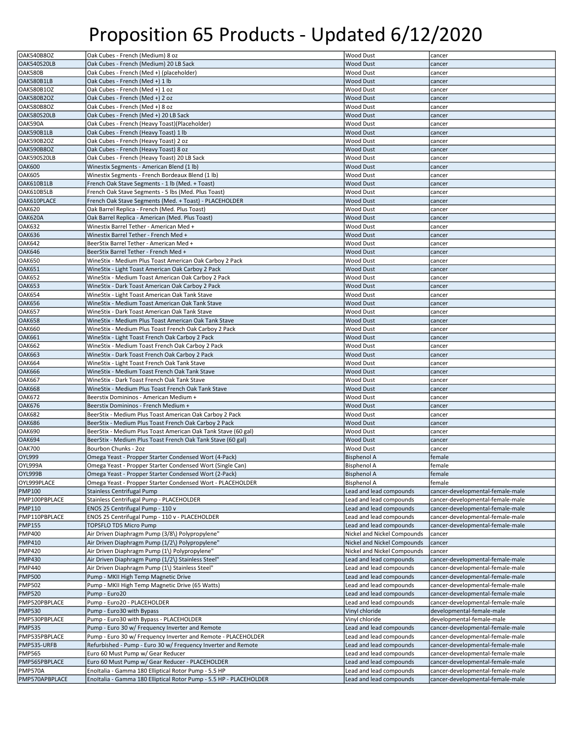| OAK540B8OZ     | Oak Cubes - French (Medium) 8 oz                                   | Wood Dust                   | cancer                           |
|----------------|--------------------------------------------------------------------|-----------------------------|----------------------------------|
| OAK540S20LB    | Oak Cubes - French (Medium) 20 LB Sack                             | <b>Wood Dust</b>            | cancer                           |
|                |                                                                    |                             |                                  |
| <b>OAK580B</b> | Oak Cubes - French (Med +) (placeholder)                           | <b>Wood Dust</b>            | cancer                           |
| OAK580B1LB     | Oak Cubes - French (Med +) 1 lb                                    | <b>Wood Dust</b>            | cancer                           |
| OAK580B1OZ     | Oak Cubes - French (Med +) 1 oz                                    | <b>Wood Dust</b>            | cancer                           |
| OAK580B2OZ     | Oak Cubes - French (Med +) 2 oz                                    | <b>Wood Dust</b>            | cancer                           |
| OAK580B8OZ     | Oak Cubes - French (Med +) 8 oz                                    | <b>Wood Dust</b>            | cancer                           |
| OAK580S20LB    | Oak Cubes - French (Med +) 20 LB Sack                              | <b>Wood Dust</b>            | cancer                           |
| OAK590A        | Oak Cubes - French (Heavy Toast)(Placeholder)                      | Wood Dust                   | cancer                           |
|                |                                                                    |                             |                                  |
| OAK590B1LB     | Oak Cubes - French (Heavy Toast) 1 lb                              | <b>Wood Dust</b>            | cancer                           |
| OAK590B2OZ     | Oak Cubes - French (Heavy Toast) 2 oz                              | Wood Dust                   | cancer                           |
| OAK590B8OZ     | Oak Cubes - French (Heavy Toast) 8 oz                              | <b>Wood Dust</b>            | cancer                           |
| OAK590S20LB    | Oak Cubes - French (Heavy Toast) 20 LB Sack                        | Wood Dust                   | cancer                           |
| <b>OAK600</b>  | Winestix Segments - American Blend (1 lb)                          | <b>Wood Dust</b>            | cancer                           |
| <b>OAK605</b>  | Winestix Segments - French Bordeaux Blend (1 lb)                   | Wood Dust                   | cancer                           |
| OAK610B1LB     | French Oak Stave Segments - 1 lb (Med. + Toast)                    | <b>Wood Dust</b>            |                                  |
|                |                                                                    |                             | cancer                           |
| OAK610B5LB     | French Oak Stave Segments - 5 lbs (Med. Plus Toast)                | Wood Dust                   | cancer                           |
| OAK610PLACE    | French Oak Stave Segments (Med. + Toast) - PLACEHOLDER             | <b>Wood Dust</b>            | cancer                           |
| <b>OAK620</b>  | Oak Barrel Replica - French (Med. Plus Toast)                      | <b>Wood Dust</b>            | cancer                           |
| <b>OAK620A</b> | Oak Barrel Replica - American (Med. Plus Toast)                    | <b>Wood Dust</b>            | cancer                           |
| <b>OAK632</b>  | Winestix Barrel Tether - American Med +                            | Wood Dust                   | cancer                           |
| <b>OAK636</b>  | Winestix Barrel Tether - French Med +                              | <b>Wood Dust</b>            | cancer                           |
|                |                                                                    |                             |                                  |
| <b>OAK642</b>  | BeerStix Barrel Tether - American Med +                            | <b>Wood Dust</b>            | cancer                           |
| <b>OAK646</b>  | BeerStix Barrel Tether - French Med +                              | <b>Wood Dust</b>            | cancer                           |
| <b>OAK650</b>  | WineStix - Medium Plus Toast American Oak Carboy 2 Pack            | <b>Wood Dust</b>            | cancer                           |
| <b>OAK651</b>  | WineStix - Light Toast American Oak Carboy 2 Pack                  | <b>Wood Dust</b>            | cancer                           |
| <b>OAK652</b>  | WineStix - Medium Toast American Oak Carboy 2 Pack                 | <b>Wood Dust</b>            | cancer                           |
| <b>OAK653</b>  | WineStix - Dark Toast American Oak Carboy 2 Pack                   | <b>Wood Dust</b>            | cancer                           |
| <b>OAK654</b>  |                                                                    |                             |                                  |
|                | WineStix - Light Toast American Oak Tank Stave                     | Wood Dust                   | cancer                           |
| <b>OAK656</b>  | WineStix - Medium Toast American Oak Tank Stave                    | <b>Wood Dust</b>            | cancer                           |
| <b>OAK657</b>  | WineStix - Dark Toast American Oak Tank Stave                      | <b>Wood Dust</b>            | cancer                           |
| <b>OAK658</b>  | WineStix - Medium Plus Toast American Oak Tank Stave               | <b>Wood Dust</b>            | cancer                           |
| <b>OAK660</b>  | WineStix - Medium Plus Toast French Oak Carboy 2 Pack              | Wood Dust                   | cancer                           |
| <b>OAK661</b>  | WineStix - Light Toast French Oak Carboy 2 Pack                    | <b>Wood Dust</b>            | cancer                           |
| <b>OAK662</b>  | WineStix - Medium Toast French Oak Carboy 2 Pack                   | Wood Dust                   |                                  |
|                |                                                                    |                             | cancer                           |
| <b>OAK663</b>  | WineStix - Dark Toast French Oak Carboy 2 Pack                     | <b>Wood Dust</b>            | cancer                           |
| <b>OAK664</b>  | WineStix - Light Toast French Oak Tank Stave                       | Wood Dust                   | cancer                           |
| <b>OAK666</b>  | WineStix - Medium Toast French Oak Tank Stave                      | <b>Wood Dust</b>            | cancer                           |
| <b>OAK667</b>  | WineStix - Dark Toast French Oak Tank Stave                        | Wood Dust                   | cancer                           |
| <b>OAK668</b>  | WineStix - Medium Plus Toast French Oak Tank Stave                 | <b>Wood Dust</b>            | cancer                           |
| <b>OAK672</b>  | Beerstix Domininos - American Medium +                             | Wood Dust                   | cancer                           |
|                |                                                                    |                             |                                  |
| <b>OAK676</b>  | Beerstix Domininos - French Medium +                               | <b>Wood Dust</b>            | cancer                           |
| <b>OAK682</b>  | BeerStix - Medium Plus Toast American Oak Carboy 2 Pack            | Wood Dust                   | cancer                           |
| <b>OAK686</b>  | BeerStix - Medium Plus Toast French Oak Carboy 2 Pack              | <b>Wood Dust</b>            | cancer                           |
| <b>OAK690</b>  | BeerStix - Medium Plus Toast American Oak Tank Stave (60 gal)      | <b>Wood Dust</b>            | cancer                           |
| <b>OAK694</b>  | BeerStix - Medium Plus Toast French Oak Tank Stave (60 gal)        | <b>Wood Dust</b>            | cancer                           |
| <b>OAK700</b>  | Bourbon Chunks - 2oz                                               | <b>Wood Dust</b>            | cancer                           |
| <b>OYL999</b>  | Omega Yeast - Propper Starter Condensed Wort (4-Pack)              | <b>Bisphenol A</b>          | female                           |
|                |                                                                    |                             |                                  |
| OYL999A        | Omega Yeast - Propper Starter Condensed Wort (Single Can)          | <b>Bisphenol A</b>          | female                           |
| OYL999B        | Omega Yeast - Propper Starter Condensed Wort (2-Pack)              | <b>Bisphenol A</b>          | female                           |
| OYL999PLACE    | Omega Yeast - Propper Starter Condensed Wort - PLACEHOLDER         | Bisphenol A                 | female                           |
| <b>PMP100</b>  | <b>Stainless Centrifugal Pump</b>                                  | Lead and lead compounds     | cancer-developmental-female-male |
| PMP100PBPLACE  | Stainless Centrifugal Pump - PLACEHOLDER                           | Lead and lead compounds     | cancer-developmental-female-male |
| <b>PMP110</b>  | ENOS 25 Centrifugal Pump - 110 v                                   | Lead and lead compounds     | cancer-developmental-female-male |
| PMP110PBPLACE  | ENOS 25 Centrifugal Pump - 110 v - PLACEHOLDER                     | Lead and lead compounds     | cancer-developmental-female-male |
|                |                                                                    |                             |                                  |
| <b>PMP155</b>  | TOPSFLO TD5 Micro Pump                                             | Lead and lead compounds     | cancer-developmental-female-male |
| <b>PMP400</b>  | Air Driven Diaphragm Pump (3/8\) Polypropylene"                    | Nickel and Nickel Compounds | cancer                           |
| <b>PMP410</b>  | Air Driven Diaphragm Pump (1/2\) Polypropylene"                    | Nickel and Nickel Compounds | cancer                           |
| <b>PMP420</b>  | Air Driven Diaphragm Pump (1\) Polypropylene"                      | Nickel and Nickel Compounds | cancer                           |
| <b>PMP430</b>  | Air Driven Diaphragm Pump (1/2\) Stainless Steel"                  | Lead and lead compounds     | cancer-developmental-female-male |
| <b>PMP440</b>  | Air Driven Diaphragm Pump (1\) Stainless Steel"                    | Lead and lead compounds     | cancer-developmental-female-male |
| <b>PMP500</b>  | Pump - MKII High Temp Magnetic Drive                               | Lead and lead compounds     | cancer-developmental-female-male |
|                |                                                                    |                             |                                  |
| <b>PMP502</b>  | Pump - MKII High Temp Magnetic Drive (65 Watts)                    | Lead and lead compounds     | cancer-developmental-female-male |
| <b>PMP520</b>  | Pump - Euro20                                                      | Lead and lead compounds     | cancer-developmental-female-male |
| PMP520PBPLACE  | Pump - Euro20 - PLACEHOLDER                                        | Lead and lead compounds     | cancer-developmental-female-male |
| <b>PMP530</b>  | Pump - Euro30 with Bypass                                          | Vinyl chloride              | developmental-female-male        |
| PMP530PBPLACE  | Pump - Euro30 with Bypass - PLACEHOLDER                            | Vinyl chloride              | developmental-female-male        |
| <b>PMP535</b>  |                                                                    | Lead and lead compounds     | cancer-developmental-female-male |
|                |                                                                    |                             |                                  |
|                | Pump - Euro 30 w/ Frequency Inverter and Remote                    |                             |                                  |
| PMP535PBPLACE  | Pump - Euro 30 w/ Frequency Inverter and Remote - PLACEHOLDER      | Lead and lead compounds     | cancer-developmental-female-male |
| PMP535-URFB    | Refurbished - Pump - Euro 30 w/ Frequency Inverter and Remote      | Lead and lead compounds     | cancer-developmental-female-male |
| <b>PMP565</b>  | Euro 60 Must Pump w/ Gear Reducer                                  | Lead and lead compounds     | cancer-developmental-female-male |
| PMP565PBPLACE  | Euro 60 Must Pump w/ Gear Reducer - PLACEHOLDER                    | Lead and lead compounds     | cancer-developmental-female-male |
| <b>PMP570A</b> | EnoItalia - Gamma 180 Elliptical Rotor Pump - 5.5 HP               | Lead and lead compounds     | cancer-developmental-female-male |
| PMP570APBPLACE | EnoItalia - Gamma 180 Elliptical Rotor Pump - 5.5 HP - PLACEHOLDER | Lead and lead compounds     | cancer-developmental-female-male |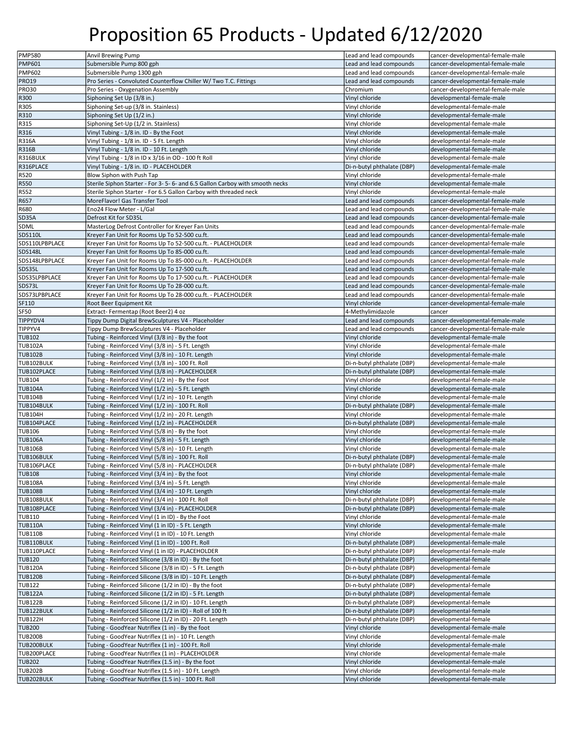| <b>PMP580</b>  | Anvil Brewing Pump                                                          | Lead and lead compounds    | cancer-developmental-female-male |
|----------------|-----------------------------------------------------------------------------|----------------------------|----------------------------------|
| <b>PMP601</b>  | Submersible Pump 800 gph                                                    | Lead and lead compounds    | cancer-developmental-female-male |
| <b>PMP602</b>  | Submersible Pump 1300 gph                                                   | Lead and lead compounds    | cancer-developmental-female-male |
|                |                                                                             |                            |                                  |
| <b>PRO19</b>   | Pro Series - Convoluted Counterflow Chiller W/ Two T.C. Fittings            | Lead and lead compounds    | cancer-developmental-female-male |
| <b>PRO30</b>   | Pro Series - Oxygenation Assembly                                           | Chromium                   | cancer-developmental-female-male |
| R300           | Siphoning Set Up (3/8 in.)                                                  | Vinyl chloride             | developmental-female-male        |
| R305           | Siphoning Set-up (3/8 in. Stainless)                                        | Vinyl chloride             | developmental-female-male        |
| R310           | Siphoning Set Up (1/2 in.)                                                  | Vinyl chloride             | developmental-female-male        |
| R315           | Siphoning Set-Up (1/2 in. Stainless)                                        | Vinyl chloride             | developmental-female-male        |
| R316           | Vinyl Tubing - 1/8 in. ID - By the Foot                                     | Vinyl chloride             | developmental-female-male        |
| R316A          | Vinyl Tubing - 1/8 in. ID - 5 Ft. Length                                    | Vinyl chloride             | developmental-female-male        |
| R316B          |                                                                             | Vinyl chloride             | developmental-female-male        |
|                | Vinyl Tubing - 1/8 in. ID - 10 Ft. Length                                   |                            |                                  |
| R316BULK       | Vinyl Tubing - 1/8 in ID x 3/16 in OD - 100 ft Roll                         | Vinyl chloride             | developmental-female-male        |
| R316PLACE      | Vinyl Tubing - 1/8 in. ID - PLACEHOLDER                                     | Di-n-butyl phthalate (DBP) | developmental-female-male        |
| R520           | Blow Siphon with Push Tap                                                   | Vinyl chloride             | developmental-female-male        |
| <b>R550</b>    | Sterile Siphon Starter - For 3-5-6- and 6.5 Gallon Carboy with smooth necks | Vinyl chloride             | developmental-female-male        |
| R552           | Sterile Siphon Starter - For 6.5 Gallon Carboy with threaded neck           | Vinyl chloride             | developmental-female-male        |
| R657           | MoreFlavor! Gas Transfer Tool                                               | Lead and lead compounds    | cancer-developmental-female-male |
| R680           | Eno24 Flow Meter - L/Gal                                                    | Lead and lead compounds    | cancer-developmental-female-male |
| SD35A          | Defrost Kit for SD35L                                                       | Lead and lead compounds    | cancer-developmental-female-male |
| SDML           | MasterLog Defrost Controller for Kreyer Fan Units                           | Lead and lead compounds    | cancer-developmental-female-male |
|                |                                                                             |                            |                                  |
| <b>SDS110L</b> | Kreyer Fan Unit for Rooms Up To 52-500 cu.ft.                               | Lead and lead compounds    | cancer-developmental-female-male |
| SDS110LPBPLACE | Kreyer Fan Unit for Rooms Up To 52-500 cu.ft. - PLACEHOLDER                 | Lead and lead compounds    | cancer-developmental-female-male |
| <b>SDS148L</b> | Kreyer Fan Unit for Rooms Up To 85-000 cu.ft.                               | Lead and lead compounds    | cancer-developmental-female-male |
| SDS148LPBPLACE | Kreyer Fan Unit for Rooms Up To 85-000 cu.ft. - PLACEHOLDER                 | Lead and lead compounds    | cancer-developmental-female-male |
| SDS35L         | Kreyer Fan Unit for Rooms Up To 17-500 cu.ft.                               | Lead and lead compounds    | cancer-developmental-female-male |
| SDS35LPBPLACE  | Kreyer Fan Unit for Rooms Up To 17-500 cu.ft. - PLACEHOLDER                 | Lead and lead compounds    | cancer-developmental-female-male |
| SDS73L         | Kreyer Fan Unit for Rooms Up To 28-000 cu.ft.                               | Lead and lead compounds    | cancer-developmental-female-male |
| SDS73LPBPLACE  | Kreyer Fan Unit for Rooms Up To 28-000 cu.ft. - PLACEHOLDER                 | Lead and lead compounds    | cancer-developmental-female-male |
| SF110          | Root Beer Equipment Kit                                                     | Vinyl chloride             | cancer-developmental-female-male |
| <b>SF50</b>    |                                                                             |                            |                                  |
|                | Extract-Fermentap (Root Beer2) 4 oz                                         | 4-Methylimidazole          | cancer                           |
| TIPPYDV4       | Tippy Dump Digital BrewSculptures V4 - Placeholder                          | Lead and lead compounds    | cancer-developmental-female-male |
| TIPPYV4        | Tippy Dump BrewSculptures V4 - Placeholder                                  | Lead and lead compounds    | cancer-developmental-female-male |
| <b>TUB102</b>  | Tubing - Reinforced Vinyl (3/8 in) - By the foot                            | Vinyl chloride             | developmental-female-male        |
| <b>TUB102A</b> | Tubing - Reinforced Vinyl (3/8 in) - 5 Ft. Length                           | Vinyl chloride             | developmental-female-male        |
| <b>TUB102B</b> | Tubing - Reinforced Vinyl (3/8 in) - 10 Ft. Length                          | Vinyl chloride             | developmental-female-male        |
| TUB102BULK     | Tubing - Reinforced Vinyl (3/8 in) - 100 Ft. Roll                           | Di-n-butyl phthalate (DBP) | developmental-female-male        |
| TUB102PLACE    | Tubing - Reinforced Vinyl (3/8 in) - PLACEHOLDER                            | Di-n-butyl phthalate (DBP) | developmental-female-male        |
| <b>TUB104</b>  | Tubing - Reinforced Vinyl (1/2 in) - By the Foot                            | Vinyl chloride             | developmental-female-male        |
| <b>TUB104A</b> | Tubing - Reinforced Vinyl (1/2 in) - 5 Ft. Length                           | Vinyl chloride             | developmental-female-male        |
|                |                                                                             |                            |                                  |
| <b>TUB104B</b> | Tubing - Reinforced Vinyl (1/2 in) - 10 Ft. Length                          | Vinyl chloride             | developmental-female-male        |
| TUB104BULK     | Tubing - Reinforced Vinyl (1/2 in) - 100 Ft. Roll                           | Di-n-butyl phthalate (DBP) | developmental-female-male        |
| <b>TUB104H</b> | Tubing - Reinforced Vinyl (1/2 in) - 20 Ft. Length                          | Vinyl chloride             | developmental-female-male        |
| TUB104PLACE    | Tubing - Reinforced Vinyl (1/2 in) - PLACEHOLDER                            | Di-n-butyl phthalate (DBP) | developmental-female-male        |
| <b>TUB106</b>  | Tubing - Reinforced Vinyl (5/8 in) - By the foot                            | Vinyl chloride             | developmental-female-male        |
| <b>TUB106A</b> | Tubing - Reinforced Vinyl (5/8 in) - 5 Ft. Length                           | Vinyl chloride             | developmental-female-male        |
| <b>TUB106B</b> | Tubing - Reinforced Vinyl (5/8 in) - 10 Ft. Length                          | Vinyl chloride             | developmental-female-male        |
| TUB106BULK     | Tubing - Reinforced Vinyl (5/8 in) - 100 Ft. Roll                           | Di-n-butyl phthalate (DBP) | developmental-female-male        |
| TUB106PLACE    | Tubing - Reinforced Vinyl (5/8 in) - PLACEHOLDER                            | Di-n-butyl phthalate (DBP) | developmental-female-male        |
|                |                                                                             |                            |                                  |
| <b>TUB108</b>  | Tubing - Reinforced Vinyl (3/4 in) - By the foot                            | Vinyl chloride             | developmental-female-male        |
| <b>TUB108A</b> | Tubing - Reinforced Vinyl (3/4 in) - 5 Ft. Length                           | Vinyl chloride             | developmental-female-male        |
| <b>TUB108B</b> | Tubing - Reinforced Vinyl (3/4 in) - 10 Ft. Length                          | Vinyl chloride             | developmental-female-male        |
| TUB108BULK     | Tubing - Reinforced Vinyl (3/4 in) - 100 Ft. Roll                           | Di-n-butyl phthalate (DBP) | developmental-female-male        |
| TUB108PLACE    | Tubing - Reinforced Vinyl (3/4 in) - PLACEHOLDER                            | Di-n-butyl phthalate (DBP) | developmental-female-male        |
| <b>TUB110</b>  | Tubing - Reinforced Vinyl (1 in ID) - By the Foot                           | Vinyl chloride             | developmental-female-male        |
| <b>TUB110A</b> | Tubing - Reinforced Vinyl (1 in ID) - 5 Ft. Length                          | Vinyl chloride             | developmental-female-male        |
| <b>TUB110B</b> | Tubing - Reinforced Vinyl (1 in ID) - 10 Ft. Length                         | Vinyl chloride             | developmental-female-male        |
| TUB110BULK     | Tubing - Reinforced Vinyl (1 in ID) - 100 Ft. Roll                          | Di-n-butyl phthalate (DBP) | developmental-female-male        |
| TUB110PLACE    | Tubing - Reinforced Vinyl (1 in ID) - PLACEHOLDER                           | Di-n-butyl phthalate (DBP) | developmental-female-male        |
| <b>TUB120</b>  |                                                                             | Di-n-butyl phthalate (DBP) | developmental-female             |
|                | Tubing - Reinforced Silicone (3/8 in ID) - By the foot                      |                            |                                  |
| <b>TUB120A</b> | Tubing - Reinforced Silicone (3/8 in ID) - 5 Ft. Length                     | Di-n-butyl phthalate (DBP) | developmental-female             |
| <b>TUB120B</b> | Tubing - Reinforced Silicone (3/8 in ID) - 10 Ft. Length                    | Di-n-butyl phthalate (DBP) | developmental-female             |
| <b>TUB122</b>  | Tubing - Reinforced Silicone (1/2 in ID) - By the foot                      | Di-n-butyl phthalate (DBP) | developmental-female             |
| <b>TUB122A</b> | Tubing - Reinforced Silicone (1/2 in ID) - 5 Ft. Length                     | Di-n-butyl phthalate (DBP) | developmental-female             |
| <b>TUB122B</b> | Tubing - Reinforced Silicone (1/2 in ID) - 10 Ft. Length                    | Di-n-butyl phthalate (DBP) | developmental-female             |
|                |                                                                             |                            | developmental-female             |
| TUB122BULK     |                                                                             | Di-n-butyl phthalate (DBP) |                                  |
|                | Tubing - Reinforced Silicone (1/2 in ID) - Roll of 100 ft                   |                            |                                  |
| <b>TUB122H</b> | Tubing - Reinforced Silicone (1/2 in ID) - 20 Ft. Length                    | Di-n-butyl phthalate (DBP) | developmental-female             |
| <b>TUB200</b>  | Tubing - GoodYear Nutriflex (1 in) - By the foot                            | Vinyl chloride             | developmental-female-male        |
| <b>TUB200B</b> | Tubing - GoodYear Nutriflex (1 in) - 10 Ft. Length                          | Vinyl chloride             | developmental-female-male        |
| TUB200BULK     | Tubing - GoodYear Nutriflex (1 in) - 100 Ft. Roll                           | Vinyl chloride             | developmental-female-male        |
| TUB200PLACE    | Tubing - GoodYear Nutriflex (1 in) - PLACEHOLDER                            | Vinyl chloride             | developmental-female-male        |
| <b>TUB202</b>  | Tubing - GoodYear Nutriflex (1.5 in) - By the foot                          | Vinyl chloride             | developmental-female-male        |
| <b>TUB202B</b> | Tubing - GoodYear Nutriflex (1.5 in) - 10 Ft. Length                        | Vinyl chloride             | developmental-female-male        |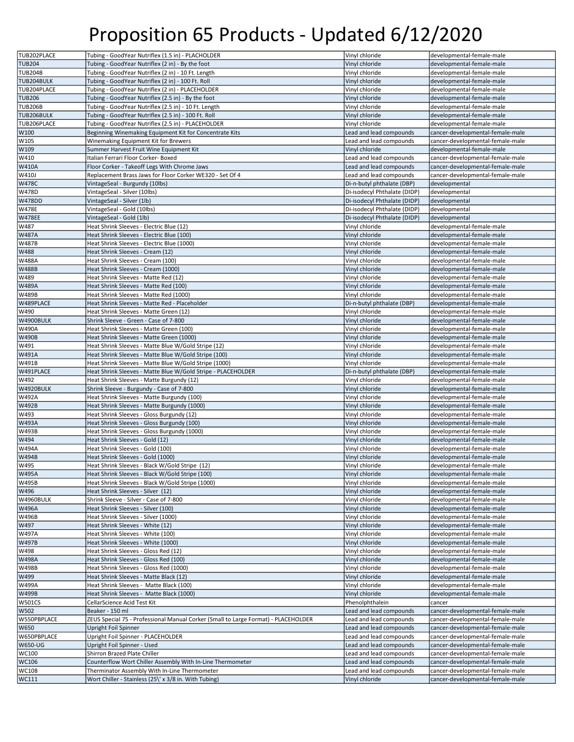| TUB202PLACE                           | Tubing - GoodYear Nutriflex (1.5 in) - PLACHOLDER                                                      | Vinyl chloride                            | developmental-female-male                                            |
|---------------------------------------|--------------------------------------------------------------------------------------------------------|-------------------------------------------|----------------------------------------------------------------------|
| <b>TUB204</b>                         | Tubing - GoodYear Nutriflex (2 in) - By the foot                                                       | Vinyl chloride                            | developmental-female-male                                            |
| <b>TUB204B</b>                        | Tubing - GoodYear Nutriflex (2 in) - 10 Ft. Length                                                     | Vinyl chloride                            | developmental-female-male                                            |
| TUB204BULK                            | Tubing - GoodYear Nutriflex (2 in) - 100 Ft. Roll                                                      | Vinyl chloride                            | developmental-female-male                                            |
| TUB204PLACE                           |                                                                                                        |                                           |                                                                      |
|                                       | Tubing - GoodYear Nutriflex (2 in) - PLACEHOLDER                                                       | Vinyl chloride                            | developmental-female-male                                            |
| <b>TUB206</b>                         | Tubing - GoodYear Nutriflex (2.5 in) - By the foot                                                     | Vinyl chloride                            | developmental-female-male                                            |
| <b>TUB206B</b>                        | Tubing - GoodYear Nutriflex (2.5 in) - 10 Ft. Length                                                   | Vinyl chloride                            | developmental-female-male                                            |
| TUB206BULK                            | Tubing - GoodYear Nutriflex (2.5 in) - 100 Ft. Roll                                                    | Vinyl chloride                            | developmental-female-male                                            |
| TUB206PLACE                           | Tubing - GoodYear Nutriflex (2.5 in) - PLACEHOLDER                                                     | Vinyl chloride                            | developmental-female-male                                            |
| W100                                  | Beginning Winemaking Equipment Kit for Concentrate Kits                                                | Lead and lead compounds                   | cancer-developmental-female-male                                     |
| W105                                  | Winemaking Equipment Kit for Brewers                                                                   | Lead and lead compounds                   | cancer-developmental-female-male                                     |
| W109                                  | Summer Harvest Fruit Wine Equipment Kit                                                                | Vinyl chloride                            | developmental-female-male                                            |
| W410                                  | Italian Ferrari Floor Corker- Boxed                                                                    | Lead and lead compounds                   | cancer-developmental-female-male                                     |
| <b>W410A</b>                          | Floor Corker - Takeoff Legs With Chrome Jaws                                                           | Lead and lead compounds                   | cancer-developmental-female-male                                     |
| W410J                                 | Replacement Brass Jaws for Floor Corker WE320 - Set Of 4                                               | Lead and lead compounds                   | cancer-developmental-female-male                                     |
| <b>W478C</b>                          | VintageSeal - Burgundy (10lbs)                                                                         | Di-n-butyl phthalate (DBP)                | developmental                                                        |
| W478D                                 |                                                                                                        |                                           | developmental                                                        |
|                                       | VintageSeal - Silver (10lbs)                                                                           | Di-isodecyl Phthalate (DIDP)              |                                                                      |
| <b>W478DD</b>                         | VintageSeal - Silver (1lb)                                                                             | Di-isodecyl Phthalate (DIDP)              | developmental                                                        |
| <b>W478E</b>                          | VintageSeal - Gold (10lbs)                                                                             | Di-isodecyl Phthalate (DIDP)              | developmental                                                        |
| <b>W478EE</b>                         | VintageSeal - Gold (1lb)                                                                               | Di-isodecyl Phthalate (DIDP)              | developmental                                                        |
| W487                                  | Heat Shrink Sleeves - Electric Blue (12)                                                               | Vinyl chloride                            | developmental-female-male                                            |
| <b>W487A</b>                          | Heat Shrink Sleeves - Electric Blue (100)                                                              | Vinyl chloride                            | developmental-female-male                                            |
| <b>W487B</b>                          | Heat Shrink Sleeves - Electric Blue (1000)                                                             | Vinyl chloride                            | developmental-female-male                                            |
| W488                                  | Heat Shrink Sleeves - Cream (12)                                                                       | Vinyl chloride                            | developmental-female-male                                            |
| <b>W488A</b>                          | Heat Shrink Sleeves - Cream (100)                                                                      | Vinyl chloride                            | developmental-female-male                                            |
| <b>W488B</b>                          | Heat Shrink Sleeves - Cream (1000)                                                                     | Vinyl chloride                            | developmental-female-male                                            |
| W489                                  | Heat Shrink Sleeves - Matte Red (12)                                                                   | Vinvl chloride                            | developmental-female-male                                            |
| <b>W489A</b>                          | Heat Shrink Sleeves - Matte Red (100)                                                                  | Vinyl chloride                            | developmental-female-male                                            |
| W489B                                 | Heat Shrink Sleeves - Matte Red (1000)                                                                 | Vinyl chloride                            | developmental-female-male                                            |
|                                       |                                                                                                        |                                           |                                                                      |
| W489PLACE                             | Heat Shrink Sleeves - Matte Red - Placeholder                                                          | Di-n-butyl phthalate (DBP)                | developmental-female-male                                            |
| W490                                  | Heat Shrink Sleeves - Matte Green (12)                                                                 | Vinyl chloride                            | developmental-female-male                                            |
| W4900BULK                             | Shrink Sleeve - Green - Case of 7-800                                                                  | Vinyl chloride                            | developmental-female-male                                            |
| <b>W490A</b>                          | Heat Shrink Sleeves - Matte Green (100)                                                                | Vinyl chloride                            | developmental-female-male                                            |
| <b>W490B</b>                          | Heat Shrink Sleeves - Matte Green (1000)                                                               | Vinyl chloride                            | developmental-female-male                                            |
| W491                                  | Heat Shrink Sleeves - Matte Blue W/Gold Stripe (12)                                                    | Vinyl chloride                            | developmental-female-male                                            |
| <b>W491A</b>                          | Heat Shrink Sleeves - Matte Blue W/Gold Stripe (100)                                                   | Vinyl chloride                            | developmental-female-male                                            |
| W491B                                 | Heat Shrink Sleeves - Matte Blue W/Gold Stripe (1000)                                                  | Vinyl chloride                            | developmental-female-male                                            |
| W491PLACE                             | Heat Shrink Sleeves - Matte Blue W/Gold Stripe - PLACEHOLDER                                           | Di-n-butyl phthalate (DBP)                | developmental-female-male                                            |
| W492                                  | Heat Shrink Sleeves - Matte Burgundy (12)                                                              | Vinyl chloride                            | developmental-female-male                                            |
| W4920BULK                             | Shrink Sleeve - Burgundy - Case of 7-800                                                               | Vinyl chloride                            | developmental-female-male                                            |
| <b>W492A</b>                          | Heat Shrink Sleeves - Matte Burgundy (100)                                                             | Vinyl chloride                            | developmental-female-male                                            |
| <b>W492B</b>                          | Heat Shrink Sleeves - Matte Burgundy (1000)                                                            | Vinyl chloride                            | developmental-female-male                                            |
|                                       |                                                                                                        |                                           |                                                                      |
| W493                                  | Heat Shrink Sleeves - Gloss Burgundy (12)                                                              | Vinyl chloride                            | developmental-female-male                                            |
| <b>W493A</b>                          | Heat Shrink Sleeves - Gloss Burgundy (100)                                                             | Vinyl chloride                            | developmental-female-male                                            |
| W493B                                 | Heat Shrink Sleeves - Gloss Burgundy (1000)                                                            | Vinyl chloride                            | developmental-female-male                                            |
| W494                                  | Heat Shrink Sleeves - Gold (12)                                                                        | Vinyl chloride                            | developmental-female-male                                            |
| <b>W494A</b>                          | Heat Shrink Sleeves - Gold (100)                                                                       | Vinyl chloride                            | developmental-female-male                                            |
| <b>W494B</b>                          | Heat Shrink Sleeves - Gold (1000)                                                                      | Vinyl chloride                            | developmental-female-male                                            |
| W495                                  | Heat Shrink Sleeves - Black W/Gold Stripe (12)                                                         | Vinyl chloride                            | developmental-female-male                                            |
| <b>W495A</b>                          | Heat Shrink Sleeves - Black W/Gold Stripe (100)                                                        | Vinyl chloride                            | developmental-female-male                                            |
| W495B                                 | Heat Shrink Sleeves - Black W/Gold Stripe (1000)                                                       | Vinyl chloride                            | developmental-female-male                                            |
| W496                                  | Heat Shrink Sleeves - Silver (12)                                                                      | Vinyl chloride                            | developmental-female-male                                            |
| W4960BULK                             | Shrink Sleeve - Silver - Case of 7-800                                                                 | Vinyl chloride                            | developmental-female-male                                            |
| <b>W496A</b>                          | Heat Shrink Sleeves - Silver (100)                                                                     | Vinyl chloride                            | developmental-female-male                                            |
| W496B                                 | Heat Shrink Sleeves - Silver (1000)                                                                    | Vinyl chloride                            | developmental-female-male                                            |
| W497                                  | Heat Shrink Sleeves - White (12)                                                                       | Vinyl chloride                            | developmental-female-male                                            |
| <b>W497A</b>                          | Heat Shrink Sleeves - White (100)                                                                      | Vinyl chloride                            | developmental-female-male                                            |
| <b>W497B</b>                          | Heat Shrink Sleeves - White (1000)                                                                     | Vinyl chloride                            | developmental-female-male                                            |
|                                       |                                                                                                        |                                           |                                                                      |
| W498                                  | Heat Shrink Sleeves - Gloss Red (12)                                                                   | Vinyl chloride                            | developmental-female-male                                            |
| <b>W498A</b>                          | Heat Shrink Sleeves - Gloss Red (100)                                                                  | Vinyl chloride                            | developmental-female-male                                            |
| <b>W498B</b>                          | Heat Shrink Sleeves - Gloss Red (1000)                                                                 | Vinyl chloride                            | developmental-female-male                                            |
| W499                                  | Heat Shrink Sleeves - Matte Black (12)                                                                 | Vinyl chloride                            | developmental-female-male                                            |
| <b>W499A</b>                          | Heat Shrink Sleeves - Matte Black (100)                                                                | Vinyl chloride                            | developmental-female-male                                            |
| <b>W499B</b>                          | Heat Shrink Sleeves - Matte Black (1000)                                                               | Vinyl chloride                            | developmental-female-male                                            |
| <b>W501CS</b>                         | CellarScience Acid Test Kit                                                                            | Phenolphthalein                           | cancer                                                               |
| W502                                  | Beaker - 150 ml                                                                                        | Lead and lead compounds                   | cancer-developmental-female-male                                     |
| W550PBPLACE                           |                                                                                                        |                                           |                                                                      |
|                                       | ZEUS Special 75 - Professional Manual Corker (Small to Large Format) - PLACEHOLDER                     | Lead and lead compounds                   | cancer-developmental-female-male                                     |
|                                       | Upright Foil Spinner                                                                                   | Lead and lead compounds                   | cancer-developmental-female-male                                     |
|                                       |                                                                                                        |                                           |                                                                      |
|                                       | Upright Foil Spinner - PLACEHOLDER                                                                     | Lead and lead compounds                   | cancer-developmental-female-male                                     |
| W650<br>W650PBPLACE<br><b>W650-UG</b> | Upright Foil Spinner - Used                                                                            | Lead and lead compounds                   | cancer-developmental-female-male                                     |
| WC100                                 | Shirron Brazed Plate Chiller                                                                           | Lead and lead compounds                   | cancer-developmental-female-male                                     |
| <b>WC106</b>                          | Counterflow Wort Chiller Assembly With In-Line Thermometer                                             | Lead and lead compounds                   | cancer-developmental-female-male                                     |
| WC108<br>WC111                        | Therminator Assembly With In-Line Thermometer<br>Wort Chiller - Stainless (25\' x 3/8 in. With Tubing) | Lead and lead compounds<br>Vinyl chloride | cancer-developmental-female-male<br>cancer-developmental-female-male |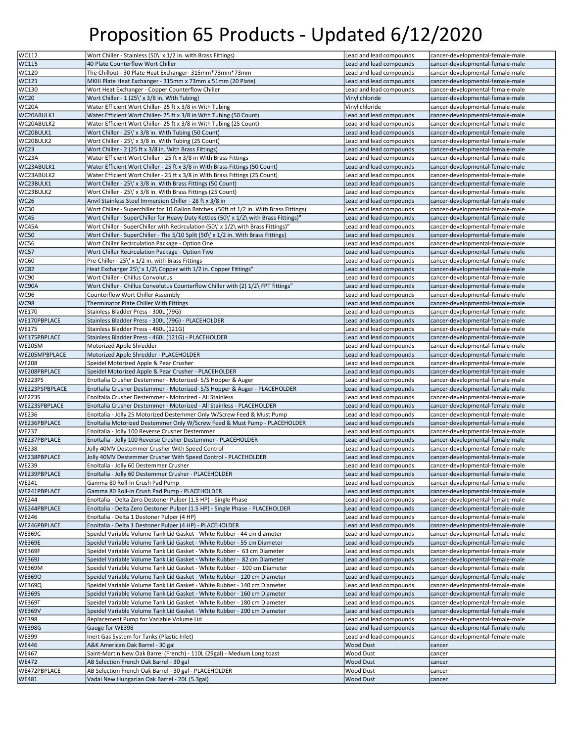| WC112                                                                        | Wort Chiller - Stainless (50\' x 1/2 in. with Brass Fittings)                           | Lead and lead compounds | cancer-developmental-female-male |
|------------------------------------------------------------------------------|-----------------------------------------------------------------------------------------|-------------------------|----------------------------------|
| <b>WC115</b>                                                                 | 40 Plate Counterflow Wort Chiller                                                       | Lead and lead compounds | cancer-developmental-female-male |
|                                                                              |                                                                                         |                         |                                  |
| WC120                                                                        | The Chillout - 30 Plate Heat Exchanger- 315mm*73mm*73mm                                 | Lead and lead compounds | cancer-developmental-female-male |
| WC121                                                                        | MKIII Plate Heat Exchanger - 315mm x 73mm x 51mm (20 Plate)                             | Lead and lead compounds | cancer-developmental-female-male |
| WC130                                                                        | Wort Heat Exchanger - Copper Counterflow Chiller                                        | Lead and lead compounds | cancer-developmental-female-male |
| <b>WC20</b>                                                                  | Wort Chiller - 1 (25\' x 3/8 in. With Tubing)                                           | Vinyl chloride          | cancer-developmental-female-male |
| WC20A                                                                        | Water Efficient Wort Chiller- 25 ft x 3/8 in With Tubing                                | Vinyl chloride          | cancer-developmental-female-male |
| WC20ABULK1                                                                   | Water Efficient Wort Chiller- 25 ft x 3/8 in With Tubing (50 Count)                     | Lead and lead compounds | cancer-developmental-female-male |
| WC20ABULK2                                                                   | Water Efficient Wort Chiller- 25 ft x 3/8 in With Tubing (25 Count)                     | Lead and lead compounds | cancer-developmental-female-male |
| WC20BULK1                                                                    | Wort Chiller - 25\' x 3/8 in. With Tubing (50 Count)                                    | Lead and lead compounds | cancer-developmental-female-male |
| WC20BULK2                                                                    | Wort Chiller - 25\' x 3/8 in. With Tubing (25 Count)                                    | Lead and lead compounds | cancer-developmental-female-male |
| <b>WC23</b>                                                                  | Wort Chiller - 2 (25 ft x 3/8 in. With Brass Fittings)                                  | Lead and lead compounds | cancer-developmental-female-male |
| WC23A                                                                        |                                                                                         | Lead and lead compounds |                                  |
|                                                                              | Water Efficient Wort Chiller - 25 ft x 3/8 in With Brass Fittings                       |                         | cancer-developmental-female-male |
| WC23ABULK1                                                                   | Water Efficient Wort Chiller - 25 ft x 3/8 in With Brass Fittings (50 Count)            | Lead and lead compounds | cancer-developmental-female-male |
| WC23ABULK2                                                                   | Water Efficient Wort Chiller - 25 ft x 3/8 in With Brass Fittings (25 Count)            | Lead and lead compounds | cancer-developmental-female-male |
| WC23BULK1                                                                    | Wort Chiller - 25\' x 3/8 in. With Brass Fittings (50 Count)                            | Lead and lead compounds | cancer-developmental-female-male |
| WC23BULK2                                                                    | Wort Chiller - 25\' x 3/8 in. With Brass Fittings (25 Count)                            | Lead and lead compounds | cancer-developmental-female-male |
| <b>WC26</b>                                                                  | Anvil Stainless Steel Immersion Chiller - 28 ft x 3/8 in                                | Lead and lead compounds | cancer-developmental-female-male |
| <b>WC30</b>                                                                  | Wort Chiller - Superchiller for 10 Gallon Batches (50ft of 1/2 in. With Brass Fittings) | Lead and lead compounds | cancer-developmental-female-male |
| WC45                                                                         | Wort Chiller - SuperChiller for Heavy Duty Kettles (50\' x 1/2\ with Brass Fittings)"   | Lead and lead compounds | cancer-developmental-female-male |
| WC45A                                                                        | Wort Chiller - SuperChiller with Recirculation (50\' x 1/2\ with Brass Fittings)"       | Lead and lead compounds | cancer-developmental-female-male |
| <b>WC50</b>                                                                  | Wort Chiller - SuperChiller - The 5/10 Split (50\' x 1/2 in. With Brass Fittings)       | Lead and lead compounds | cancer-developmental-female-male |
|                                                                              |                                                                                         |                         |                                  |
| WC56                                                                         | Wort Chiller Recirculation Package - Option One                                         | Lead and lead compounds | cancer-developmental-female-male |
| <b>WC57</b>                                                                  | Wort Chiller Recirculation Package - Option Two                                         | Lead and lead compounds | cancer-developmental-female-male |
| <b>WC60</b>                                                                  | Pre-Chiller - 25\' x 1/2 in. with Brass Fittings                                        | Lead and lead compounds | cancer-developmental-female-male |
| <b>WC82</b>                                                                  | Heat Exchanger 25\' x 1/2\ Copper with 1/2 in. Copper Fittings"                         | Lead and lead compounds | cancer-developmental-female-male |
| <b>WC90</b>                                                                  | Wort Chiller - Chillus Convolutus                                                       | Lead and lead compounds | cancer-developmental-female-male |
| WC90A                                                                        | Wort Chiller - Chillus Convolutus Counterflow Chiller with (2) 1/2\FPT fittings"        | Lead and lead compounds | cancer-developmental-female-male |
| WC96                                                                         | Counterflow Wort Chiller Assembly                                                       | Lead and lead compounds | cancer-developmental-female-male |
| <b>WC98</b>                                                                  | Therminator Plate Chiller With Fittings                                                 | Lead and lead compounds | cancer-developmental-female-male |
| <b>WE170</b>                                                                 | Stainless Bladder Press - 300L (79G)                                                    | Lead and lead compounds | cancer-developmental-female-male |
| WE170PBPLACE                                                                 | Stainless Bladder Press - 300L (79G) - PLACEHOLDER                                      | Lead and lead compounds | cancer-developmental-female-male |
| <b>WE175</b>                                                                 |                                                                                         |                         |                                  |
|                                                                              | Stainless Bladder Press - 460L (121G)                                                   | Lead and lead compounds | cancer-developmental-female-male |
| WE175PBPLACE                                                                 | Stainless Bladder Press - 460L (121G) - PLACEHOLDER                                     | Lead and lead compounds | cancer-developmental-female-male |
| <b>WE205M</b>                                                                | Motorized Apple Shredder                                                                | Lead and lead compounds | cancer-developmental-female-male |
| WE205MPBPLACE                                                                | Motorized Apple Shredder - PLACEHOLDER                                                  | Lead and lead compounds | cancer-developmental-female-male |
| <b>WE208</b>                                                                 | Speidel Motorized Apple & Pear Crusher                                                  | Lead and lead compounds | cancer-developmental-female-male |
| WE208PBPLACE                                                                 | Speidel Motorized Apple & Pear Crusher - PLACEHOLDER                                    | Lead and lead compounds | cancer-developmental-female-male |
| WE223PS                                                                      | EnoItalia Crusher Destemmer - Motorized- S/S Hopper & Auger                             | Lead and lead compounds | cancer-developmental-female-male |
| WE223PSPBPLACE                                                               |                                                                                         |                         |                                  |
|                                                                              |                                                                                         |                         |                                  |
|                                                                              | EnoItalia Crusher Destemmer - Motorized- S/S Hopper & Auger - PLACEHOLDER               | Lead and lead compounds | cancer-developmental-female-male |
| <b>WE223S</b>                                                                | EnoItalia Crusher Destemmer - Motorized - All Stainless                                 | Lead and lead compounds | cancer-developmental-female-male |
| WE223SPBPLACE                                                                | EnoItalia Crusher Destemmer - Motorized - All Stainless - PLACEHOLDER                   | Lead and lead compounds | cancer-developmental-female-male |
| <b>WE236</b>                                                                 | EnoItalia - Jolly 25 Motorized Destemmer Only W/Screw Feed & Must Pump                  | Lead and lead compounds | cancer-developmental-female-male |
| WE236PBPLACE                                                                 | EnoItalia Motorized Destemmer Only W/Screw Feed & Must Pump - PLACEHOLDER               | Lead and lead compounds | cancer-developmental-female-male |
| <b>WE237</b>                                                                 | EnoItalia - Jolly 100 Reverse Crusher Destemmer                                         | Lead and lead compounds | cancer-developmental-female-male |
| WE237PBPLACE                                                                 | EnoItalia - Jolly 100 Reverse Crusher Destemmer - PLACEHOLDER                           | Lead and lead compounds | cancer-developmental-female-male |
| <b>WE238</b>                                                                 | Jolly 40MV Destemmer Crusher With Speed Control                                         | Lead and lead compounds | cancer-developmental-female-male |
| WE238PBPLACE                                                                 | Jolly 40MV Destemmer Crusher With Speed Control - PLACEHOLDER                           | Lead and lead compounds | cancer-developmental-female-male |
| <b>WE239</b>                                                                 | EnoItalia - Jolly 60 Destemmer Crusher                                                  | Lead and lead compounds | cancer-developmental-female-male |
|                                                                              | EnoItalia - Jolly 60 Destemmer Crusher - PLACEHOLDER                                    | Lead and lead compounds | cancer-developmental-female-male |
| WE239PBPLACE                                                                 | Gamma 80 Roll-In Crush Pad Pump                                                         |                         |                                  |
| <b>WE241</b>                                                                 | Gamma 80 Roll-In Crush Pad Pump - PLACEHOLDER                                           | Lead and lead compounds | cancer-developmental-female-male |
|                                                                              |                                                                                         | Lead and lead compounds | cancer-developmental-female-male |
|                                                                              | EnoItalia - Delta Zero Destoner Pulper (1.5 HP) - Single Phase                          | Lead and lead compounds | cancer-developmental-female-male |
|                                                                              | EnoItalia - Delta Zero Destoner Pulper (1.5 HP) - Single Phase - PLACEHOLDER            | Lead and lead compounds | cancer-developmental-female-male |
|                                                                              | EnoItalia - Delta 1 Destoner Pulper (4 HP)                                              | Lead and lead compounds | cancer-developmental-female-male |
| WE241PBPLACE<br><b>WE244</b><br>WE244PBPLACE<br><b>WE246</b><br>WE246PBPLACE | EnoItalia - Delta 1 Destoner Pulper (4 HP) - PLACEHOLDER                                | Lead and lead compounds | cancer-developmental-female-male |
| <b>WE369C</b>                                                                | Speidel Variable Volume Tank Lid Gasket - White Rubber - 44 cm diameter                 | Lead and lead compounds | cancer-developmental-female-male |
|                                                                              | Speidel Variable Volume Tank Lid Gasket - White Rubber - 55 cm Diameter                 | Lead and lead compounds | cancer-developmental-female-male |
|                                                                              | Speidel Variable Volume Tank Lid Gasket - White Rubber - 63 cm Diameter                 | Lead and lead compounds | cancer-developmental-female-male |
|                                                                              | Speidel Variable Volume Tank Lid Gasket - White Rubber - 82 cm Diameter                 | Lead and lead compounds | cancer-developmental-female-male |
| <b>WE369E</b><br><b>WE369F</b><br><b>WE369J</b><br><b>WE369M</b>             | Speidel Variable Volume Tank Lid Gasket - White Rubber - 100 cm Diameter                | Lead and lead compounds | cancer-developmental-female-male |
| <b>WE3690</b>                                                                | Speidel Variable Volume Tank Lid Gasket - White Rubber - 120 cm Diameter                | Lead and lead compounds | cancer-developmental-female-male |
|                                                                              |                                                                                         |                         |                                  |
|                                                                              | Speidel Variable Volume Tank Lid Gasket - White Rubber - 140 cm Diameter                | Lead and lead compounds | cancer-developmental-female-male |
|                                                                              | Speidel Variable Volume Tank Lid Gasket - White Rubber - 160 cm Diameter                | Lead and lead compounds | cancer-developmental-female-male |
| <b>WE369Q</b><br><b>WE369S</b><br><b>WE369T</b>                              | Speidel Variable Volume Tank Lid Gasket - White Rubber - 180 cm Diameter                | Lead and lead compounds | cancer-developmental-female-male |
| <b>WE369V</b>                                                                | Speidel Variable Volume Tank Lid Gasket - White Rubber - 200 cm Diameter                | Lead and lead compounds | cancer-developmental-female-male |
| <b>WE398</b>                                                                 | Replacement Pump for Variable Volume Lid                                                | Lead and lead compounds | cancer-developmental-female-male |
| <b>WE398G</b>                                                                | Gauge for WE398                                                                         | Lead and lead compounds | cancer-developmental-female-male |
| <b>WE399</b>                                                                 | Inert Gas System for Tanks (Plastic Inlet)                                              | Lead and lead compounds | cancer-developmental-female-male |
| <b>WE446</b>                                                                 | A&K American Oak Barrel - 30 gal                                                        | <b>Wood Dust</b>        | cancer                           |
| <b>WE467</b>                                                                 | Saint-Martin New Oak Barrel (French) - 110L (29gal) - Medium Long toast                 | Wood Dust               | cancer                           |
| <b>WE472</b>                                                                 | AB Selection French Oak Barrel - 30 gal                                                 | Wood Dust               | cancer                           |
|                                                                              | AB Selection French Oak Barrel - 30 gal - PLACEHOLDER                                   | Wood Dust               | cancer                           |
| WE472PBPLACE<br><b>WE481</b>                                                 | Vadai New Hungarian Oak Barrel - 20L (5.3gal)                                           | <b>Wood Dust</b>        | cancer                           |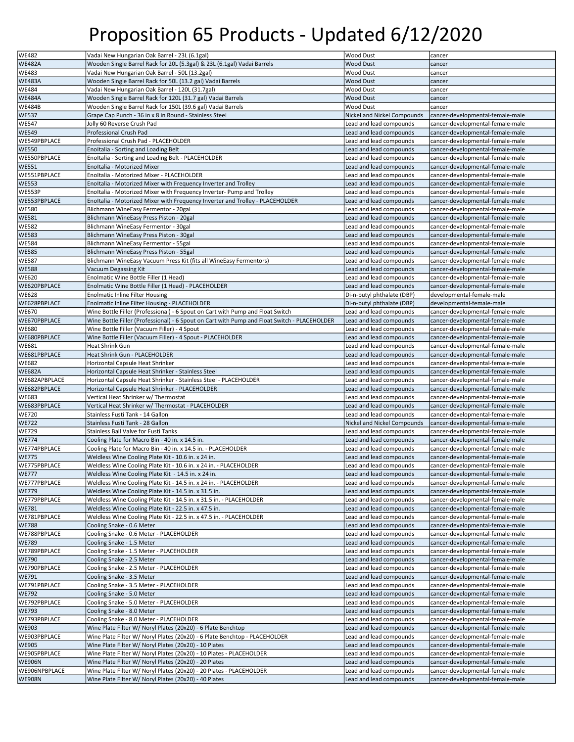| <b>WE482</b>                  | Vadai New Hungarian Oak Barrel - 23L (6.1gal)                                                                                | <b>Wood Dust</b>            | cancer                           |
|-------------------------------|------------------------------------------------------------------------------------------------------------------------------|-----------------------------|----------------------------------|
| <b>WE482A</b>                 | Wooden Single Barrel Rack for 20L (5.3gal) & 23L (6.1gal) Vadai Barrels                                                      | <b>Wood Dust</b>            | cancer                           |
|                               |                                                                                                                              |                             |                                  |
| WE483                         | Vadai New Hungarian Oak Barrel - 50L (13.2gal)                                                                               | <b>Wood Dust</b>            | cancer                           |
| <b>WE483A</b>                 | Wooden Single Barrel Rack for 50L (13.2 gal) Vadai Barrels                                                                   | <b>Wood Dust</b>            | cancer                           |
| WE484                         | Vadai New Hungarian Oak Barrel - 120L (31.7gal)                                                                              | <b>Wood Dust</b>            | cancer                           |
| <b>WE484A</b>                 | Wooden Single Barrel Rack for 120L (31.7 gal) Vadai Barrels                                                                  | <b>Wood Dust</b>            | cancer                           |
| <b>WE484B</b>                 | Wooden Single Barrel Rack for 150L (39.6 gal) Vadai Barrels                                                                  | <b>Wood Dust</b>            | cancer                           |
| <b>WE537</b>                  | Grape Cap Punch - 36 in x 8 in Round - Stainless Steel                                                                       | Nickel and Nickel Compounds | cancer-developmental-female-male |
| <b>WE547</b>                  | Jolly 60 Reverse Crush Pad                                                                                                   | Lead and lead compounds     | cancer-developmental-female-male |
| <b>WE549</b>                  | Professional Crush Pad                                                                                                       | Lead and lead compounds     | cancer-developmental-female-male |
| WE549PBPLACE                  | Professional Crush Pad - PLACEHOLDER                                                                                         | Lead and lead compounds     | cancer-developmental-female-male |
| <b>WE550</b>                  | EnoItalia - Sorting and Loading Belt                                                                                         | Lead and lead compounds     | cancer-developmental-female-male |
| WE550PBPLACE                  | EnoItalia - Sorting and Loading Belt - PLACEHOLDER                                                                           | Lead and lead compounds     | cancer-developmental-female-male |
| <b>WE551</b>                  | Enoltalia - Motorized Mixer                                                                                                  | Lead and lead compounds     | cancer-developmental-female-male |
| WE551PBPLACE                  | EnoItalia - Motorized Mixer - PLACEHOLDER                                                                                    | Lead and lead compounds     | cancer-developmental-female-male |
| <b>WE553</b>                  | EnoItalia - Motorized Mixer with Frequency Inverter and Trolley                                                              | Lead and lead compounds     | cancer-developmental-female-male |
| WE553P                        | EnoItalia - Motorized Mixer with Frequency Inverter- Pump and Trolley                                                        | Lead and lead compounds     | cancer-developmental-female-male |
|                               |                                                                                                                              |                             |                                  |
| WE553PBPLACE                  | EnoItalia - Motorized Mixer with Frequency Inverter and Trolley - PLACEHOLDER                                                | Lead and lead compounds     | cancer-developmental-female-male |
| <b>WE580</b>                  | Blichmann WineEasy Fermentor - 20gal                                                                                         | Lead and lead compounds     | cancer-developmental-female-male |
| <b>WE581</b>                  | Blichmann WineEasy Press Piston - 20gal                                                                                      | Lead and lead compounds     | cancer-developmental-female-male |
| <b>WE582</b>                  | Blichmann WineEasy Fermentor - 30gal                                                                                         | Lead and lead compounds     | cancer-developmental-female-male |
| <b>WE583</b>                  | Blichmann WineEasy Press Piston - 30gal                                                                                      | Lead and lead compounds     | cancer-developmental-female-male |
| <b>WE584</b>                  | Blichmann WineEasy Fermentor - 55gal                                                                                         | Lead and lead compounds     | cancer-developmental-female-male |
| <b>WE585</b>                  | Blichmann WineEasy Press Piston - 55gal                                                                                      | Lead and lead compounds     | cancer-developmental-female-male |
| <b>WE587</b>                  | Blichmann WineEasy Vacuum Press Kit (fits all WineEasy Fermentors)                                                           | Lead and lead compounds     | cancer-developmental-female-male |
| <b>WE588</b>                  | Vacuum Degassing Kit                                                                                                         | Lead and lead compounds     | cancer-developmental-female-male |
| <b>WE620</b>                  | Enolmatic Wine Bottle Filler (1 Head)                                                                                        | Lead and lead compounds     | cancer-developmental-female-male |
| WE620PBPLACE                  | Enolmatic Wine Bottle Filler (1 Head) - PLACEHOLDER                                                                          | Lead and lead compounds     | cancer-developmental-female-male |
| <b>WE628</b>                  | <b>Enolmatic Inline Filter Housing</b>                                                                                       | Di-n-butyl phthalate (DBP)  | developmental-female-male        |
| WE628PBPLACE                  | Enolmatic Inline Filter Housing - PLACEHOLDER                                                                                | Di-n-butyl phthalate (DBP)  | developmental-female-male        |
| <b>WE670</b>                  | Wine Bottle Filler (Professional) - 6 Spout on Cart with Pump and Float Switch                                               | Lead and lead compounds     | cancer-developmental-female-male |
| WE670PBPLACE                  | Wine Bottle Filler (Professional) - 6 Spout on Cart with Pump and Float Switch - PLACEHOLDER                                 | Lead and lead compounds     | cancer-developmental-female-male |
| <b>WE680</b>                  | Wine Bottle Filler (Vacuum Filler) - 4 Spout                                                                                 | Lead and lead compounds     | cancer-developmental-female-male |
| WE680PBPLACE                  | Wine Bottle Filler (Vacuum Filler) - 4 Spout - PLACEHOLDER                                                                   | Lead and lead compounds     | cancer-developmental-female-male |
| <b>WE681</b>                  | <b>Heat Shrink Gun</b>                                                                                                       | Lead and lead compounds     | cancer-developmental-female-male |
| WE681PBPLACE                  | Heat Shrink Gun - PLACEHOLDER                                                                                                | Lead and lead compounds     | cancer-developmental-female-male |
| <b>WE682</b>                  | Horizontal Capsule Heat Shrinker                                                                                             | Lead and lead compounds     | cancer-developmental-female-male |
| <b>WE682A</b>                 | Horizontal Capsule Heat Shrinker - Stainless Steel                                                                           | Lead and lead compounds     | cancer-developmental-female-male |
| WE682APBPLACE                 | Horizontal Capsule Heat Shrinker - Stainless Steel - PLACEHOLDER                                                             | Lead and lead compounds     | cancer-developmental-female-male |
| WE682PBPLACE                  | Horizontal Capsule Heat Shrinker - PLACEHOLDER                                                                               | Lead and lead compounds     | cancer-developmental-female-male |
| <b>WE683</b>                  | Vertical Heat Shrinker w/ Thermostat                                                                                         | Lead and lead compounds     | cancer-developmental-female-male |
| WE683PBPLACE                  | Vertical Heat Shrinker w/ Thermostat - PLACEHOLDER                                                                           | Lead and lead compounds     | cancer-developmental-female-male |
| <b>WE720</b>                  | Stainless Fusti Tank - 14 Gallon                                                                                             | Lead and lead compounds     | cancer-developmental-female-male |
| <b>WE722</b>                  | Stainless Fusti Tank - 28 Gallon                                                                                             | Nickel and Nickel Compounds | cancer-developmental-female-male |
| <b>WE729</b>                  | Stainless Ball Valve for Fusti Tanks                                                                                         | Lead and lead compounds     | cancer-developmental-female-male |
| <b>WE774</b>                  | Cooling Plate for Macro Bin - 40 in. x 14.5 in.                                                                              |                             |                                  |
|                               |                                                                                                                              |                             |                                  |
|                               |                                                                                                                              | Lead and lead compounds     | cancer-developmental-female-male |
| WE774PBPLACE                  | Cooling Plate for Macro Bin - 40 in. x 14.5 in. - PLACEHOLDER                                                                | Lead and lead compounds     | cancer-developmental-female-male |
| <b>WE775</b>                  | Weldless Wine Cooling Plate Kit - 10.6 in. x 24 in.                                                                          | Lead and lead compounds     | cancer-developmental-female-male |
| WE775PBPLACE                  | Weldless Wine Cooling Plate Kit - 10.6 in. x 24 in. - PLACEHOLDER                                                            | Lead and lead compounds     | cancer-developmental-female-male |
| <b>WE777</b>                  | Weldless Wine Cooling Plate Kit - 14.5 in. x 24 in.                                                                          | Lead and lead compounds     | cancer-developmental-female-male |
| WE777PBPLACE                  | Weldless Wine Cooling Plate Kit - 14.5 in. x 24 in. - PLACEHOLDER                                                            | Lead and lead compounds     | cancer-developmental-female-male |
| <b>WE779</b>                  | Weldless Wine Cooling Plate Kit - 14.5 in. x 31.5 in.                                                                        | Lead and lead compounds     | cancer-developmental-female-male |
| WE779PBPLACE                  | Weldless Wine Cooling Plate Kit - 14.5 in. x 31.5 in. - PLACEHOLDER                                                          | Lead and lead compounds     | cancer-developmental-female-male |
| <b>WE781</b>                  | Weldless Wine Cooling Plate Kit - 22.5 in. x 47.5 in.                                                                        | Lead and lead compounds     | cancer-developmental-female-male |
| WE781PBPLACE                  | Weldless Wine Cooling Plate Kit - 22.5 in. x 47.5 in. - PLACEHOLDER                                                          | Lead and lead compounds     | cancer-developmental-female-male |
| <b>WE788</b>                  | Cooling Snake - 0.6 Meter                                                                                                    | Lead and lead compounds     | cancer-developmental-female-male |
| WE788PBPLACE                  | Cooling Snake - 0.6 Meter - PLACEHOLDER                                                                                      | Lead and lead compounds     | cancer-developmental-female-male |
| <b>WE789</b>                  | Cooling Snake - 1.5 Meter                                                                                                    | Lead and lead compounds     | cancer-developmental-female-male |
| WE789PBPLACE                  | Cooling Snake - 1.5 Meter - PLACEHOLDER                                                                                      | Lead and lead compounds     | cancer-developmental-female-male |
| <b>WE790</b>                  | Cooling Snake - 2.5 Meter                                                                                                    | Lead and lead compounds     | cancer-developmental-female-male |
| WE790PBPLACE                  | Cooling Snake - 2.5 Meter - PLACEHOLDER                                                                                      | Lead and lead compounds     | cancer-developmental-female-male |
| <b>WE791</b>                  | Cooling Snake - 3.5 Meter                                                                                                    | Lead and lead compounds     | cancer-developmental-female-male |
| WE791PBPLACE                  | Cooling Snake - 3.5 Meter - PLACEHOLDER                                                                                      | Lead and lead compounds     | cancer-developmental-female-male |
| <b>WE792</b>                  | Cooling Snake - 5.0 Meter                                                                                                    | Lead and lead compounds     | cancer-developmental-female-male |
| WE792PBPLACE                  | Cooling Snake - 5.0 Meter - PLACEHOLDER                                                                                      | Lead and lead compounds     | cancer-developmental-female-male |
| <b>WE793</b>                  | Cooling Snake - 8.0 Meter                                                                                                    | Lead and lead compounds     | cancer-developmental-female-male |
| WE793PBPLACE                  | Cooling Snake - 8.0 Meter - PLACEHOLDER                                                                                      | Lead and lead compounds     | cancer-developmental-female-male |
| <b>WE903</b>                  | Wine Plate Filter W/ Noryl Plates (20x20) - 6 Plate Benchtop                                                                 | Lead and lead compounds     | cancer-developmental-female-male |
| WE903PBPLACE                  | Wine Plate Filter W/ Noryl Plates (20x20) - 6 Plate Benchtop - PLACEHOLDER                                                   | Lead and lead compounds     | cancer-developmental-female-male |
| <b>WE905</b>                  | Wine Plate Filter W/ Noryl Plates (20x20) - 10 Plates                                                                        | Lead and lead compounds     | cancer-developmental-female-male |
|                               | Wine Plate Filter W/ Noryl Plates (20x20) - 10 Plates - PLACEHOLDER                                                          | Lead and lead compounds     | cancer-developmental-female-male |
| WE905PBPLACE<br><b>WE906N</b> | Wine Plate Filter W/ Noryl Plates (20x20) - 20 Plates                                                                        | Lead and lead compounds     | cancer-developmental-female-male |
| WE906NPBPLACE                 |                                                                                                                              | Lead and lead compounds     | cancer-developmental-female-male |
| <b>WE908N</b>                 | Wine Plate Filter W/ Noryl Plates (20x20) - 20 Plates - PLACEHOLDER<br>Wine Plate Filter W/ Noryl Plates (20x20) - 40 Plates | Lead and lead compounds     | cancer-developmental-female-male |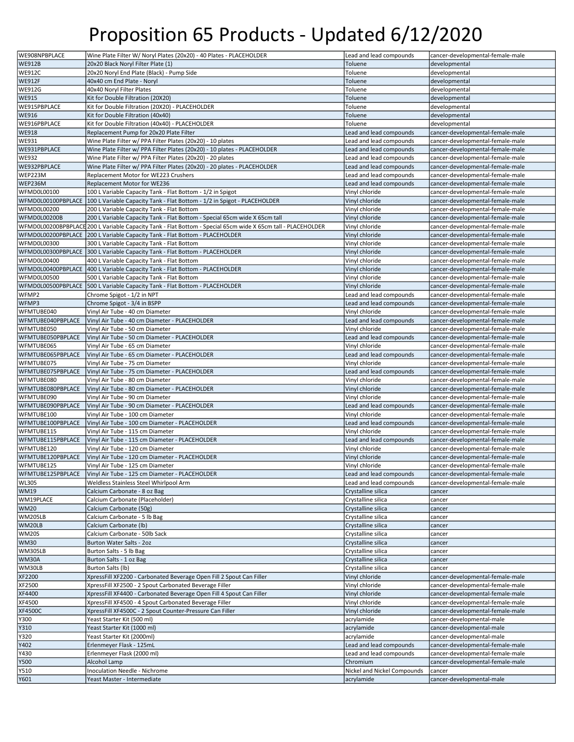| WE908NPBPLACE      | Wine Plate Filter W/ Noryl Plates (20x20) - 40 Plates - PLACEHOLDER                                          | Lead and lead compounds     | cancer-developmental-female-male |
|--------------------|--------------------------------------------------------------------------------------------------------------|-----------------------------|----------------------------------|
|                    |                                                                                                              |                             |                                  |
| <b>WE912B</b>      | 20x20 Black Noryl Filter Plate (1)                                                                           | Toluene                     | developmental                    |
| <b>WE912C</b>      | 20x20 Noryl End Plate (Black) - Pump Side                                                                    | Toluene                     | developmental                    |
| <b>WE912F</b>      | 40x40 cm End Plate - Noryl                                                                                   | Toluene                     | developmental                    |
| WE912G             | 40x40 Noryl Filter Plates                                                                                    | Toluene                     | developmental                    |
| <b>WE915</b>       | Kit for Double Filtration (20X20)                                                                            | Toluene                     | developmental                    |
| WE915PBPLACE       | Kit for Double Filtration (20X20) - PLACEHOLDER                                                              | Toluene                     | developmental                    |
|                    | Kit for Double Filtration (40x40)                                                                            | Toluene                     |                                  |
| <b>WE916</b>       |                                                                                                              |                             | developmental                    |
| WE916PBPLACE       | Kit for Double Filtration (40x40) - PLACEHOLDER                                                              | Toluene                     | developmental                    |
| <b>WE918</b>       | Replacement Pump for 20x20 Plate Filter                                                                      | Lead and lead compounds     | cancer-developmental-female-male |
| WE931              | Wine Plate Filter w/ PPA Filter Plates (20x20) - 10 plates                                                   | Lead and lead compounds     | cancer-developmental-female-male |
| WE931PBPLACE       | Wine Plate Filter w/ PPA Filter Plates (20x20) - 10 plates - PLACEHOLDER                                     | Lead and lead compounds     | cancer-developmental-female-male |
| <b>WE932</b>       | Wine Plate Filter w/ PPA Filter Plates (20x20) - 20 plates                                                   | Lead and lead compounds     | cancer-developmental-female-male |
| WE932PBPLACE       | Wine Plate Filter w/ PPA Filter Plates (20x20) - 20 plates - PLACEHOLDER                                     | Lead and lead compounds     | cancer-developmental-female-male |
| WEP223M            | Replacement Motor for WE223 Crushers                                                                         | Lead and lead compounds     | cancer-developmental-female-male |
| WEP236M            | Replacement Motor for WE236                                                                                  | Lead and lead compounds     | cancer-developmental-female-male |
|                    |                                                                                                              |                             |                                  |
| WFMD0L00100        | 100 L Variable Capacity Tank - Flat Bottom - 1/2 in Spigot                                                   | Vinyl chloride              | cancer-developmental-female-male |
|                    | WFMD0L00100PBPLACE   100 L Variable Capacity Tank - Flat Bottom - 1/2 in Spigot - PLACEHOLDER                | Vinyl chloride              | cancer-developmental-female-male |
| WFMD0L00200        | 200 L Variable Capacity Tank - Flat Bottom                                                                   | Vinyl chloride              | cancer-developmental-female-male |
| WFMD0L00200B       | 200 L Variable Capacity Tank - Flat Bottom - Special 65cm wide X 65cm tall                                   | Vinyl chloride              | cancer-developmental-female-male |
|                    | WFMD0L00200BPBPLACE 200 L Variable Capacity Tank - Flat Bottom - Special 65cm wide X 65cm tall - PLACEHOLDER | Vinyl chloride              | cancer-developmental-female-male |
|                    | WFMD0L00200PBPLACE   200 L Variable Capacity Tank - Flat Bottom - PLACEHOLDER                                | Vinyl chloride              | cancer-developmental-female-male |
| WFMD0L00300        | 300 L Variable Capacity Tank - Flat Bottom                                                                   | Vinyl chloride              | cancer-developmental-female-male |
|                    | WFMD0L00300PBPLACE 300 L Variable Capacity Tank - Flat Bottom - PLACEHOLDER                                  | Vinyl chloride              | cancer-developmental-female-male |
|                    |                                                                                                              |                             |                                  |
| WFMD0L00400        | 400 L Variable Capacity Tank - Flat Bottom                                                                   | Vinyl chloride              | cancer-developmental-female-male |
| WFMD0L00400PBPLACE | 400 L Variable Capacity Tank - Flat Bottom - PLACEHOLDER                                                     | Vinyl chloride              | cancer-developmental-female-male |
| WFMD0L00500        | 500 L Variable Capacity Tank - Flat Bottom                                                                   | Vinyl chloride              | cancer-developmental-female-male |
|                    | WFMD0L00500PBPLACE   500 L Variable Capacity Tank - Flat Bottom - PLACEHOLDER                                | Vinyl chloride              | cancer-developmental-female-male |
| WFMP2              | Chrome Spigot - 1/2 in NPT                                                                                   | Lead and lead compounds     | cancer-developmental-female-male |
| WFMP3              | Chrome Spigot - 3/4 in BSPP                                                                                  | Lead and lead compounds     | cancer-developmental-female-male |
| WFMTUBE040         | Vinyl Air Tube - 40 cm Diameter                                                                              | Vinyl chloride              | cancer-developmental-female-male |
| WFMTUBE040PBPLACE  | Vinyl Air Tube - 40 cm Diameter - PLACEHOLDER                                                                | Lead and lead compounds     | cancer-developmental-female-male |
|                    |                                                                                                              |                             |                                  |
| WFMTUBE050         | Vinyl Air Tube - 50 cm Diameter                                                                              | Vinyl chloride              | cancer-developmental-female-male |
| WFMTUBE050PBPLACE  | Vinyl Air Tube - 50 cm Diameter - PLACEHOLDER                                                                | Lead and lead compounds     | cancer-developmental-female-male |
| WFMTUBE065         | Vinyl Air Tube - 65 cm Diameter                                                                              | Vinyl chloride              | cancer-developmental-female-male |
| WFMTUBE065PBPLACE  | Vinyl Air Tube - 65 cm Diameter - PLACEHOLDER                                                                | Lead and lead compounds     | cancer-developmental-female-male |
| WFMTUBE075         | Vinyl Air Tube - 75 cm Diameter                                                                              | Vinyl chloride              | cancer-developmental-female-male |
| WFMTUBE075PBPLACE  | Vinyl Air Tube - 75 cm Diameter - PLACEHOLDER                                                                | Lead and lead compounds     | cancer-developmental-female-male |
| WFMTUBE080         | Vinyl Air Tube - 80 cm Diameter                                                                              | Vinyl chloride              | cancer-developmental-female-male |
| WFMTUBE080PBPLACE  | Vinyl Air Tube - 80 cm Diameter - PLACEHOLDER                                                                | Vinyl chloride              | cancer-developmental-female-male |
| WFMTUBE090         |                                                                                                              |                             |                                  |
|                    | Vinyl Air Tube - 90 cm Diameter                                                                              | Vinyl chloride              | cancer-developmental-female-male |
| WFMTUBE090PBPLACE  | Vinyl Air Tube - 90 cm Diameter - PLACEHOLDER                                                                | Lead and lead compounds     | cancer-developmental-female-male |
| WFMTUBE100         | Vinyl Air Tube - 100 cm Diameter                                                                             | Vinyl chloride              | cancer-developmental-female-male |
| WFMTUBE100PBPLACE  | Vinyl Air Tube - 100 cm Diameter - PLACEHOLDER                                                               | Lead and lead compounds     | cancer-developmental-female-male |
| WFMTUBE115         | Vinyl Air Tube - 115 cm Diameter                                                                             | Vinyl chloride              | cancer-developmental-female-male |
| WFMTUBE115PBPLACE  | Vinyl Air Tube - 115 cm Diameter - PLACEHOLDER                                                               | Lead and lead compounds     | cancer-developmental-female-male |
| WFMTUBE120         | Vinyl Air Tube - 120 cm Diameter                                                                             | Vinyl chloride              | cancer-developmental-female-male |
| WFMTUBE120PBPLACE  | Vinyl Air Tube - 120 cm Diameter - PLACEHOLDER                                                               | Vinyl chloride              | cancer-developmental-female-male |
| WFMTUBE125         | Vinyl Air Tube - 125 cm Diameter                                                                             | Vinyl chloride              | cancer-developmental-female-male |
| WFMTUBE125PBPLACE  |                                                                                                              | Lead and lead compounds     |                                  |
|                    | Vinyl Air Tube - 125 cm Diameter - PLACEHOLDER                                                               |                             | cancer-developmental-female-male |
| WL305              | Weldless Stainless Steel Whirlpool Arm                                                                       | Lead and lead compounds     | cancer-developmental-female-male |
| WM19               | Calcium Carbonate - 8 oz Bag                                                                                 | Crystalline silica          | cancer                           |
| WM19PLACE          | Calcium Carbonate (Placeholder)                                                                              | Crystalline silica          | cancer                           |
| WM20               | Calcium Carbonate (50g)                                                                                      | Crystalline silica          | cancer                           |
| WM205LB            | Calcium Carbonate - 5 lb Bag                                                                                 | Crystalline silica          | cancer                           |
| WM20LB             | Calcium Carbonate (lb)                                                                                       | Crystalline silica          | cancer                           |
| WM20S              | Calcium Carbonate - 50lb Sack                                                                                | Crystalline silica          | cancer                           |
| <b>WM30</b>        | Burton Water Salts - 2oz                                                                                     | Crystalline silica          | cancer                           |
| <b>WM305LB</b>     |                                                                                                              | Crystalline silica          |                                  |
|                    | Burton Salts - 5 lb Bag                                                                                      |                             | cancer                           |
| WM30A              | Burton Salts - 1 oz Bag                                                                                      | Crystalline silica          | cancer                           |
| WM30LB             | Burton Salts (lb)                                                                                            | Crystalline silica          | cancer                           |
| XF2200             | XpressFill XF2200 - Carbonated Beverage Open Fill 2 Spout Can Filler                                         | Vinyl chloride              | cancer-developmental-female-male |
| XF2500             | XpressFill XF2500 - 2 Spout Carbonated Beverage Filler                                                       | Vinyl chloride              | cancer-developmental-female-male |
| XF4400             | XpressFill XF4400 - Carbonated Beverage Open Fill 4 Spout Can Filler                                         | Vinyl chloride              | cancer-developmental-female-male |
| XF4500             | XpressFill XF4500 - 4 Spout Carbonated Beverage Filler                                                       | Vinyl chloride              | cancer-developmental-female-male |
| <b>XF4500C</b>     | XpressFill XF4500C - 2 Spout Counter-Pressure Can Filler                                                     | Vinyl chloride              | cancer-developmental-female-male |
| Y300               | Yeast Starter Kit (500 ml)                                                                                   | acrylamide                  | cancer-developmental-male        |
|                    |                                                                                                              |                             |                                  |
| Y310               | Yeast Starter Kit (1000 ml)                                                                                  | acrylamide                  | cancer-developmental-male        |
| Y320               | Yeast Starter Kit (2000ml)                                                                                   | acrylamide                  | cancer-developmental-male        |
| Y402               | Erlenmeyer Flask - 125mL                                                                                     | Lead and lead compounds     | cancer-developmental-female-male |
| Y430               | Erlenmeyer Flask (2000 ml)                                                                                   | Lead and lead compounds     | cancer-developmental-female-male |
| Y500               | Alcohol Lamp                                                                                                 | Chromium                    | cancer-developmental-female-male |
| Y510               | Inoculation Needle - Nichrome                                                                                | Nickel and Nickel Compounds | cancer                           |
| Y601               | Yeast Master - Intermediate                                                                                  | acrylamide                  | cancer-developmental-male        |
|                    |                                                                                                              |                             |                                  |